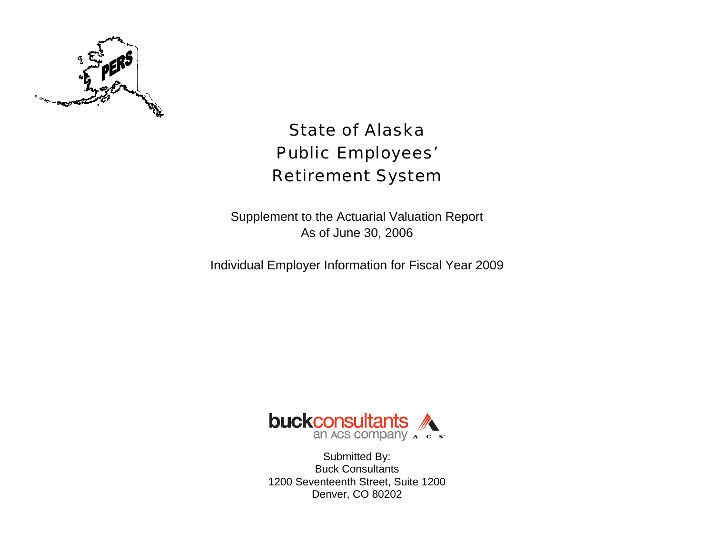

# State of Alaska Public Employees' Retirement System

Supplement to the Actuarial Valuation Report As of June 30, 2006

Individual Employer Information for Fiscal Year 2009



Submitted By: Buck Consultants 1200 Seventeenth Street, Suite 1200 Denver, CO 80202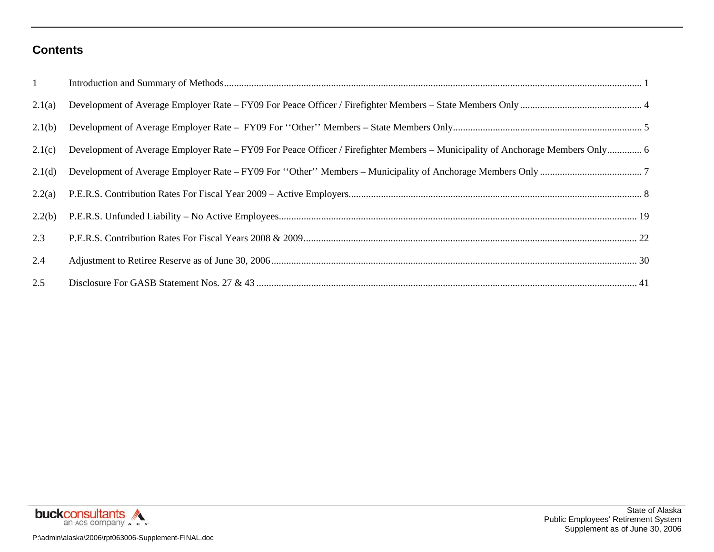#### **Contents**

| $1 -$  |  |
|--------|--|
| 2.1(a) |  |
| 2.1(b) |  |
| 2.1(c) |  |
| 2.1(d) |  |
| 2.2(a) |  |
| 2.2(b) |  |
| 2.3    |  |
| 2.4    |  |
| 2.5    |  |



State of Alaska Public Employees' Retirement System Supplement as of June 30, 2006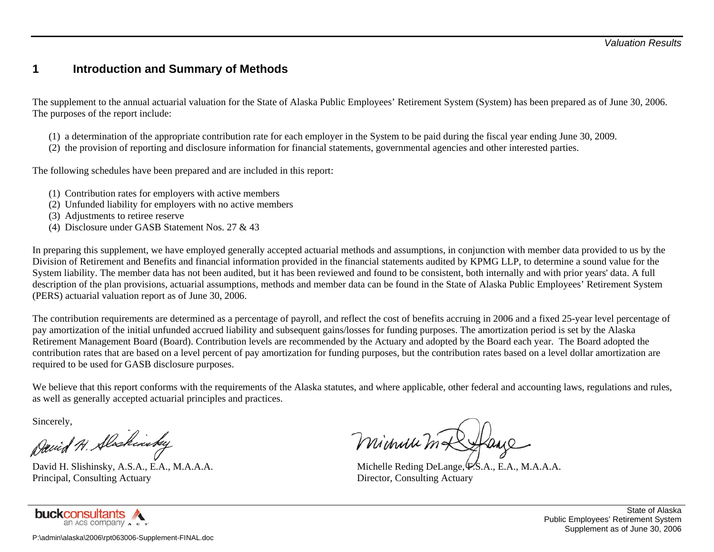#### **1 Introduction and Summary of Methods**

The supplement to the annual actuarial valuation for the State of Alaska Public Employees' Retirement System (System) has been prepared as of June 30, 2006. The purposes of the report include:

- (1) a determination of the appropriate contribution rate for each employer in the System to be paid during the fiscal year ending June 30, 2009.
- (2) the provision of reporting and disclosure information for financial statements, governmental agencies and other interested parties.

The following schedules have been prepared and are included in this report:

- (1) Contribution rates for employers with active members
- (2) Unfunded liability for employers with no active members
- (3) Adjustments to retiree reserve
- (4) Disclosure under GASB Statement Nos. 27 & 43

In preparing this supplement, we have employed generally accepted actuarial methods and assumptions, in conjunction with member data provided to us by the Division of Retirement and Benefits and financial information provided in the financial statements audited by KPMG LLP, to determine a sound value for the System liability. The member data has not been audited, but it has been reviewed and found to be consistent, both internally and with prior years' data. A full description of the plan provisions, actuarial assumptions, methods and member data can be found in the State of Alaska Public Employees' Retirement System (PERS) actuarial valuation report as of June 30, 2006.

The contribution requirements are determined as a percentage of payroll, and reflect the cost of benefits accruing in 2006 and a fixed 25-year level percentage of pay amortization of the initial unfunded accrued liability and subsequent gains/losses for funding purposes. The amortization period is set by the Alaska Retirement Management Board (Board). Contribution levels are recommended by the Actuary and adopted by the Board each year. The Board adopted the contribution rates that are based on a level percent of pay amortization for funding purposes, but the contribution rates based on a level dollar amortization are required to be used for GASB disclosure purposes.

We believe that this report conforms with the requirements of the Alaska statutes, and where applicable, other federal and accounting laws, regulations and rules, as well as generally accepted actuarial principles and practices.

Sincerely,

David H. Slaskinsky

Principal, Consulting Actuary Director, Consulting Actuary Director, Consulting Actuary



Minuu m&

David H. Slishinsky, A.S.A., E.A., M.A.A.A. Michelle Reding DeLange, P.S.A., E.A., M.A.A.A.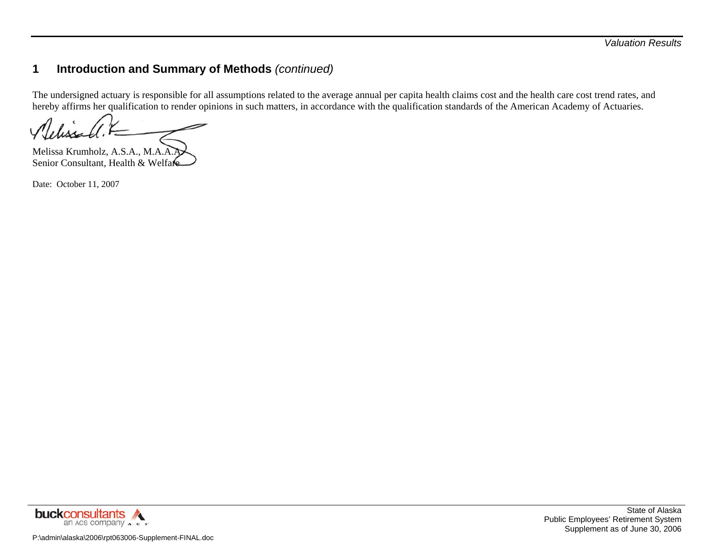The undersigned actuary is responsible for all assumptions related to the average annual per capita health claims cost and the health care cost trend rates, and hereby affirms her qualification to render opinions in such matters, in accordance with the qualification standards of the American Academy of Actuaries.

Melissa Krumholz, A.S.A., M.A.A.A. Senior Consultant, Health & Welfare

Date: October 11, 2007

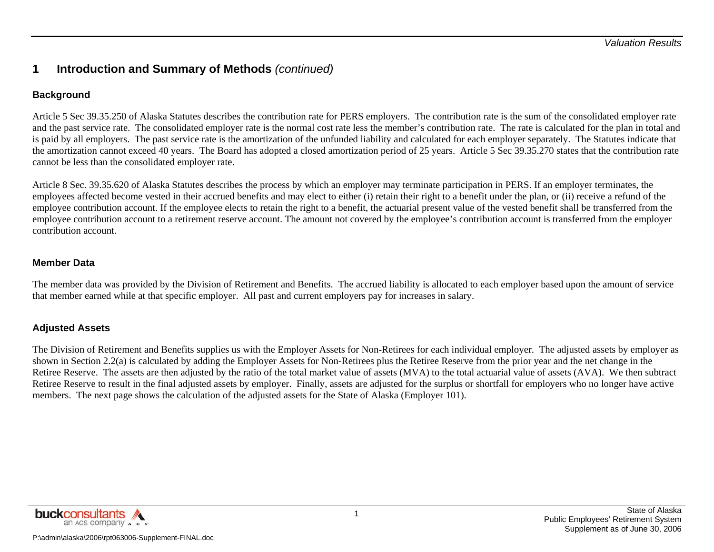#### **Background**

Article 5 Sec 39.35.250 of Alaska Statutes describes the contribution rate for PERS employers. The contribution rate is the sum of the consolidated employer rate and the past service rate. The consolidated employer rate is the normal cost rate less the member's contribution rate. The rate is calculated for the plan in total and is paid by all employers. The past service rate is the amortization of the unfunded liability and calculated for each employer separately. The Statutes indicate that the amortization cannot exceed 40 years. The Board has adopted a closed amortization period of 25 years. Article 5 Sec 39.35.270 states that the contribution rate cannot be less than the consolidated employer rate.

Article 8 Sec. 39.35.620 of Alaska Statutes describes the process by which an employer may terminate participation in PERS. If an employer terminates, the employees affected become vested in their accrued benefits and may elect to either (i) retain their right to a benefit under the plan, or (ii) receive a refund of the employee contribution account. If the employee elects to retain the right to a benefit, the actuarial present value of the vested benefit shall be transferred from the employee contribution account to a retirement reserve account. The amount not covered by the employee's contribution account is transferred from the employer contribution account.

#### **Member Data**

The member data was provided by the Division of Retirement and Benefits. The accrued liability is allocated to each employer based upon the amount of service that member earned while at that specific employer. All past and current employers pay for increases in salary.

#### **Adjusted Assets**

The Division of Retirement and Benefits supplies us with the Employer Assets for Non-Retirees for each individual employer. The adjusted assets by employer as shown in Section 2.2(a) is calculated by adding the Employer Assets for Non-Retirees plus the Retiree Reserve from the prior year and the net change in the Retiree Reserve. The assets are then adjusted by the ratio of the total market value of assets (MVA) to the total actuarial value of assets (AVA). We then subtract Retiree Reserve to result in the final adjusted assets by employer. Finally, assets are adjusted for the surplus or shortfall for employers who no longer have active members. The next page shows the calculation of the adjusted assets for the State of Alaska (Employer 101).

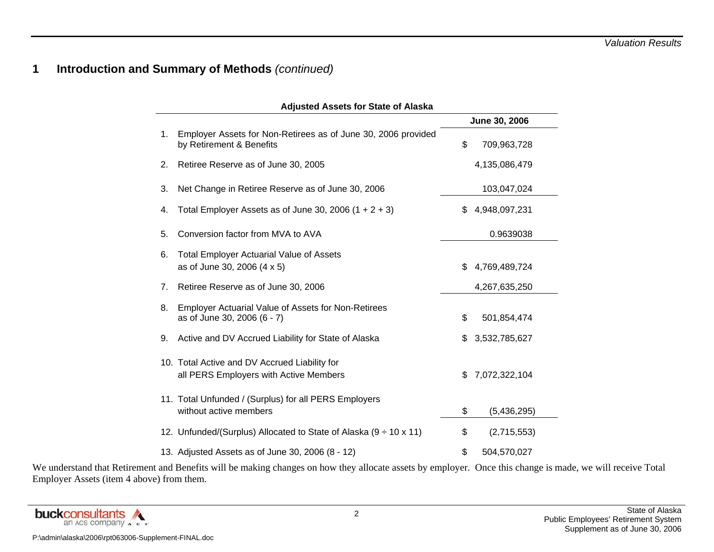|    | <b>Adjusted Assets for State of Alaska</b>                                                |    |               |  |  |  |  |  |  |  |  |  |
|----|-------------------------------------------------------------------------------------------|----|---------------|--|--|--|--|--|--|--|--|--|
|    |                                                                                           |    | June 30, 2006 |  |  |  |  |  |  |  |  |  |
| 1. | Employer Assets for Non-Retirees as of June 30, 2006 provided<br>by Retirement & Benefits | \$ | 709,963,728   |  |  |  |  |  |  |  |  |  |
| 2. | Retiree Reserve as of June 30, 2005                                                       |    | 4,135,086,479 |  |  |  |  |  |  |  |  |  |
| 3. | Net Change in Retiree Reserve as of June 30, 2006                                         |    | 103,047,024   |  |  |  |  |  |  |  |  |  |
| 4. | Total Employer Assets as of June 30, 2006 $(1 + 2 + 3)$                                   | \$ | 4,948,097,231 |  |  |  |  |  |  |  |  |  |
| 5. | Conversion factor from MVA to AVA                                                         |    | 0.9639038     |  |  |  |  |  |  |  |  |  |
| 6. | <b>Total Employer Actuarial Value of Assets</b><br>as of June 30, 2006 (4 x 5)            | \$ | 4,769,489,724 |  |  |  |  |  |  |  |  |  |
| 7. | Retiree Reserve as of June 30, 2006                                                       |    | 4,267,635,250 |  |  |  |  |  |  |  |  |  |
| 8. | <b>Employer Actuarial Value of Assets for Non-Retirees</b><br>as of June 30, 2006 (6 - 7) | \$ | 501,854,474   |  |  |  |  |  |  |  |  |  |
| 9. | Active and DV Accrued Liability for State of Alaska                                       | \$ | 3,532,785,627 |  |  |  |  |  |  |  |  |  |
|    | 10. Total Active and DV Accrued Liability for<br>all PERS Employers with Active Members   | \$ | 7,072,322,104 |  |  |  |  |  |  |  |  |  |
|    | 11. Total Unfunded / (Surplus) for all PERS Employers<br>without active members           | \$ | (5,436,295)   |  |  |  |  |  |  |  |  |  |
|    | 12. Unfunded/(Surplus) Allocated to State of Alaska $(9 \div 10 \times 11)$               | \$ | (2,715,553)   |  |  |  |  |  |  |  |  |  |
|    | 13. Adjusted Assets as of June 30, 2006 (8 - 12)                                          | \$ | 504,570,027   |  |  |  |  |  |  |  |  |  |

We understand that Retirement and Benefits will be making changes on how they allocate assets by employer. Once this change is made, we will receive Total Employer Assets (item 4 above) from them.

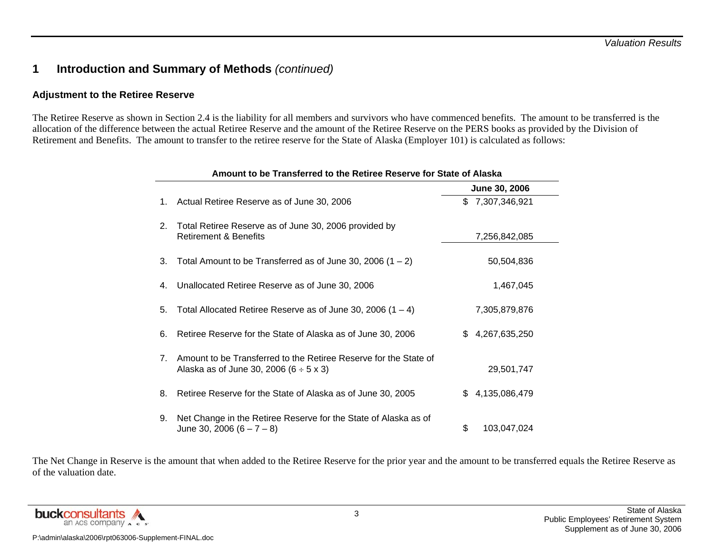#### **Adjustment to the Retiree Reserve**

The Retiree Reserve as shown in Section 2.4 is the liability for all members and survivors who have commenced benefits. The amount to be transferred is the allocation of the difference between the actual Retiree Reserve and the amount of the Retiree Reserve on the PERS books as provided by the Division of Retirement and Benefits. The amount to transfer to the retiree reserve for the State of Alaska (Employer 101) is calculated as follows:

|    | Amount to be Transferred to the Retiree Reserve for State of Alaska                                                  |    |               |  |  |  |  |  |  |  |  |  |
|----|----------------------------------------------------------------------------------------------------------------------|----|---------------|--|--|--|--|--|--|--|--|--|
|    |                                                                                                                      |    | June 30, 2006 |  |  |  |  |  |  |  |  |  |
| 1. | Actual Retiree Reserve as of June 30, 2006                                                                           | \$ | 7,307,346,921 |  |  |  |  |  |  |  |  |  |
| 2. | Total Retiree Reserve as of June 30, 2006 provided by<br>Retirement & Benefits                                       |    | 7,256,842,085 |  |  |  |  |  |  |  |  |  |
| 3. | Total Amount to be Transferred as of June 30, 2006 $(1 – 2)$                                                         |    | 50,504,836    |  |  |  |  |  |  |  |  |  |
| 4. | Unallocated Retiree Reserve as of June 30, 2006                                                                      |    | 1,467,045     |  |  |  |  |  |  |  |  |  |
| 5. | Total Allocated Retiree Reserve as of June 30, 2006 $(1 - 4)$                                                        |    | 7,305,879,876 |  |  |  |  |  |  |  |  |  |
| 6. | Retiree Reserve for the State of Alaska as of June 30, 2006                                                          | \$ | 4,267,635,250 |  |  |  |  |  |  |  |  |  |
| 7. | Amount to be Transferred to the Retiree Reserve for the State of<br>Alaska as of June 30, 2006 $(6 \div 5 \times 3)$ |    | 29,501,747    |  |  |  |  |  |  |  |  |  |
| 8. | Retiree Reserve for the State of Alaska as of June 30, 2005                                                          | \$ | 4,135,086,479 |  |  |  |  |  |  |  |  |  |
| 9. | Net Change in the Retiree Reserve for the State of Alaska as of<br>June 30, 2006 $(6 - 7 - 8)$                       | \$ | 103,047,024   |  |  |  |  |  |  |  |  |  |

The Net Change in Reserve is the amount that when added to the Retiree Reserve for the prior year and the amount to be transferred equals the Retiree Reserve as of the valuation date.

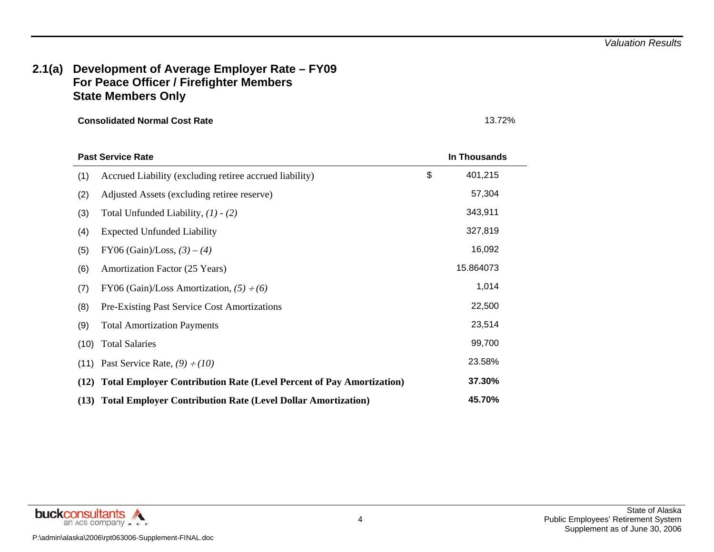#### **2.1(a) Development of Average Employer Rate – FY09 For Peace Officer / Firefighter Members State Members Only**

| <b>Past Service Rate</b>                                                            | In Thousands  |
|-------------------------------------------------------------------------------------|---------------|
| Accrued Liability (excluding retiree accrued liability)<br>(1)                      | \$<br>401,215 |
| (2)<br>Adjusted Assets (excluding retiree reserve)                                  | 57,304        |
| (3)<br>Total Unfunded Liability, $(1) - (2)$                                        | 343,911       |
| <b>Expected Unfunded Liability</b><br>(4)                                           | 327,819       |
| (5)<br>FY06 (Gain)/Loss, $(3) - (4)$                                                | 16,092        |
| (6)<br>Amortization Factor (25 Years)                                               | 15.864073     |
| FY06 (Gain)/Loss Amortization, $(5) \div (6)$<br>(7)                                | 1,014         |
| (8)<br><b>Pre-Existing Past Service Cost Amortizations</b>                          | 22,500        |
| (9)<br><b>Total Amortization Payments</b>                                           | 23,514        |
| <b>Total Salaries</b><br>(10)                                                       | 99,700        |
| Past Service Rate, $(9) \div (10)$<br>(11)                                          | 23.58%        |
| <b>Total Employer Contribution Rate (Level Percent of Pay Amortization)</b><br>(12) | 37.30%        |
| (13) Total Employer Contribution Rate (Level Dollar Amortization)                   | 45.70%        |

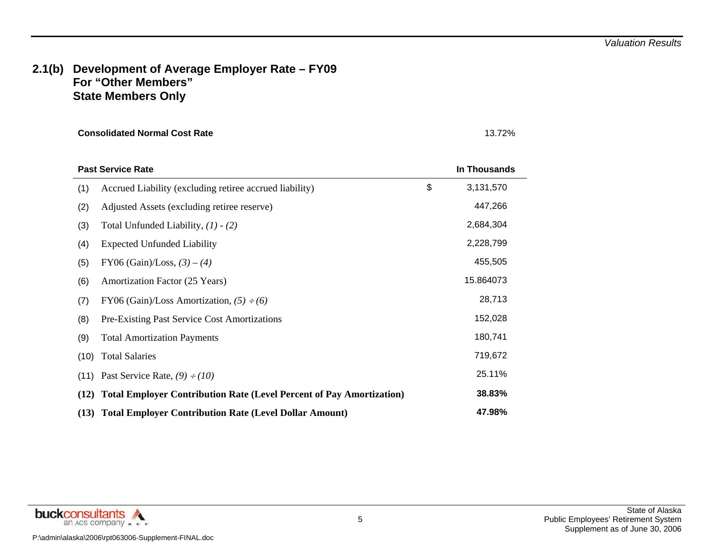#### **2.1(b) Development of Average Employer Rate – FY09 For "Other Members" State Members Only**

|      | <b>Past Service Rate</b>                                                    | In Thousands    |
|------|-----------------------------------------------------------------------------|-----------------|
| (1)  | Accrued Liability (excluding retiree accrued liability)                     | \$<br>3,131,570 |
| (2)  | Adjusted Assets (excluding retiree reserve)                                 | 447,266         |
| (3)  | Total Unfunded Liability, $(1) - (2)$                                       | 2,684,304       |
| (4)  | <b>Expected Unfunded Liability</b>                                          | 2,228,799       |
| (5)  | FY06 (Gain)/Loss, $(3) - (4)$                                               | 455,505         |
| (6)  | Amortization Factor (25 Years)                                              | 15.864073       |
| (7)  | FY06 (Gain)/Loss Amortization, $(5) \div (6)$                               | 28,713          |
| (8)  | <b>Pre-Existing Past Service Cost Amortizations</b>                         | 152,028         |
| (9)  | <b>Total Amortization Payments</b>                                          | 180,741         |
| (10) | <b>Total Salaries</b>                                                       | 719,672         |
| (11) | Past Service Rate, $(9) \div (10)$                                          | 25.11%          |
| (12) | <b>Total Employer Contribution Rate (Level Percent of Pay Amortization)</b> | 38.83%          |
|      | (13) Total Employer Contribution Rate (Level Dollar Amount)                 | 47.98%          |

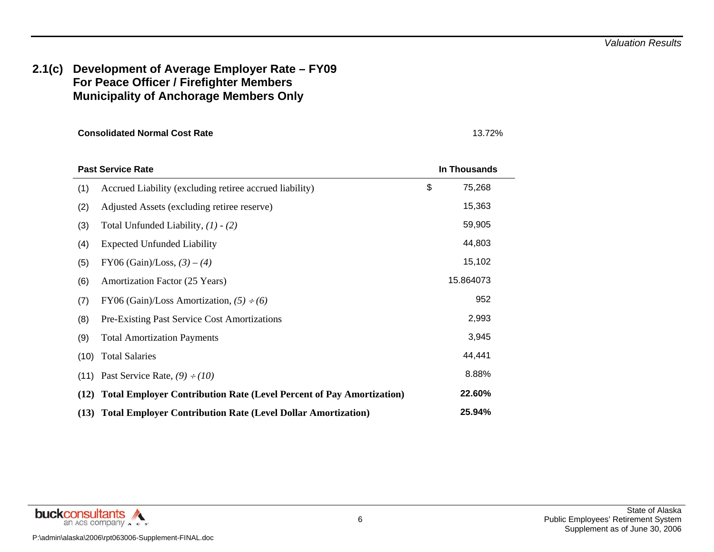#### **2.1(c) Development of Average Employer Rate – FY09 For Peace Officer / Firefighter Members Municipality of Anchorage Members Only**

|      | <b>Past Service Rate</b>                                                    | In Thousands |  |
|------|-----------------------------------------------------------------------------|--------------|--|
| (1)  | Accrued Liability (excluding retiree accrued liability)                     | \$<br>75,268 |  |
| (2)  | Adjusted Assets (excluding retire reserve)                                  | 15,363       |  |
| (3)  | Total Unfunded Liability, $(1) - (2)$                                       | 59,905       |  |
| (4)  | <b>Expected Unfunded Liability</b>                                          | 44,803       |  |
| (5)  | FY06 (Gain)/Loss, $(3) - (4)$                                               | 15,102       |  |
| (6)  | Amortization Factor (25 Years)                                              | 15.864073    |  |
| (7)  | FY06 (Gain)/Loss Amortization, $(5) \div (6)$                               | 952          |  |
| (8)  | Pre-Existing Past Service Cost Amortizations                                | 2,993        |  |
| (9)  | <b>Total Amortization Payments</b>                                          | 3,945        |  |
| (10) | <b>Total Salaries</b>                                                       | 44,441       |  |
| (11) | Past Service Rate, $(9) \div (10)$                                          | 8.88%        |  |
| (12) | <b>Total Employer Contribution Rate (Level Percent of Pay Amortization)</b> | 22.60%       |  |
| (13) | <b>Total Employer Contribution Rate (Level Dollar Amortization)</b>         | 25.94%       |  |

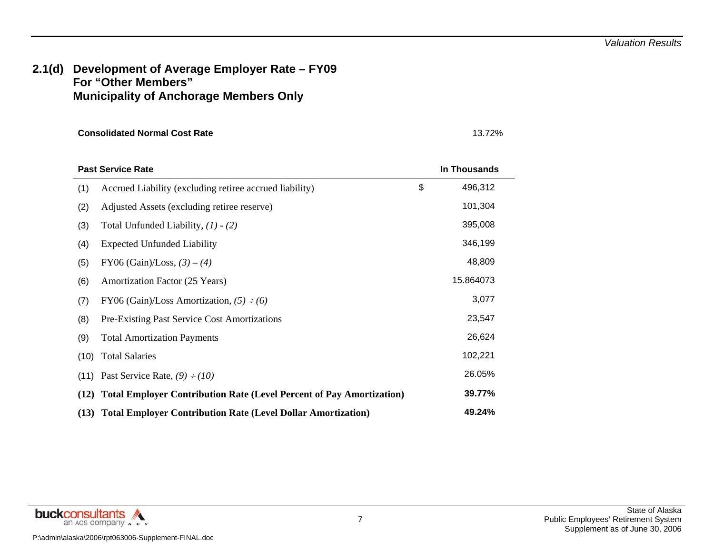#### **2.1(d) Development of Average Employer Rate – FY09 For "Other Members" Municipality of Anchorage Members Only**

|      | <b>Past Service Rate</b>                                                  | In Thousands  |
|------|---------------------------------------------------------------------------|---------------|
| (1)  | Accrued Liability (excluding retiree accrued liability)                   | \$<br>496,312 |
| (2)  | Adjusted Assets (excluding retiree reserve)                               | 101,304       |
| (3)  | Total Unfunded Liability, $(1) - (2)$                                     | 395,008       |
| (4)  | <b>Expected Unfunded Liability</b>                                        | 346,199       |
| (5)  | FY06 (Gain)/Loss, $(3) - (4)$                                             | 48,809        |
| (6)  | Amortization Factor (25 Years)                                            | 15.864073     |
| (7)  | FY06 (Gain)/Loss Amortization, $(5) \div (6)$                             | 3,077         |
| (8)  | <b>Pre-Existing Past Service Cost Amortizations</b>                       | 23,547        |
| (9)  | <b>Total Amortization Payments</b>                                        | 26,624        |
| (10) | <b>Total Salaries</b>                                                     | 102,221       |
| (11) | Past Service Rate, $(9) \div (10)$                                        | 26.05%        |
|      | (12) Total Employer Contribution Rate (Level Percent of Pay Amortization) | 39.77%        |
|      | (13) Total Employer Contribution Rate (Level Dollar Amortization)         | 49.24%        |

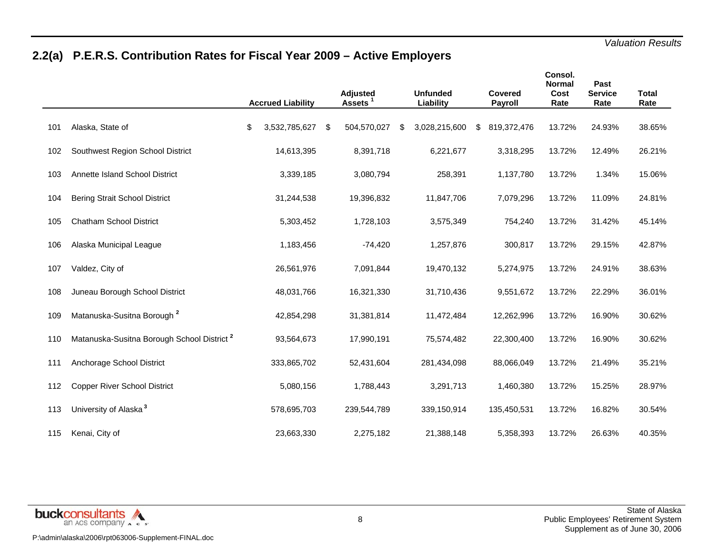# **2.2(a) P.E.R.S. Contribution Rates for Fiscal Year 2009 – Active Employers**

|     |                                                        | <b>Accrued Liability</b> | <b>Adjusted</b><br>Assets <sup>1</sup> |   | <b>Unfunded</b><br>Liability | <b>Covered</b><br><b>Payroll</b> | Consol.<br><b>Normal</b><br>Cost<br>Rate | Past<br><b>Service</b><br>Rate | <b>Total</b><br>Rate |  |
|-----|--------------------------------------------------------|--------------------------|----------------------------------------|---|------------------------------|----------------------------------|------------------------------------------|--------------------------------|----------------------|--|
| 101 | Alaska, State of                                       | \$<br>3,532,785,627      | \$<br>504,570,027                      | S | 3,028,215,600                | \$<br>819,372,476                | 13.72%                                   | 24.93%                         | 38.65%               |  |
| 102 | Southwest Region School District                       | 14,613,395               | 8,391,718                              |   | 6,221,677                    | 3,318,295                        | 13.72%                                   | 12.49%                         | 26.21%               |  |
| 103 | Annette Island School District                         | 3,339,185                | 3,080,794                              |   | 258,391                      | 1,137,780                        | 13.72%                                   | 1.34%                          | 15.06%               |  |
| 104 | <b>Bering Strait School District</b>                   | 31,244,538               | 19,396,832                             |   | 11,847,706                   | 7,079,296                        | 13.72%                                   | 11.09%                         | 24.81%               |  |
| 105 | <b>Chatham School District</b>                         | 5,303,452                | 1,728,103                              |   | 3,575,349                    | 754,240                          | 13.72%                                   | 31.42%                         | 45.14%               |  |
| 106 | Alaska Municipal League                                | 1,183,456                | $-74,420$                              |   | 1,257,876                    | 300,817                          | 13.72%                                   | 29.15%                         | 42.87%               |  |
| 107 | Valdez, City of                                        | 26,561,976               | 7,091,844                              |   | 19,470,132                   | 5,274,975                        | 13.72%                                   | 24.91%                         | 38.63%               |  |
| 108 | Juneau Borough School District                         | 48,031,766               | 16,321,330                             |   | 31,710,436                   | 9,551,672                        | 13.72%                                   | 22.29%                         | 36.01%               |  |
| 109 | Matanuska-Susitna Borough <sup>2</sup>                 | 42,854,298               | 31,381,814                             |   | 11,472,484                   | 12,262,996                       | 13.72%                                   | 16.90%                         | 30.62%               |  |
| 110 | Matanuska-Susitna Borough School District <sup>2</sup> | 93,564,673               | 17,990,191                             |   | 75,574,482                   | 22,300,400                       | 13.72%                                   | 16.90%                         | 30.62%               |  |
| 111 | Anchorage School District                              | 333,865,702              | 52,431,604                             |   | 281,434,098                  | 88,066,049                       | 13.72%                                   | 21.49%                         | 35.21%               |  |
| 112 | <b>Copper River School District</b>                    | 5,080,156                | 1,788,443                              |   | 3,291,713                    | 1,460,380                        | 13.72%                                   | 15.25%                         | 28.97%               |  |
| 113 | University of Alaska <sup>3</sup>                      | 578,695,703              | 239,544,789                            |   | 339,150,914                  | 135,450,531                      | 13.72%                                   | 16.82%                         | 30.54%               |  |
| 115 | Kenai, City of                                         | 23,663,330               | 2,275,182                              |   | 21,388,148                   | 5,358,393                        | 13.72%                                   | 26.63%                         | 40.35%               |  |

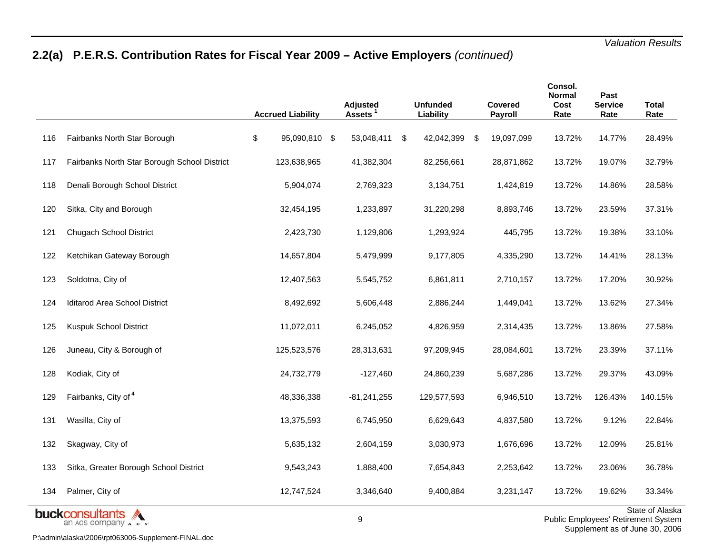# **2.2(a) P.E.R.S. Contribution Rates for Fiscal Year 2009 – Active Employers** *(continued)*

|     |                                                                    | <b>Accrued Liability</b> | Adjusted<br><b>Assets</b> |    | <b>Unfunded</b><br>Liability |     | <b>Covered</b><br>Payroll | Consol.<br><b>Normal</b><br>Cost<br>Rate | Past<br><b>Service</b><br>Rate | <b>Total</b><br>Rate                                                                                                                                                                                                                                                                                                                                                                   |
|-----|--------------------------------------------------------------------|--------------------------|---------------------------|----|------------------------------|-----|---------------------------|------------------------------------------|--------------------------------|----------------------------------------------------------------------------------------------------------------------------------------------------------------------------------------------------------------------------------------------------------------------------------------------------------------------------------------------------------------------------------------|
| 116 | Fairbanks North Star Borough                                       | \$<br>95,090,810 \$      | 53,048,411                | S. | 42,042,399                   | -\$ | 19,097,099                | 13.72%                                   | 14.77%                         | 28.49%                                                                                                                                                                                                                                                                                                                                                                                 |
| 117 | Fairbanks North Star Borough School District                       | 123,638,965              | 41,382,304                |    | 82,256,661                   |     | 28,871,862                | 13.72%                                   | 19.07%                         | 32.79%                                                                                                                                                                                                                                                                                                                                                                                 |
| 118 | Denali Borough School District                                     | 5,904,074                | 2,769,323                 |    | 3,134,751                    |     | 1,424,819                 | 13.72%                                   | 14.86%                         | 28.58%                                                                                                                                                                                                                                                                                                                                                                                 |
| 120 | Sitka, City and Borough                                            | 32,454,195               | 1,233,897                 |    | 31,220,298                   |     | 8,893,746                 | 13.72%                                   | 23.59%                         | 37.31%                                                                                                                                                                                                                                                                                                                                                                                 |
| 121 | <b>Chugach School District</b>                                     | 2,423,730                | 1,129,806                 |    | 1,293,924                    |     | 445,795                   | 13.72%                                   | 19.38%                         | 33.10%                                                                                                                                                                                                                                                                                                                                                                                 |
| 122 | Ketchikan Gateway Borough                                          | 14,657,804               | 5,479,999                 |    | 9,177,805                    |     | 4,335,290                 | 13.72%                                   | 14.41%                         | 28.13%                                                                                                                                                                                                                                                                                                                                                                                 |
| 123 | Soldotna, City of                                                  | 12,407,563               | 5,545,752                 |    | 6,861,811                    |     | 2,710,157                 | 13.72%                                   | 17.20%                         | 30.92%                                                                                                                                                                                                                                                                                                                                                                                 |
| 124 | Iditarod Area School District                                      | 8,492,692                | 5,606,448                 |    | 2,886,244                    |     | 1,449,041                 | 13.72%                                   | 13.62%                         | 27.34%                                                                                                                                                                                                                                                                                                                                                                                 |
| 125 | Kuspuk School District                                             | 11,072,011               | 6,245,052                 |    | 4,826,959                    |     | 2,314,435                 | 13.72%                                   | 13.86%                         | 27.58%                                                                                                                                                                                                                                                                                                                                                                                 |
| 126 | Juneau, City & Borough of                                          | 125,523,576              | 28,313,631                |    | 97,209,945                   |     | 28,084,601                | 13.72%                                   | 23.39%                         | 37.11%                                                                                                                                                                                                                                                                                                                                                                                 |
| 128 | Kodiak, City of                                                    | 24,732,779               | $-127,460$                |    | 24,860,239                   |     | 5,687,286                 | 13.72%                                   | 29.37%                         | 43.09%                                                                                                                                                                                                                                                                                                                                                                                 |
| 129 | Fairbanks, City of 4                                               | 48,336,338               | $-81,241,255$             |    | 129,577,593                  |     | 6,946,510                 | 13.72%                                   | 126.43%                        | 140.15%                                                                                                                                                                                                                                                                                                                                                                                |
| 131 | Wasilla, City of                                                   | 13,375,593               | 6,745,950                 |    | 6,629,643                    |     | 4,837,580                 | 13.72%                                   | 9.12%                          | 22.84%                                                                                                                                                                                                                                                                                                                                                                                 |
| 132 | Skagway, City of                                                   | 5,635,132                | 2,604,159                 |    | 3,030,973                    |     | 1,676,696                 | 13.72%                                   | 12.09%                         | 25.81%                                                                                                                                                                                                                                                                                                                                                                                 |
| 133 | Sitka, Greater Borough School District                             | 9,543,243                | 1,888,400                 |    | 7,654,843                    |     | 2,253,642                 | 13.72%                                   | 23.06%                         | 36.78%                                                                                                                                                                                                                                                                                                                                                                                 |
| 134 | Palmer, City of                                                    | 12,747,524               | 3,346,640                 |    | 9,400,884                    |     | 3,231,147                 | 13.72%                                   | 19.62%                         | 33.34%                                                                                                                                                                                                                                                                                                                                                                                 |
|     | <b>buckc</b> onsultants<br>an ACS company $\land$ c s <sup>o</sup> |                          | 9                         |    |                              |     |                           |                                          |                                | <b>State of Alaska</b><br>Public Employees' Retirement System<br>$22.4$ $\frac{1}{2}$ $\frac{1}{2}$ $\frac{1}{2}$ $\frac{1}{2}$ $\frac{1}{2}$ $\frac{1}{2}$ $\frac{1}{2}$ $\frac{1}{2}$ $\frac{1}{2}$ $\frac{1}{2}$ $\frac{1}{2}$ $\frac{1}{2}$ $\frac{1}{2}$ $\frac{1}{2}$ $\frac{1}{2}$ $\frac{1}{2}$ $\frac{1}{2}$ $\frac{1}{2}$ $\frac{1}{2}$ $\frac{1}{2}$ $\frac{1}{2}$ $\frac{$ |

P:\admin\alaska\2006\rpt063006-Supplement-FINAL.doc

State of Alaska Public Employees' Retirement System Supplement as of June 30, 2006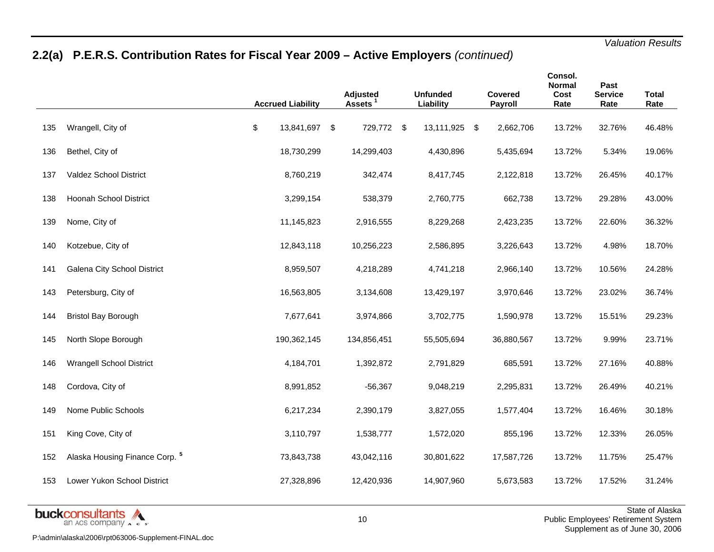# **2.2(a) P.E.R.S. Contribution Rates for Fiscal Year 2009 – Active Employers** *(continued)*

|     |                                           | <b>Accrued Liability</b> | <b>Adjusted</b><br>Assets <sup>1</sup> | <b>Unfunded</b><br>Liability | <b>Covered</b><br>Payroll | Consol.<br><b>Normal</b><br>Cost<br>Rate | Past<br><b>Service</b><br>Rate | <b>Total</b><br>Rate |
|-----|-------------------------------------------|--------------------------|----------------------------------------|------------------------------|---------------------------|------------------------------------------|--------------------------------|----------------------|
| 135 | Wrangell, City of                         | \$<br>13,841,697         | \$<br>729,772 \$                       | 13,111,925 \$                | 2,662,706                 | 13.72%                                   | 32.76%                         | 46.48%               |
| 136 | Bethel, City of                           | 18,730,299               | 14,299,403                             | 4,430,896                    | 5,435,694                 | 13.72%                                   | 5.34%                          | 19.06%               |
| 137 | Valdez School District                    | 8,760,219                | 342,474                                | 8,417,745                    | 2,122,818                 | 13.72%                                   | 26.45%                         | 40.17%               |
| 138 | Hoonah School District                    | 3,299,154                | 538,379                                | 2,760,775                    | 662,738                   | 13.72%                                   | 29.28%                         | 43.00%               |
| 139 | Nome, City of                             | 11,145,823               | 2,916,555                              | 8,229,268                    | 2,423,235                 | 13.72%                                   | 22.60%                         | 36.32%               |
| 140 | Kotzebue, City of                         | 12,843,118               | 10,256,223                             | 2,586,895                    | 3,226,643                 | 13.72%                                   | 4.98%                          | 18.70%               |
| 141 | Galena City School District               | 8,959,507                | 4,218,289                              | 4,741,218                    | 2,966,140                 | 13.72%                                   | 10.56%                         | 24.28%               |
| 143 | Petersburg, City of                       | 16,563,805               | 3,134,608                              | 13,429,197                   | 3,970,646                 | 13.72%                                   | 23.02%                         | 36.74%               |
| 144 | <b>Bristol Bay Borough</b>                | 7,677,641                | 3,974,866                              | 3,702,775                    | 1,590,978                 | 13.72%                                   | 15.51%                         | 29.23%               |
| 145 | North Slope Borough                       | 190,362,145              | 134,856,451                            | 55,505,694                   | 36,880,567                | 13.72%                                   | 9.99%                          | 23.71%               |
| 146 | <b>Wrangell School District</b>           | 4,184,701                | 1,392,872                              | 2,791,829                    | 685,591                   | 13.72%                                   | 27.16%                         | 40.88%               |
| 148 | Cordova, City of                          | 8,991,852                | $-56,367$                              | 9,048,219                    | 2,295,831                 | 13.72%                                   | 26.49%                         | 40.21%               |
| 149 | Nome Public Schools                       | 6,217,234                | 2,390,179                              | 3,827,055                    | 1,577,404                 | 13.72%                                   | 16.46%                         | 30.18%               |
| 151 | King Cove, City of                        | 3,110,797                | 1,538,777                              | 1,572,020                    | 855,196                   | 13.72%                                   | 12.33%                         | 26.05%               |
| 152 | Alaska Housing Finance Corp. <sup>5</sup> | 73,843,738               | 43,042,116                             | 30,801,622                   | 17,587,726                | 13.72%                                   | 11.75%                         | 25.47%               |
| 153 | Lower Yukon School District               | 27,328,896               | 12,420,936                             | 14,907,960                   | 5,673,583                 | 13.72%                                   | 17.52%                         | 31.24%               |
|     |                                           |                          |                                        |                              |                           |                                          |                                |                      |

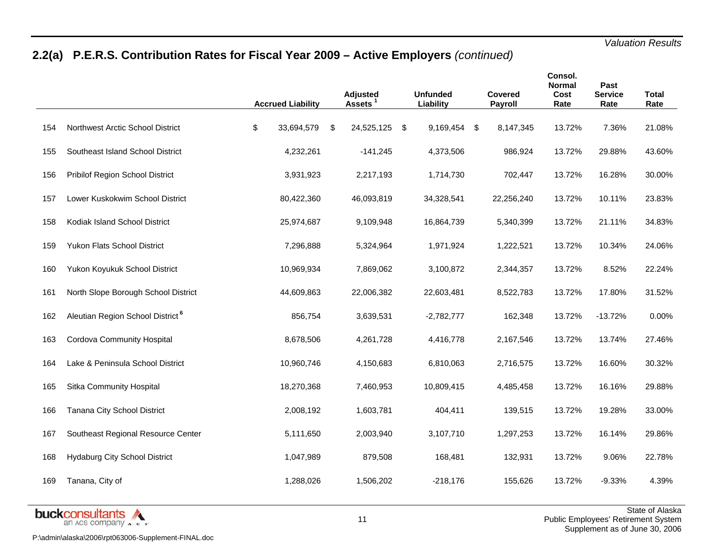# **2.2(a) P.E.R.S. Contribution Rates for Fiscal Year 2009 – Active Employers** *(continued)*

|     |                                              | <b>Accrued Liability</b> | Adjusted<br><b>Assets</b> |      | <b>Unfunded</b><br>Liability | Covered<br>Payroll | Consol.<br><b>Normal</b><br>Cost<br>Rate | Past<br><b>Service</b><br>Rate | <b>Total</b><br>Rate |
|-----|----------------------------------------------|--------------------------|---------------------------|------|------------------------------|--------------------|------------------------------------------|--------------------------------|----------------------|
| 154 | Northwest Arctic School District             | \$<br>33,694,579         | \$<br>24,525,125          | - \$ | 9,169,454 \$                 | 8,147,345          | 13.72%                                   | 7.36%                          | 21.08%               |
| 155 | Southeast Island School District             | 4,232,261                | $-141,245$                |      | 4,373,506                    | 986,924            | 13.72%                                   | 29.88%                         | 43.60%               |
| 156 | Pribilof Region School District              | 3,931,923                | 2,217,193                 |      | 1,714,730                    | 702,447            | 13.72%                                   | 16.28%                         | 30.00%               |
| 157 | Lower Kuskokwim School District              | 80,422,360               | 46,093,819                |      | 34,328,541                   | 22,256,240         | 13.72%                                   | 10.11%                         | 23.83%               |
| 158 | Kodiak Island School District                | 25,974,687               | 9,109,948                 |      | 16,864,739                   | 5,340,399          | 13.72%                                   | 21.11%                         | 34.83%               |
| 159 | Yukon Flats School District                  | 7,296,888                | 5,324,964                 |      | 1,971,924                    | 1,222,521          | 13.72%                                   | 10.34%                         | 24.06%               |
| 160 | Yukon Koyukuk School District                | 10,969,934               | 7,869,062                 |      | 3,100,872                    | 2,344,357          | 13.72%                                   | 8.52%                          | 22.24%               |
| 161 | North Slope Borough School District          | 44,609,863               | 22,006,382                |      | 22,603,481                   | 8,522,783          | 13.72%                                   | 17.80%                         | 31.52%               |
| 162 | Aleutian Region School District <sup>6</sup> | 856,754                  | 3,639,531                 |      | $-2,782,777$                 | 162,348            | 13.72%                                   | $-13.72%$                      | 0.00%                |
| 163 | Cordova Community Hospital                   | 8,678,506                | 4,261,728                 |      | 4,416,778                    | 2,167,546          | 13.72%                                   | 13.74%                         | 27.46%               |
| 164 | Lake & Peninsula School District             | 10,960,746               | 4,150,683                 |      | 6,810,063                    | 2,716,575          | 13.72%                                   | 16.60%                         | 30.32%               |
| 165 | Sitka Community Hospital                     | 18,270,368               | 7,460,953                 |      | 10,809,415                   | 4,485,458          | 13.72%                                   | 16.16%                         | 29.88%               |
| 166 | Tanana City School District                  | 2,008,192                | 1,603,781                 |      | 404,411                      | 139,515            | 13.72%                                   | 19.28%                         | 33.00%               |
| 167 | Southeast Regional Resource Center           | 5,111,650                | 2,003,940                 |      | 3,107,710                    | 1,297,253          | 13.72%                                   | 16.14%                         | 29.86%               |
| 168 | <b>Hydaburg City School District</b>         | 1,047,989                | 879,508                   |      | 168,481                      | 132,931            | 13.72%                                   | 9.06%                          | 22.78%               |
| 169 | Tanana, City of                              | 1,288,026                | 1,506,202                 |      | -218,176                     | 155,626            | 13.72%                                   | $-9.33%$                       | 4.39%                |

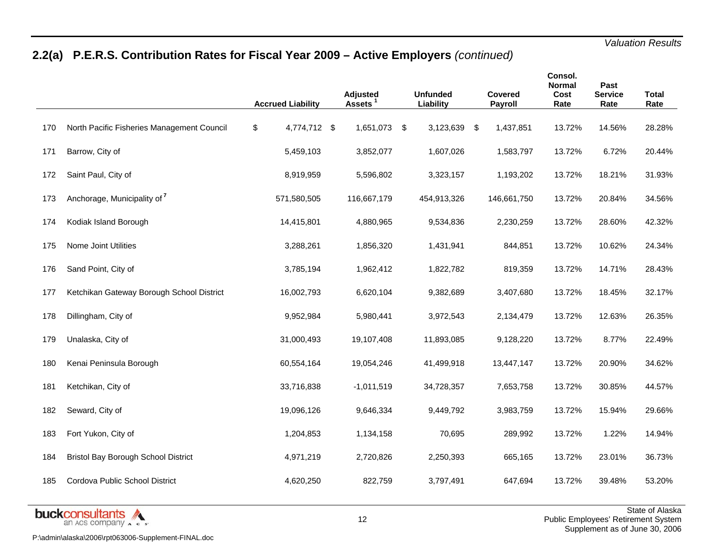# **2.2(a) P.E.R.S. Contribution Rates for Fiscal Year 2009 – Active Employers** *(continued)*

|     |                                            | <b>Accrued Liability</b> | Adjusted<br>Assets <sup>1</sup> | <b>Unfunded</b><br>Liability | Covered<br>Payroll | Consol.<br><b>Normal</b><br>Cost<br>Rate | Past<br><b>Service</b><br>Rate | <b>Total</b><br>Rate |
|-----|--------------------------------------------|--------------------------|---------------------------------|------------------------------|--------------------|------------------------------------------|--------------------------------|----------------------|
| 170 | North Pacific Fisheries Management Council | \$<br>4,774,712 \$       | 1,651,073 \$                    | 3,123,639 \$                 | 1,437,851          | 13.72%                                   | 14.56%                         | 28.28%               |
| 171 | Barrow, City of                            | 5,459,103                | 3,852,077                       | 1,607,026                    | 1,583,797          | 13.72%                                   | 6.72%                          | 20.44%               |
| 172 | Saint Paul, City of                        | 8,919,959                | 5,596,802                       | 3,323,157                    | 1,193,202          | 13.72%                                   | 18.21%                         | 31.93%               |
| 173 | Anchorage, Municipality of 7               | 571,580,505              | 116,667,179                     | 454,913,326                  | 146,661,750        | 13.72%                                   | 20.84%                         | 34.56%               |
| 174 | Kodiak Island Borough                      | 14,415,801               | 4,880,965                       | 9,534,836                    | 2,230,259          | 13.72%                                   | 28.60%                         | 42.32%               |
| 175 | Nome Joint Utilities                       | 3,288,261                | 1,856,320                       | 1,431,941                    | 844,851            | 13.72%                                   | 10.62%                         | 24.34%               |
| 176 | Sand Point, City of                        | 3,785,194                | 1,962,412                       | 1,822,782                    | 819,359            | 13.72%                                   | 14.71%                         | 28.43%               |
| 177 | Ketchikan Gateway Borough School District  | 16,002,793               | 6,620,104                       | 9,382,689                    | 3,407,680          | 13.72%                                   | 18.45%                         | 32.17%               |
| 178 | Dillingham, City of                        | 9,952,984                | 5,980,441                       | 3,972,543                    | 2,134,479          | 13.72%                                   | 12.63%                         | 26.35%               |
| 179 | Unalaska, City of                          | 31,000,493               | 19,107,408                      | 11,893,085                   | 9,128,220          | 13.72%                                   | 8.77%                          | 22.49%               |
| 180 | Kenai Peninsula Borough                    | 60,554,164               | 19,054,246                      | 41,499,918                   | 13,447,147         | 13.72%                                   | 20.90%                         | 34.62%               |
| 181 | Ketchikan, City of                         | 33,716,838               | $-1,011,519$                    | 34,728,357                   | 7,653,758          | 13.72%                                   | 30.85%                         | 44.57%               |
| 182 | Seward, City of                            | 19,096,126               | 9,646,334                       | 9,449,792                    | 3,983,759          | 13.72%                                   | 15.94%                         | 29.66%               |
| 183 | Fort Yukon, City of                        | 1,204,853                | 1,134,158                       | 70,695                       | 289,992            | 13.72%                                   | 1.22%                          | 14.94%               |
| 184 | <b>Bristol Bay Borough School District</b> | 4,971,219                | 2,720,826                       | 2,250,393                    | 665,165            | 13.72%                                   | 23.01%                         | 36.73%               |
| 185 | Cordova Public School District             | 4,620,250                | 822,759                         | 3,797,491                    | 647,694            | 13.72%                                   | 39.48%                         | 53.20%               |
|     |                                            |                          |                                 |                              |                    |                                          |                                |                      |

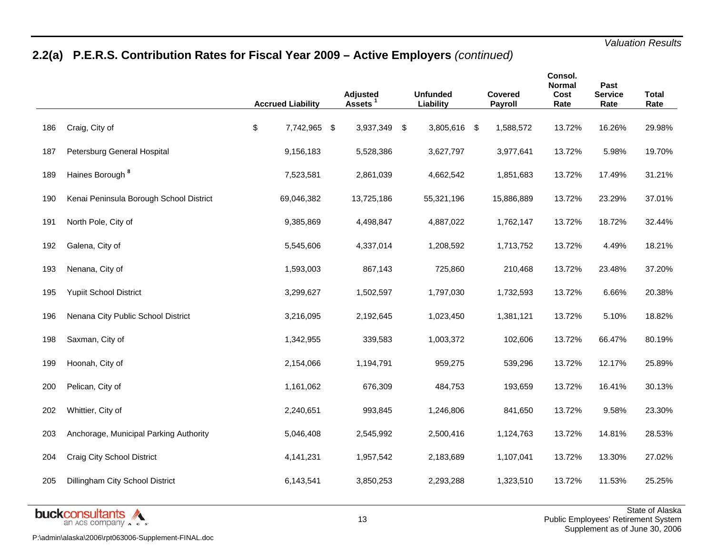# **2.2(a) P.E.R.S. Contribution Rates for Fiscal Year 2009 – Active Employers** *(continued)*

|     |                                         | <b>Accrued Liability</b> | <b>Adjusted</b><br><b>Assets</b> |     | <b>Unfunded</b><br>Liability | <b>Covered</b><br>Payroll | Consol.<br><b>Normal</b><br>Cost<br>Rate | Past<br><b>Service</b><br>Rate | <b>Total</b><br>Rate |
|-----|-----------------------------------------|--------------------------|----------------------------------|-----|------------------------------|---------------------------|------------------------------------------|--------------------------------|----------------------|
| 186 | Craig, City of                          | \$<br>7,742,965 \$       | 3,937,349                        | -\$ | 3,805,616 \$                 | 1,588,572                 | 13.72%                                   | 16.26%                         | 29.98%               |
| 187 | Petersburg General Hospital             | 9,156,183                | 5,528,386                        |     | 3,627,797                    | 3,977,641                 | 13.72%                                   | 5.98%                          | 19.70%               |
| 189 | Haines Borough <sup>8</sup>             | 7,523,581                | 2,861,039                        |     | 4,662,542                    | 1,851,683                 | 13.72%                                   | 17.49%                         | 31.21%               |
| 190 | Kenai Peninsula Borough School District | 69,046,382               | 13,725,186                       |     | 55,321,196                   | 15,886,889                | 13.72%                                   | 23.29%                         | 37.01%               |
| 191 | North Pole, City of                     | 9,385,869                | 4,498,847                        |     | 4,887,022                    | 1,762,147                 | 13.72%                                   | 18.72%                         | 32.44%               |
| 192 | Galena, City of                         | 5,545,606                | 4,337,014                        |     | 1,208,592                    | 1,713,752                 | 13.72%                                   | 4.49%                          | 18.21%               |
| 193 | Nenana, City of                         | 1,593,003                | 867,143                          |     | 725,860                      | 210,468                   | 13.72%                                   | 23.48%                         | 37.20%               |
| 195 | <b>Yupiit School District</b>           | 3,299,627                | 1,502,597                        |     | 1,797,030                    | 1,732,593                 | 13.72%                                   | 6.66%                          | 20.38%               |
| 196 | Nenana City Public School District      | 3,216,095                | 2,192,645                        |     | 1,023,450                    | 1,381,121                 | 13.72%                                   | 5.10%                          | 18.82%               |
| 198 | Saxman, City of                         | 1,342,955                | 339,583                          |     | 1,003,372                    | 102,606                   | 13.72%                                   | 66.47%                         | 80.19%               |
| 199 | Hoonah, City of                         | 2,154,066                | 1,194,791                        |     | 959,275                      | 539,296                   | 13.72%                                   | 12.17%                         | 25.89%               |
| 200 | Pelican, City of                        | 1,161,062                | 676,309                          |     | 484,753                      | 193,659                   | 13.72%                                   | 16.41%                         | 30.13%               |
| 202 | Whittier, City of                       | 2,240,651                | 993,845                          |     | 1,246,806                    | 841,650                   | 13.72%                                   | 9.58%                          | 23.30%               |
| 203 | Anchorage, Municipal Parking Authority  | 5,046,408                | 2,545,992                        |     | 2,500,416                    | 1,124,763                 | 13.72%                                   | 14.81%                         | 28.53%               |
| 204 | <b>Craig City School District</b>       | 4,141,231                | 1,957,542                        |     | 2,183,689                    | 1,107,041                 | 13.72%                                   | 13.30%                         | 27.02%               |
| 205 | Dillingham City School District         | 6,143,541                | 3,850,253                        |     | 2,293,288                    | 1,323,510                 | 13.72%                                   | 11.53%                         | 25.25%               |
|     |                                         |                          |                                  |     |                              |                           |                                          |                                |                      |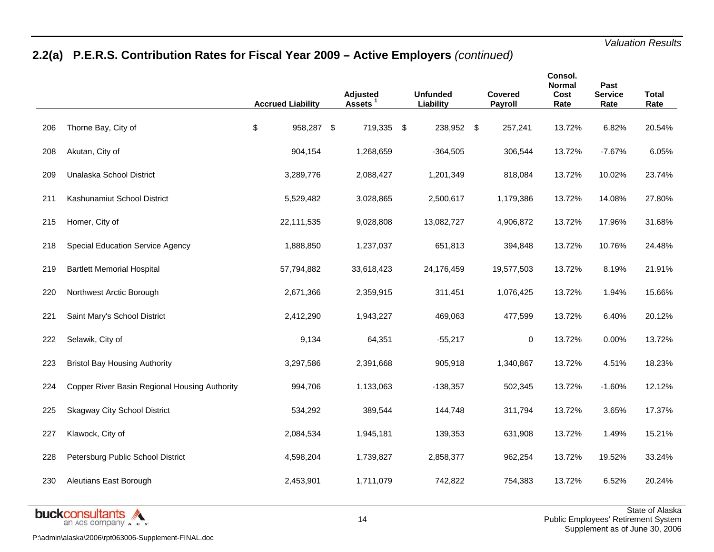# **2.2(a) P.E.R.S. Contribution Rates for Fiscal Year 2009 – Active Employers** *(continued)*

|     |                                               | <b>Accrued Liability</b> | Adjusted<br>Assets <sup>1</sup> | <b>Unfunded</b><br>Liability | <b>Covered</b><br>Payroll | Consol.<br><b>Normal</b><br>Cost<br>Rate | Past<br><b>Service</b><br>Rate | <b>Total</b><br>Rate |
|-----|-----------------------------------------------|--------------------------|---------------------------------|------------------------------|---------------------------|------------------------------------------|--------------------------------|----------------------|
| 206 | Thorne Bay, City of                           | \$<br>958,287 \$         | 719,335 \$                      | 238,952 \$                   | 257,241                   | 13.72%                                   | 6.82%                          | 20.54%               |
| 208 | Akutan, City of                               | 904,154                  | 1,268,659                       | $-364,505$                   | 306,544                   | 13.72%                                   | $-7.67%$                       | 6.05%                |
| 209 | Unalaska School District                      | 3,289,776                | 2,088,427                       | 1,201,349                    | 818,084                   | 13.72%                                   | 10.02%                         | 23.74%               |
| 211 | Kashunamiut School District                   | 5,529,482                | 3,028,865                       | 2,500,617                    | 1,179,386                 | 13.72%                                   | 14.08%                         | 27.80%               |
| 215 | Homer, City of                                | 22,111,535               | 9,028,808                       | 13,082,727                   | 4,906,872                 | 13.72%                                   | 17.96%                         | 31.68%               |
| 218 | <b>Special Education Service Agency</b>       | 1,888,850                | 1,237,037                       | 651,813                      | 394,848                   | 13.72%                                   | 10.76%                         | 24.48%               |
| 219 | <b>Bartlett Memorial Hospital</b>             | 57,794,882               | 33,618,423                      | 24,176,459                   | 19,577,503                | 13.72%                                   | 8.19%                          | 21.91%               |
| 220 | Northwest Arctic Borough                      | 2,671,366                | 2,359,915                       | 311,451                      | 1,076,425                 | 13.72%                                   | 1.94%                          | 15.66%               |
| 221 | Saint Mary's School District                  | 2,412,290                | 1,943,227                       | 469,063                      | 477,599                   | 13.72%                                   | 6.40%                          | 20.12%               |
| 222 | Selawik, City of                              | 9,134                    | 64,351                          | $-55,217$                    | 0                         | 13.72%                                   | 0.00%                          | 13.72%               |
| 223 | <b>Bristol Bay Housing Authority</b>          | 3,297,586                | 2,391,668                       | 905,918                      | 1,340,867                 | 13.72%                                   | 4.51%                          | 18.23%               |
| 224 | Copper River Basin Regional Housing Authority | 994,706                  | 1,133,063                       | $-138,357$                   | 502,345                   | 13.72%                                   | $-1.60%$                       | 12.12%               |
| 225 | <b>Skagway City School District</b>           | 534,292                  | 389,544                         | 144,748                      | 311,794                   | 13.72%                                   | 3.65%                          | 17.37%               |
| 227 | Klawock, City of                              | 2,084,534                | 1,945,181                       | 139,353                      | 631,908                   | 13.72%                                   | 1.49%                          | 15.21%               |
| 228 | Petersburg Public School District             | 4,598,204                | 1,739,827                       | 2,858,377                    | 962,254                   | 13.72%                                   | 19.52%                         | 33.24%               |
| 230 | Aleutians East Borough                        | 2,453,901                | 1,711,079                       | 742,822                      | 754,383                   | 13.72%                                   | 6.52%                          | 20.24%               |

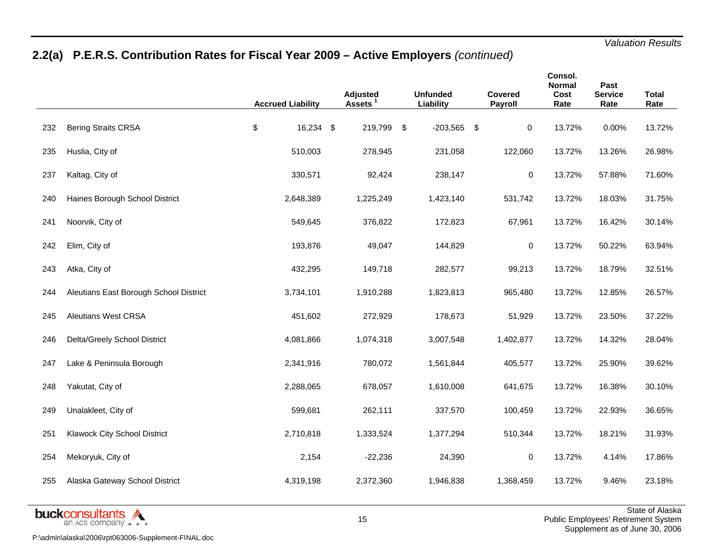# **2.2(a) P.E.R.S. Contribution Rates for Fiscal Year 2009 – Active Employers** *(continued)*

|                                        | <b>Accrued Liability</b> | <b>Adjusted</b><br>Assets <sup>1</sup> | <b>Unfunded</b><br>Liability | Covered<br>Payroll | Consol.<br><b>Normal</b><br>Cost<br>Rate | Past<br><b>Service</b><br>Rate | <b>Total</b><br>Rate |
|----------------------------------------|--------------------------|----------------------------------------|------------------------------|--------------------|------------------------------------------|--------------------------------|----------------------|
| <b>Bering Straits CRSA</b>             | \$                       | 219,799                                | \$                           | 0                  | 13.72%                                   | 0.00%                          | 13.72%               |
| Huslia, City of                        | 510,003                  | 278,945                                | 231,058                      | 122,060            | 13.72%                                   | 13.26%                         | 26.98%               |
| Kaltag, City of                        | 330,571                  | 92,424                                 | 238,147                      | $\pmb{0}$          | 13.72%                                   | 57.88%                         | 71.60%               |
| Haines Borough School District         | 2,648,389                | 1,225,249                              | 1,423,140                    | 531,742            | 13.72%                                   | 18.03%                         | 31.75%               |
| Noorvik, City of                       | 549,645                  | 376,822                                | 172,823                      | 67,961             | 13.72%                                   | 16.42%                         | 30.14%               |
| Elim, City of                          | 193,876                  | 49,047                                 | 144,829                      | $\pmb{0}$          | 13.72%                                   | 50.22%                         | 63.94%               |
| Atka, City of                          | 432,295                  | 149,718                                | 282,577                      | 99,213             | 13.72%                                   | 18.79%                         | 32.51%               |
| Aleutians East Borough School District | 3,734,101                | 1,910,288                              | 1,823,813                    | 965,480            | 13.72%                                   | 12.85%                         | 26.57%               |
| <b>Aleutians West CRSA</b>             | 451,602                  | 272,929                                | 178,673                      | 51,929             | 13.72%                                   | 23.50%                         | 37.22%               |
| Delta/Greely School District           | 4,081,866                | 1,074,318                              | 3,007,548                    | 1,402,877          | 13.72%                                   | 14.32%                         | 28.04%               |
| Lake & Peninsula Borough               | 2,341,916                | 780,072                                | 1,561,844                    | 405,577            | 13.72%                                   | 25.90%                         | 39.62%               |
| Yakutat, City of                       | 2,288,065                | 678,057                                | 1,610,008                    | 641,675            | 13.72%                                   | 16.38%                         | 30.10%               |
| Unalakleet, City of                    | 599,681                  | 262,111                                | 337,570                      | 100,459            | 13.72%                                   | 22.93%                         | 36.65%               |
| Klawock City School District           | 2,710,818                | 1,333,524                              | 1,377,294                    | 510,344            | 13.72%                                   | 18.21%                         | 31.93%               |
| Mekoryuk, City of                      | 2,154                    | $-22,236$                              | 24,390                       | $\mathbf 0$        | 13.72%                                   | 4.14%                          | 17.86%               |
| Alaska Gateway School District         | 4,319,198                | 2,372,360                              | 1,946,838                    | 1,368,459          | 13.72%                                   | 9.46%                          | 23.18%               |
|                                        |                          | 16,234 \$                              |                              | $-203,565$ \$      |                                          |                                |                      |

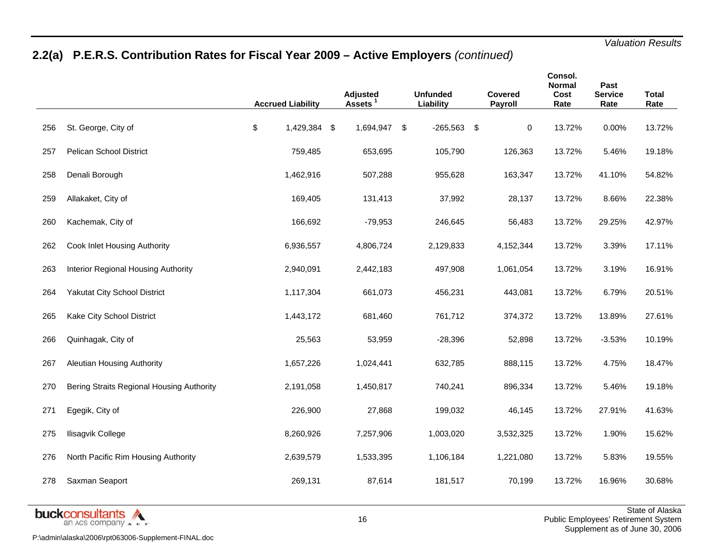# **2.2(a) P.E.R.S. Contribution Rates for Fiscal Year 2009 – Active Employers** *(continued)*

|     |                                           | <b>Accrued Liability</b> | Adjusted<br>Assets <sup>1</sup> | <b>Unfunded</b><br>Liability | <b>Covered</b><br>Payroll | Consol.<br><b>Normal</b><br>Cost<br>Rate | Past<br><b>Service</b><br>Rate | <b>Total</b><br>Rate |
|-----|-------------------------------------------|--------------------------|---------------------------------|------------------------------|---------------------------|------------------------------------------|--------------------------------|----------------------|
| 256 | St. George, City of                       | \$<br>1,429,384 \$       | 1,694,947                       | \$<br>$-265,563$ \$          | $\mathbf 0$               | 13.72%                                   | 0.00%                          | 13.72%               |
| 257 | <b>Pelican School District</b>            | 759,485                  | 653,695                         | 105,790                      | 126,363                   | 13.72%                                   | 5.46%                          | 19.18%               |
| 258 | Denali Borough                            | 1,462,916                | 507,288                         | 955,628                      | 163,347                   | 13.72%                                   | 41.10%                         | 54.82%               |
| 259 | Allakaket, City of                        | 169,405                  | 131,413                         | 37,992                       | 28,137                    | 13.72%                                   | 8.66%                          | 22.38%               |
| 260 | Kachemak, City of                         | 166,692                  | $-79,953$                       | 246,645                      | 56,483                    | 13.72%                                   | 29.25%                         | 42.97%               |
| 262 | Cook Inlet Housing Authority              | 6,936,557                | 4,806,724                       | 2,129,833                    | 4,152,344                 | 13.72%                                   | 3.39%                          | 17.11%               |
| 263 | Interior Regional Housing Authority       | 2,940,091                | 2,442,183                       | 497,908                      | 1,061,054                 | 13.72%                                   | 3.19%                          | 16.91%               |
| 264 | Yakutat City School District              | 1,117,304                | 661,073                         | 456,231                      | 443,081                   | 13.72%                                   | 6.79%                          | 20.51%               |
| 265 | Kake City School District                 | 1,443,172                | 681,460                         | 761,712                      | 374,372                   | 13.72%                                   | 13.89%                         | 27.61%               |
| 266 | Quinhagak, City of                        | 25,563                   | 53,959                          | $-28,396$                    | 52,898                    | 13.72%                                   | $-3.53%$                       | 10.19%               |
| 267 | Aleutian Housing Authority                | 1,657,226                | 1,024,441                       | 632,785                      | 888,115                   | 13.72%                                   | 4.75%                          | 18.47%               |
| 270 | Bering Straits Regional Housing Authority | 2,191,058                | 1,450,817                       | 740,241                      | 896,334                   | 13.72%                                   | 5.46%                          | 19.18%               |
| 271 | Egegik, City of                           | 226,900                  | 27,868                          | 199,032                      | 46,145                    | 13.72%                                   | 27.91%                         | 41.63%               |
| 275 | Ilisagvik College                         | 8,260,926                | 7,257,906                       | 1,003,020                    | 3,532,325                 | 13.72%                                   | 1.90%                          | 15.62%               |
| 276 | North Pacific Rim Housing Authority       | 2,639,579                | 1,533,395                       | 1,106,184                    | 1,221,080                 | 13.72%                                   | 5.83%                          | 19.55%               |
| 278 | Saxman Seaport                            | 269,131                  | 87,614                          | 181,517                      | 70,199                    | 13.72%                                   | 16.96%                         | 30.68%               |
|     |                                           |                          |                                 |                              |                           |                                          |                                |                      |

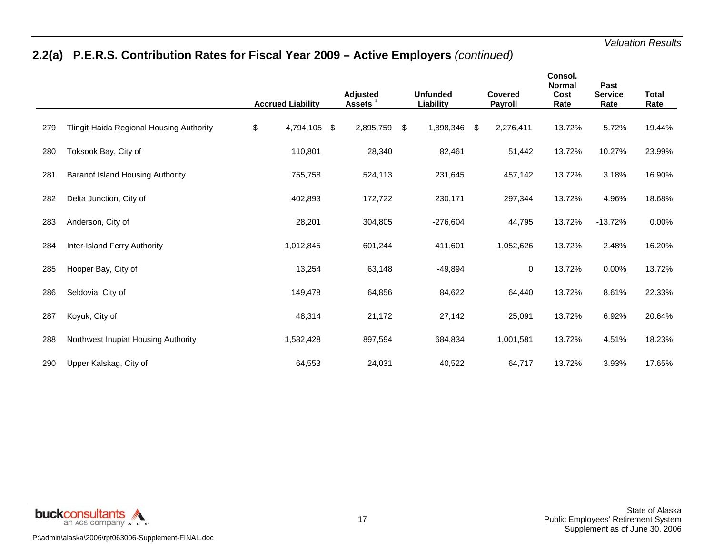# **2.2(a) P.E.R.S. Contribution Rates for Fiscal Year 2009 – Active Employers** *(continued)*

|     |                                          | <b>Accrued Liability</b> | Adjusted<br><b>Assets</b> | <b>Unfunded</b><br>Liability | Covered<br><b>Payroll</b> | Consol.<br><b>Normal</b><br>Cost<br>Rate | Past<br><b>Service</b><br>Rate | <b>Total</b><br>Rate |
|-----|------------------------------------------|--------------------------|---------------------------|------------------------------|---------------------------|------------------------------------------|--------------------------------|----------------------|
| 279 | Tlingit-Haida Regional Housing Authority | \$<br>4,794,105          | \$<br>2,895,759           | \$<br>1,898,346              | \$<br>2,276,411           | 13.72%                                   | 5.72%                          | 19.44%               |
| 280 | Toksook Bay, City of                     | 110,801                  | 28,340                    | 82,461                       | 51,442                    | 13.72%                                   | 10.27%                         | 23.99%               |
| 281 | Baranof Island Housing Authority         | 755,758                  | 524,113                   | 231,645                      | 457,142                   | 13.72%                                   | 3.18%                          | 16.90%               |
| 282 | Delta Junction, City of                  | 402,893                  | 172,722                   | 230,171                      | 297,344                   | 13.72%                                   | 4.96%                          | 18.68%               |
| 283 | Anderson, City of                        | 28,201                   | 304,805                   | $-276,604$                   | 44,795                    | 13.72%                                   | $-13.72%$                      | 0.00%                |
| 284 | Inter-Island Ferry Authority             | 1,012,845                | 601,244                   | 411,601                      | 1,052,626                 | 13.72%                                   | 2.48%                          | 16.20%               |
| 285 | Hooper Bay, City of                      | 13,254                   | 63,148                    | $-49,894$                    | 0                         | 13.72%                                   | 0.00%                          | 13.72%               |
| 286 | Seldovia, City of                        | 149,478                  | 64,856                    | 84,622                       | 64,440                    | 13.72%                                   | 8.61%                          | 22.33%               |
| 287 | Koyuk, City of                           | 48,314                   | 21,172                    | 27,142                       | 25,091                    | 13.72%                                   | 6.92%                          | 20.64%               |
| 288 | Northwest Inupiat Housing Authority      | 1,582,428                | 897,594                   | 684,834                      | 1,001,581                 | 13.72%                                   | 4.51%                          | 18.23%               |
| 290 | Upper Kalskag, City of                   | 64,553                   | 24,031                    | 40,522                       | 64,717                    | 13.72%                                   | 3.93%                          | 17.65%               |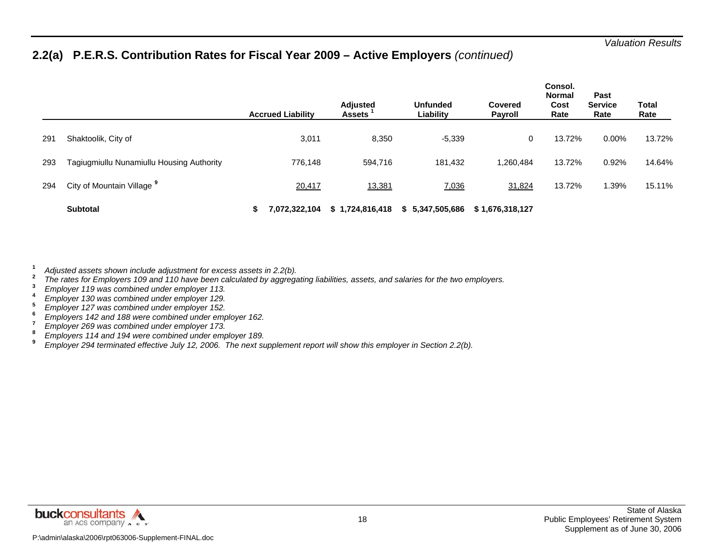### **2.2(a) P.E.R.S. Contribution Rates for Fiscal Year 2009 – Active Employers** *(continued)*

|     |                                           |   | <b>Accrued Liability</b> | <b>Adjusted</b><br><b>Assets</b> | <b>Unfunded</b><br>Liability | <b>Covered</b><br>Payroll | Consol.<br><b>Normal</b><br>Cost<br>Rate | Past<br><b>Service</b><br>Rate | Total<br>Rate |
|-----|-------------------------------------------|---|--------------------------|----------------------------------|------------------------------|---------------------------|------------------------------------------|--------------------------------|---------------|
| 291 | Shaktoolik, City of                       |   | 3,011                    | 8,350                            | $-5,339$                     | 0                         | 13.72%                                   | 0.00%                          | 13.72%        |
| 293 | Tagiugmiullu Nunamiullu Housing Authority |   | 776,148                  | 594,716                          | 181,432                      | 1.260.484                 | 13.72%                                   | 0.92%                          | 14.64%        |
| 294 | City of Mountain Village <sup>9</sup>     |   | 20,417                   | 13,381                           | 7,036                        | 31,824                    | 13.72%                                   | .39%                           | 15.11%        |
|     | <b>Subtotal</b>                           | э | 7,072,322,104            | \$1,724,816,418                  | \$5,347,505,686              | \$1,676,318,127           |                                          |                                |               |

**1**

- Adjusted assets shown include adjustment for excess assets in 2.2(b).<br>
The rates for Employers 109 and 110 have been calculated by aggregating liabilities, assets, and salaries for the two employers.<br>
The rates for Employe
- 
- 
- 
- 
- 
- 
- 

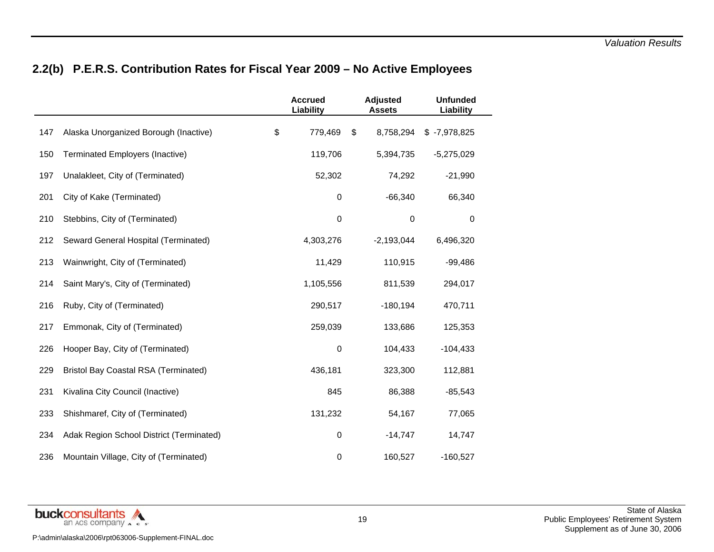# **2.2(b) P.E.R.S. Contribution Rates for Fiscal Year 2009 – No Active Employees**

|     |                                             | <b>Accrued</b><br>Liability | <b>Adjusted</b><br><b>Assets</b> | <b>Unfunded</b><br>Liability |  |
|-----|---------------------------------------------|-----------------------------|----------------------------------|------------------------------|--|
| 147 | Alaska Unorganized Borough (Inactive)       | \$<br>779,469               | \$<br>8,758,294                  | $$ -7,978,825$               |  |
| 150 | Terminated Employers (Inactive)             | 119,706                     | 5,394,735                        | $-5,275,029$                 |  |
| 197 | Unalakleet, City of (Terminated)            | 52,302                      | 74,292                           | $-21,990$                    |  |
| 201 | City of Kake (Terminated)                   | 0                           | $-66,340$                        | 66,340                       |  |
| 210 | Stebbins, City of (Terminated)              | $\,0\,$                     | $\pmb{0}$                        | $\,0\,$                      |  |
| 212 | Seward General Hospital (Terminated)        | 4,303,276                   | $-2,193,044$                     | 6,496,320                    |  |
| 213 | Wainwright, City of (Terminated)            | 11,429                      | 110,915                          | $-99,486$                    |  |
| 214 | Saint Mary's, City of (Terminated)          | 1,105,556                   | 811,539                          | 294,017                      |  |
| 216 | Ruby, City of (Terminated)                  | 290,517                     | $-180,194$                       | 470,711                      |  |
| 217 | Emmonak, City of (Terminated)               | 259,039                     | 133,686                          | 125,353                      |  |
| 226 | Hooper Bay, City of (Terminated)            | $\boldsymbol{0}$            | 104,433                          | $-104,433$                   |  |
| 229 | <b>Bristol Bay Coastal RSA (Terminated)</b> | 436,181                     | 323,300                          | 112,881                      |  |
| 231 | Kivalina City Council (Inactive)            | 845                         | 86,388                           | $-85,543$                    |  |
| 233 | Shishmaref, City of (Terminated)            | 131,232                     | 54,167                           | 77,065                       |  |
| 234 | Adak Region School District (Terminated)    | 0                           | $-14,747$                        | 14,747                       |  |
| 236 | Mountain Village, City of (Terminated)      | $\pmb{0}$                   | 160,527                          | $-160,527$                   |  |

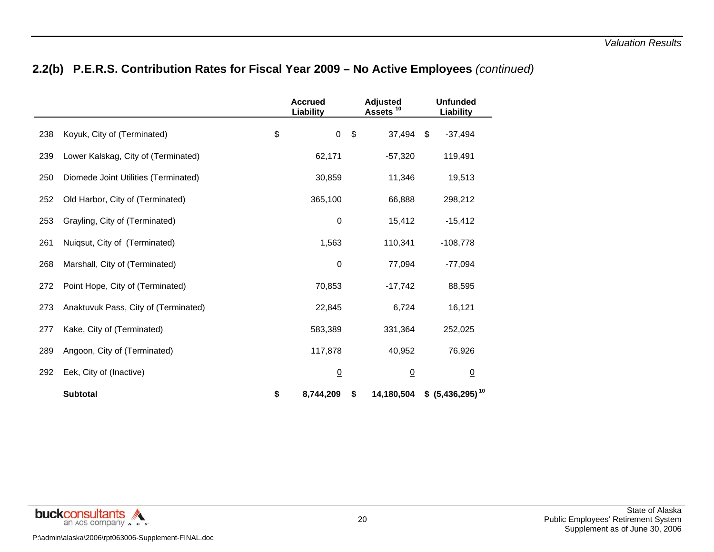# **2.2(b) P.E.R.S. Contribution Rates for Fiscal Year 2009 – No Active Employees** *(continued)*

|     |                                      | <b>Accrued</b><br>Liability |                         | <b>Adjusted</b><br>Assets <sup>10</sup> | <b>Unfunded</b><br>Liability |  |
|-----|--------------------------------------|-----------------------------|-------------------------|-----------------------------------------|------------------------------|--|
| 238 | Koyuk, City of (Terminated)          | \$<br>$\boldsymbol{0}$      | $\sqrt[6]{\frac{1}{2}}$ | 37,494                                  | \$<br>$-37,494$              |  |
| 239 | Lower Kalskag, City of (Terminated)  | 62,171                      |                         | $-57,320$                               | 119,491                      |  |
| 250 | Diomede Joint Utilities (Terminated) | 30,859                      |                         | 11,346                                  | 19,513                       |  |
| 252 | Old Harbor, City of (Terminated)     | 365,100                     |                         | 66,888                                  | 298,212                      |  |
| 253 | Grayling, City of (Terminated)       | 0                           |                         | 15,412                                  | $-15,412$                    |  |
| 261 | Nuiqsut, City of (Terminated)        | 1,563                       |                         | 110,341                                 | $-108,778$                   |  |
| 268 | Marshall, City of (Terminated)       | 0                           |                         | 77,094                                  | $-77,094$                    |  |
| 272 | Point Hope, City of (Terminated)     | 70,853                      |                         | $-17,742$                               | 88,595                       |  |
| 273 | Anaktuvuk Pass, City of (Terminated) | 22,845                      |                         | 6,724                                   | 16,121                       |  |
| 277 | Kake, City of (Terminated)           | 583,389                     |                         | 331,364                                 | 252,025                      |  |
| 289 | Angoon, City of (Terminated)         | 117,878                     |                         | 40,952                                  | 76,926                       |  |
| 292 | Eek, City of (Inactive)              | $\underline{0}$             |                         | $\overline{0}$                          | $\overline{0}$               |  |
|     | <b>Subtotal</b>                      | \$<br>8,744,209             | \$                      | 14,180,504                              | $$(5,436,295)^{10}$          |  |

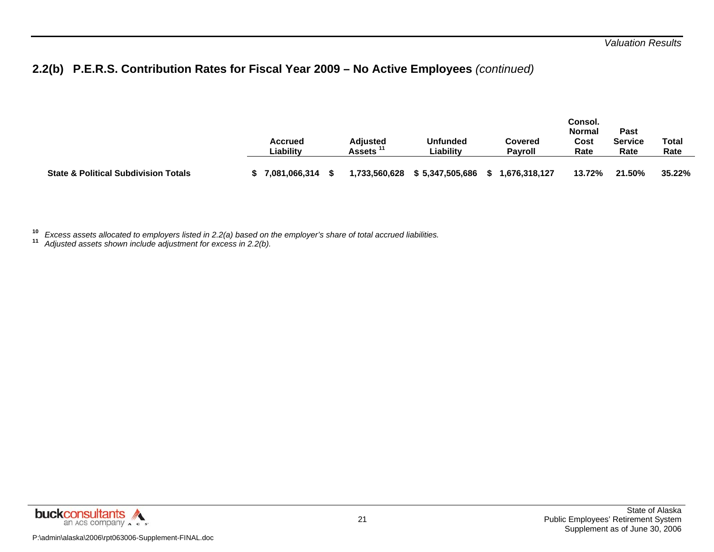# **2.2(b) P.E.R.S. Contribution Rates for Fiscal Year 2009 – No Active Employees** *(continued)*

|                                                 | <b>Accrued</b><br>Liabilitv | <b>Adiusted</b><br>Assets | <b>Unfunded</b><br>Liabilitv | Covered<br><b>Pavroll</b> | Consol.<br><b>Normal</b><br>Cost<br>Rate | Past<br>Service<br>Rate | Total<br>Rate |
|-------------------------------------------------|-----------------------------|---------------------------|------------------------------|---------------------------|------------------------------------------|-------------------------|---------------|
| <b>State &amp; Political Subdivision Totals</b> | 7,081,066,314               | 1,733,560,628             | \$5,347,505,686              | 676,318,127, ا            | 13.72%                                   | 21.50%                  | 35.22%        |

**10***Excess assets allocated to employers listed in 2.2(a) based on the employer's share of total accrued liabilities.* **11** *Adjusted assets shown include adjustment for excess in 2.2(b).* 

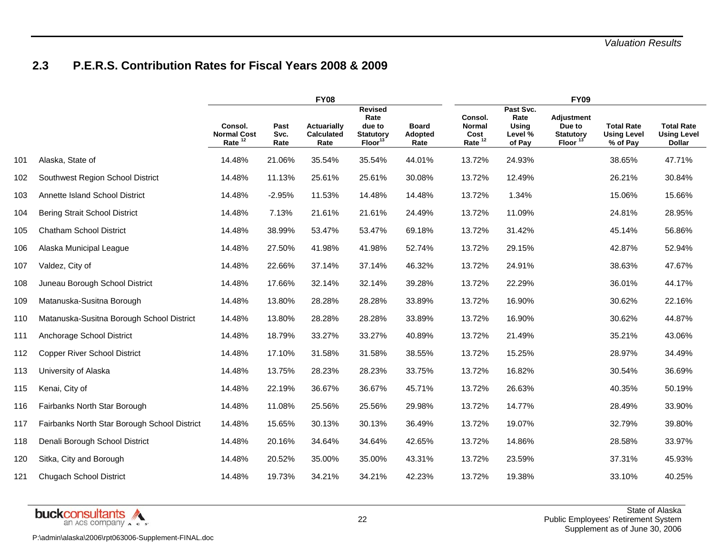### **2.3 P.E.R.S. Contribution Rates for Fiscal Years 2008 & 2009**

|     |                                              |                                            |                      | <b>FY08</b>                              |                                                                             |                                 |                                                        |                                                 | <b>FY09</b>                                                     |                                                     |                                                          |
|-----|----------------------------------------------|--------------------------------------------|----------------------|------------------------------------------|-----------------------------------------------------------------------------|---------------------------------|--------------------------------------------------------|-------------------------------------------------|-----------------------------------------------------------------|-----------------------------------------------------|----------------------------------------------------------|
|     |                                              | Consol.<br><b>Normal Cost</b><br>Rate $12$ | Past<br>Svc.<br>Rate | Actuarially<br><b>Calculated</b><br>Rate | <b>Revised</b><br>Rate<br>due to<br><b>Statutory</b><br>Floor <sup>13</sup> | <b>Board</b><br>Adopted<br>Rate | Consol.<br><b>Normal</b><br>Cost<br>Rate <sup>12</sup> | Past Svc.<br>Rate<br>Using<br>Level %<br>of Pay | <b>Adjustment</b><br>Due to<br><b>Statutory</b><br><b>Floor</b> | <b>Total Rate</b><br><b>Using Level</b><br>% of Pay | <b>Total Rate</b><br><b>Using Level</b><br><b>Dollar</b> |
| 101 | Alaska, State of                             | 14.48%                                     | 21.06%               | 35.54%                                   | 35.54%                                                                      | 44.01%                          | 13.72%                                                 | 24.93%                                          |                                                                 | 38.65%                                              | 47.71%                                                   |
| 102 | Southwest Region School District             | 14.48%                                     | 11.13%               | 25.61%                                   | 25.61%                                                                      | 30.08%                          | 13.72%                                                 | 12.49%                                          |                                                                 | 26.21%                                              | 30.84%                                                   |
| 103 | Annette Island School District               | 14.48%                                     | $-2.95%$             | 11.53%                                   | 14.48%                                                                      | 14.48%                          | 13.72%                                                 | 1.34%                                           |                                                                 | 15.06%                                              | 15.66%                                                   |
| 104 | <b>Bering Strait School District</b>         | 14.48%                                     | 7.13%                | 21.61%                                   | 21.61%                                                                      | 24.49%                          | 13.72%                                                 | 11.09%                                          |                                                                 | 24.81%                                              | 28.95%                                                   |
| 105 | <b>Chatham School District</b>               | 14.48%                                     | 38.99%               | 53.47%                                   | 53.47%                                                                      | 69.18%                          | 13.72%                                                 | 31.42%                                          |                                                                 | 45.14%                                              | 56.86%                                                   |
| 106 | Alaska Municipal League                      | 14.48%                                     | 27.50%               | 41.98%                                   | 41.98%                                                                      | 52.74%                          | 13.72%                                                 | 29.15%                                          |                                                                 | 42.87%                                              | 52.94%                                                   |
| 107 | Valdez, City of                              | 14.48%                                     | 22.66%               | 37.14%                                   | 37.14%                                                                      | 46.32%                          | 13.72%                                                 | 24.91%                                          |                                                                 | 38.63%                                              | 47.67%                                                   |
| 108 | Juneau Borough School District               | 14.48%                                     | 17.66%               | 32.14%                                   | 32.14%                                                                      | 39.28%                          | 13.72%                                                 | 22.29%                                          |                                                                 | 36.01%                                              | 44.17%                                                   |
| 109 | Matanuska-Susitna Borough                    | 14.48%                                     | 13.80%               | 28.28%                                   | 28.28%                                                                      | 33.89%                          | 13.72%                                                 | 16.90%                                          |                                                                 | 30.62%                                              | 22.16%                                                   |
| 110 | Matanuska-Susitna Borough School District    | 14.48%                                     | 13.80%               | 28.28%                                   | 28.28%                                                                      | 33.89%                          | 13.72%                                                 | 16.90%                                          |                                                                 | 30.62%                                              | 44.87%                                                   |
| 111 | Anchorage School District                    | 14.48%                                     | 18.79%               | 33.27%                                   | 33.27%                                                                      | 40.89%                          | 13.72%                                                 | 21.49%                                          |                                                                 | 35.21%                                              | 43.06%                                                   |
| 112 | <b>Copper River School District</b>          | 14.48%                                     | 17.10%               | 31.58%                                   | 31.58%                                                                      | 38.55%                          | 13.72%                                                 | 15.25%                                          |                                                                 | 28.97%                                              | 34.49%                                                   |
| 113 | University of Alaska                         | 14.48%                                     | 13.75%               | 28.23%                                   | 28.23%                                                                      | 33.75%                          | 13.72%                                                 | 16.82%                                          |                                                                 | 30.54%                                              | 36.69%                                                   |
| 115 | Kenai, City of                               | 14.48%                                     | 22.19%               | 36.67%                                   | 36.67%                                                                      | 45.71%                          | 13.72%                                                 | 26.63%                                          |                                                                 | 40.35%                                              | 50.19%                                                   |
| 116 | Fairbanks North Star Borough                 | 14.48%                                     | 11.08%               | 25.56%                                   | 25.56%                                                                      | 29.98%                          | 13.72%                                                 | 14.77%                                          |                                                                 | 28.49%                                              | 33.90%                                                   |
| 117 | Fairbanks North Star Borough School District | 14.48%                                     | 15.65%               | 30.13%                                   | 30.13%                                                                      | 36.49%                          | 13.72%                                                 | 19.07%                                          |                                                                 | 32.79%                                              | 39.80%                                                   |
| 118 | Denali Borough School District               | 14.48%                                     | 20.16%               | 34.64%                                   | 34.64%                                                                      | 42.65%                          | 13.72%                                                 | 14.86%                                          |                                                                 | 28.58%                                              | 33.97%                                                   |
| 120 | Sitka, City and Borough                      | 14.48%                                     | 20.52%               | 35.00%                                   | 35.00%                                                                      | 43.31%                          | 13.72%                                                 | 23.59%                                          |                                                                 | 37.31%                                              | 45.93%                                                   |
| 121 | <b>Chugach School District</b>               | 14.48%                                     | 19.73%               | 34.21%                                   | 34.21%                                                                      | 42.23%                          | 13.72%                                                 | 19.38%                                          |                                                                 | 33.10%                                              | 40.25%                                                   |

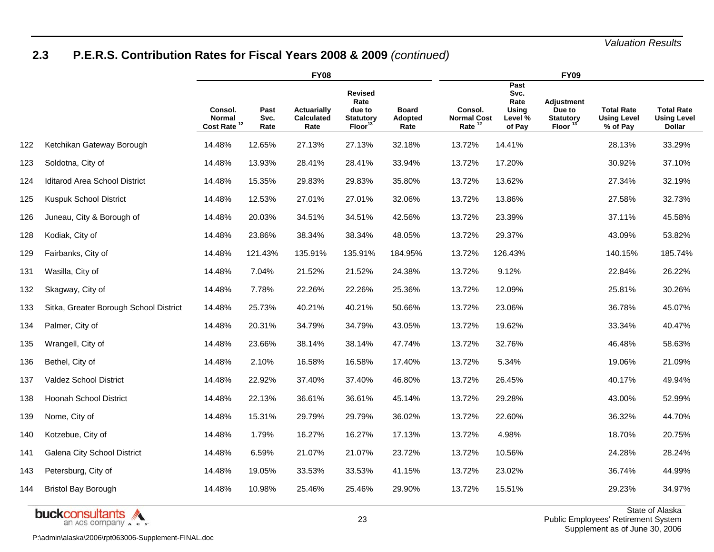# **2.3 P.E.R.S. Contribution Rates for Fiscal Years 2008 & 2009** *(continued)*

|     |                                        |                                              |                      | <b>FY08</b>                              |                                                                      |                                        | <b>FY09</b><br>Past                                 |                                            |                                                               |                                                     |                                                          |
|-----|----------------------------------------|----------------------------------------------|----------------------|------------------------------------------|----------------------------------------------------------------------|----------------------------------------|-----------------------------------------------------|--------------------------------------------|---------------------------------------------------------------|-----------------------------------------------------|----------------------------------------------------------|
|     |                                        | Consol.<br>Normal<br>Cost Rate <sup>12</sup> | Past<br>Svc.<br>Rate | Actuarially<br><b>Calculated</b><br>Rate | <b>Revised</b><br>Rate<br>due to<br><b>Statutory</b><br>$Floor^{13}$ | <b>Board</b><br><b>Adopted</b><br>Rate | Consol.<br><b>Normal Cost</b><br>Rate <sup>12</sup> | Svc.<br>Rate<br>Using<br>Level %<br>of Pay | <b>Adjustment</b><br>Due to<br><b>Statutory</b><br>Floor $13$ | <b>Total Rate</b><br><b>Using Level</b><br>% of Pay | <b>Total Rate</b><br><b>Using Level</b><br><b>Dollar</b> |
| 122 | Ketchikan Gateway Borough              | 14.48%                                       | 12.65%               | 27.13%                                   | 27.13%                                                               | 32.18%                                 | 13.72%                                              | 14.41%                                     |                                                               | 28.13%                                              | 33.29%                                                   |
| 123 | Soldotna, City of                      | 14.48%                                       | 13.93%               | 28.41%                                   | 28.41%                                                               | 33.94%                                 | 13.72%                                              | 17.20%                                     |                                                               | 30.92%                                              | 37.10%                                                   |
| 124 | <b>Iditarod Area School District</b>   | 14.48%                                       | 15.35%               | 29.83%                                   | 29.83%                                                               | 35.80%                                 | 13.72%                                              | 13.62%                                     |                                                               | 27.34%                                              | 32.19%                                                   |
| 125 | Kuspuk School District                 | 14.48%                                       | 12.53%               | 27.01%                                   | 27.01%                                                               | 32.06%                                 | 13.72%                                              | 13.86%                                     |                                                               | 27.58%                                              | 32.73%                                                   |
| 126 | Juneau, City & Borough of              | 14.48%                                       | 20.03%               | 34.51%                                   | 34.51%                                                               | 42.56%                                 | 13.72%                                              | 23.39%                                     |                                                               | 37.11%                                              | 45.58%                                                   |
| 128 | Kodiak, City of                        | 14.48%                                       | 23.86%               | 38.34%                                   | 38.34%                                                               | 48.05%                                 | 13.72%                                              | 29.37%                                     |                                                               | 43.09%                                              | 53.82%                                                   |
| 129 | Fairbanks, City of                     | 14.48%                                       | 121.43%              | 135.91%                                  | 135.91%                                                              | 184.95%                                | 13.72%                                              | 126.43%                                    |                                                               | 140.15%                                             | 185.74%                                                  |
| 131 | Wasilla, City of                       | 14.48%                                       | 7.04%                | 21.52%                                   | 21.52%                                                               | 24.38%                                 | 13.72%                                              | 9.12%                                      |                                                               | 22.84%                                              | 26.22%                                                   |
| 132 | Skagway, City of                       | 14.48%                                       | 7.78%                | 22.26%                                   | 22.26%                                                               | 25.36%                                 | 13.72%                                              | 12.09%                                     |                                                               | 25.81%                                              | 30.26%                                                   |
| 133 | Sitka, Greater Borough School District | 14.48%                                       | 25.73%               | 40.21%                                   | 40.21%                                                               | 50.66%                                 | 13.72%                                              | 23.06%                                     |                                                               | 36.78%                                              | 45.07%                                                   |
| 134 | Palmer, City of                        | 14.48%                                       | 20.31%               | 34.79%                                   | 34.79%                                                               | 43.05%                                 | 13.72%                                              | 19.62%                                     |                                                               | 33.34%                                              | 40.47%                                                   |
| 135 | Wrangell, City of                      | 14.48%                                       | 23.66%               | 38.14%                                   | 38.14%                                                               | 47.74%                                 | 13.72%                                              | 32.76%                                     |                                                               | 46.48%                                              | 58.63%                                                   |
| 136 | Bethel, City of                        | 14.48%                                       | 2.10%                | 16.58%                                   | 16.58%                                                               | 17.40%                                 | 13.72%                                              | 5.34%                                      |                                                               | 19.06%                                              | 21.09%                                                   |
| 137 | Valdez School District                 | 14.48%                                       | 22.92%               | 37.40%                                   | 37.40%                                                               | 46.80%                                 | 13.72%                                              | 26.45%                                     |                                                               | 40.17%                                              | 49.94%                                                   |
| 138 | <b>Hoonah School District</b>          | 14.48%                                       | 22.13%               | 36.61%                                   | 36.61%                                                               | 45.14%                                 | 13.72%                                              | 29.28%                                     |                                                               | 43.00%                                              | 52.99%                                                   |
| 139 | Nome, City of                          | 14.48%                                       | 15.31%               | 29.79%                                   | 29.79%                                                               | 36.02%                                 | 13.72%                                              | 22.60%                                     |                                                               | 36.32%                                              | 44.70%                                                   |
| 140 | Kotzebue, City of                      | 14.48%                                       | 1.79%                | 16.27%                                   | 16.27%                                                               | 17.13%                                 | 13.72%                                              | 4.98%                                      |                                                               | 18.70%                                              | 20.75%                                                   |
| 141 | Galena City School District            | 14.48%                                       | 6.59%                | 21.07%                                   | 21.07%                                                               | 23.72%                                 | 13.72%                                              | 10.56%                                     |                                                               | 24.28%                                              | 28.24%                                                   |
| 143 | Petersburg, City of                    | 14.48%                                       | 19.05%               | 33.53%                                   | 33.53%                                                               | 41.15%                                 | 13.72%                                              | 23.02%                                     |                                                               | 36.74%                                              | 44.99%                                                   |
| 144 | <b>Bristol Bay Borough</b>             | 14.48%                                       | 10.98%               | 25.46%                                   | 25.46%                                                               | 29.90%                                 | 13.72%                                              | 15.51%                                     |                                                               | 29.23%                                              | 34.97%                                                   |

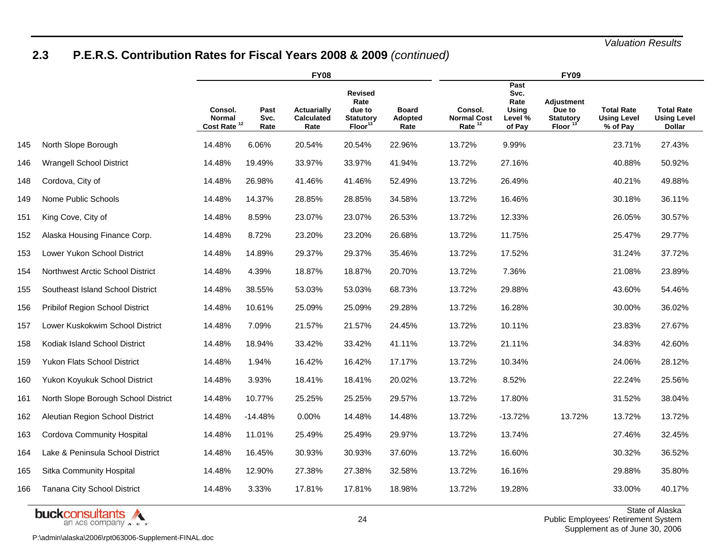# **2.3 P.E.R.S. Contribution Rates for Fiscal Years 2008 & 2009** *(continued)*

|     |                                        |                                              |                      | <b>FY08</b>                              |                                                                             |                                 |                                                     | <b>FY09</b>                                        |                                                          |                                                     |                                                          |  |
|-----|----------------------------------------|----------------------------------------------|----------------------|------------------------------------------|-----------------------------------------------------------------------------|---------------------------------|-----------------------------------------------------|----------------------------------------------------|----------------------------------------------------------|-----------------------------------------------------|----------------------------------------------------------|--|
|     |                                        | Consol.<br>Normal<br>Cost Rate <sup>12</sup> | Past<br>Svc.<br>Rate | Actuarially<br><b>Calculated</b><br>Rate | <b>Revised</b><br>Rate<br>due to<br><b>Statutory</b><br>Floor <sup>13</sup> | <b>Board</b><br>Adopted<br>Rate | Consol.<br><b>Normal Cost</b><br>Rate <sup>12</sup> | Past<br>Svc.<br>Rate<br>Using<br>Level %<br>of Pay | <b>Adjustment</b><br>Due to<br><b>Statutory</b><br>Floor | <b>Total Rate</b><br><b>Using Level</b><br>% of Pay | <b>Total Rate</b><br><b>Using Level</b><br><b>Dollar</b> |  |
| 145 | North Slope Borough                    | 14.48%                                       | 6.06%                | 20.54%                                   | 20.54%                                                                      | 22.96%                          | 13.72%                                              | 9.99%                                              |                                                          | 23.71%                                              | 27.43%                                                   |  |
| 146 | Wrangell School District               | 14.48%                                       | 19.49%               | 33.97%                                   | 33.97%                                                                      | 41.94%                          | 13.72%                                              | 27.16%                                             |                                                          | 40.88%                                              | 50.92%                                                   |  |
| 148 | Cordova, City of                       | 14.48%                                       | 26.98%               | 41.46%                                   | 41.46%                                                                      | 52.49%                          | 13.72%                                              | 26.49%                                             |                                                          | 40.21%                                              | 49.88%                                                   |  |
| 149 | Nome Public Schools                    | 14.48%                                       | 14.37%               | 28.85%                                   | 28.85%                                                                      | 34.58%                          | 13.72%                                              | 16.46%                                             |                                                          | 30.18%                                              | 36.11%                                                   |  |
| 151 | King Cove, City of                     | 14.48%                                       | 8.59%                | 23.07%                                   | 23.07%                                                                      | 26.53%                          | 13.72%                                              | 12.33%                                             |                                                          | 26.05%                                              | 30.57%                                                   |  |
| 152 | Alaska Housing Finance Corp.           | 14.48%                                       | 8.72%                | 23.20%                                   | 23.20%                                                                      | 26.68%                          | 13.72%                                              | 11.75%                                             |                                                          | 25.47%                                              | 29.77%                                                   |  |
| 153 | Lower Yukon School District            | 14.48%                                       | 14.89%               | 29.37%                                   | 29.37%                                                                      | 35.46%                          | 13.72%                                              | 17.52%                                             |                                                          | 31.24%                                              | 37.72%                                                   |  |
| 154 | Northwest Arctic School District       | 14.48%                                       | 4.39%                | 18.87%                                   | 18.87%                                                                      | 20.70%                          | 13.72%                                              | 7.36%                                              |                                                          | 21.08%                                              | 23.89%                                                   |  |
| 155 | Southeast Island School District       | 14.48%                                       | 38.55%               | 53.03%                                   | 53.03%                                                                      | 68.73%                          | 13.72%                                              | 29.88%                                             |                                                          | 43.60%                                              | 54.46%                                                   |  |
| 156 | <b>Pribilof Region School District</b> | 14.48%                                       | 10.61%               | 25.09%                                   | 25.09%                                                                      | 29.28%                          | 13.72%                                              | 16.28%                                             |                                                          | 30.00%                                              | 36.02%                                                   |  |
| 157 | Lower Kuskokwim School District        | 14.48%                                       | 7.09%                | 21.57%                                   | 21.57%                                                                      | 24.45%                          | 13.72%                                              | 10.11%                                             |                                                          | 23.83%                                              | 27.67%                                                   |  |
| 158 | Kodiak Island School District          | 14.48%                                       | 18.94%               | 33.42%                                   | 33.42%                                                                      | 41.11%                          | 13.72%                                              | 21.11%                                             |                                                          | 34.83%                                              | 42.60%                                                   |  |
| 159 | <b>Yukon Flats School District</b>     | 14.48%                                       | 1.94%                | 16.42%                                   | 16.42%                                                                      | 17.17%                          | 13.72%                                              | 10.34%                                             |                                                          | 24.06%                                              | 28.12%                                                   |  |
| 160 | Yukon Koyukuk School District          | 14.48%                                       | 3.93%                | 18.41%                                   | 18.41%                                                                      | 20.02%                          | 13.72%                                              | 8.52%                                              |                                                          | 22.24%                                              | 25.56%                                                   |  |
| 161 | North Slope Borough School District    | 14.48%                                       | 10.77%               | 25.25%                                   | 25.25%                                                                      | 29.57%                          | 13.72%                                              | 17.80%                                             |                                                          | 31.52%                                              | 38.04%                                                   |  |
| 162 | Aleutian Region School District        | 14.48%                                       | $-14.48%$            | 0.00%                                    | 14.48%                                                                      | 14.48%                          | 13.72%                                              | $-13.72%$                                          | 13.72%                                                   | 13.72%                                              | 13.72%                                                   |  |
| 163 | Cordova Community Hospital             | 14.48%                                       | 11.01%               | 25.49%                                   | 25.49%                                                                      | 29.97%                          | 13.72%                                              | 13.74%                                             |                                                          | 27.46%                                              | 32.45%                                                   |  |
| 164 | Lake & Peninsula School District       | 14.48%                                       | 16.45%               | 30.93%                                   | 30.93%                                                                      | 37.60%                          | 13.72%                                              | 16.60%                                             |                                                          | 30.32%                                              | 36.52%                                                   |  |
| 165 | Sitka Community Hospital               | 14.48%                                       | 12.90%               | 27.38%                                   | 27.38%                                                                      | 32.58%                          | 13.72%                                              | 16.16%                                             |                                                          | 29.88%                                              | 35.80%                                                   |  |
| 166 | Tanana City School District            | 14.48%                                       | 3.33%                | 17.81%                                   | 17.81%                                                                      | 18.98%                          | 13.72%                                              | 19.28%                                             |                                                          | 33.00%                                              | 40.17%                                                   |  |

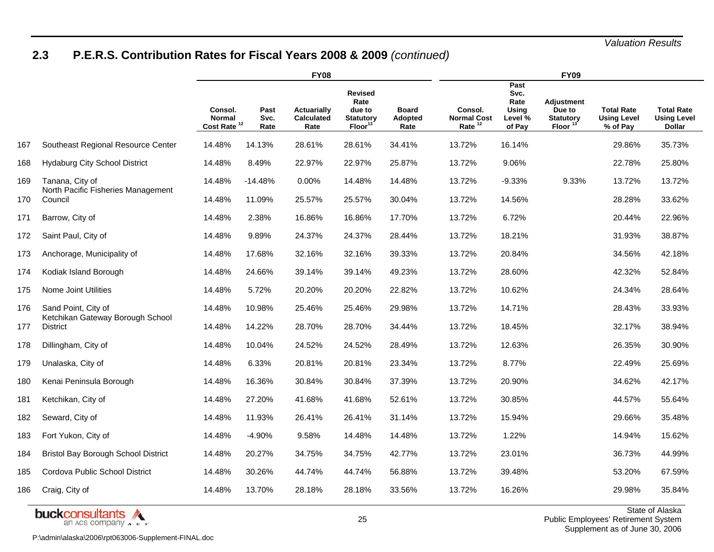# **2.3 P.E.R.S. Contribution Rates for Fiscal Years 2008 & 2009** *(continued)*

|     |                                                         |                                              | <b>FY08</b>          |                                          |                                                                      | <b>FY09</b>                     |                                                     |                                                    |                                                          |                                                     |                                                          |  |
|-----|---------------------------------------------------------|----------------------------------------------|----------------------|------------------------------------------|----------------------------------------------------------------------|---------------------------------|-----------------------------------------------------|----------------------------------------------------|----------------------------------------------------------|-----------------------------------------------------|----------------------------------------------------------|--|
|     |                                                         | Consol.<br>Normal<br>Cost Rate <sup>12</sup> | Past<br>Svc.<br>Rate | Actuarially<br><b>Calculated</b><br>Rate | <b>Revised</b><br>Rate<br>due to<br><b>Statutory</b><br>$Floor^{13}$ | <b>Board</b><br>Adopted<br>Rate | Consol.<br><b>Normal Cost</b><br>Rate <sup>12</sup> | Past<br>Svc.<br>Rate<br>Using<br>Level %<br>of Pay | <b>Adjustment</b><br>Due to<br><b>Statutory</b><br>Floor | <b>Total Rate</b><br><b>Using Level</b><br>% of Pay | <b>Total Rate</b><br><b>Using Level</b><br><b>Dollar</b> |  |
| 167 | Southeast Regional Resource Center                      | 14.48%                                       | 14.13%               | 28.61%                                   | 28.61%                                                               | 34.41%                          | 13.72%                                              | 16.14%                                             |                                                          | 29.86%                                              | 35.73%                                                   |  |
| 168 | <b>Hydaburg City School District</b>                    | 14.48%                                       | 8.49%                | 22.97%                                   | 22.97%                                                               | 25.87%                          | 13.72%                                              | 9.06%                                              |                                                          | 22.78%                                              | 25.80%                                                   |  |
| 169 | Tanana, City of<br>North Pacific Fisheries Management   | 14.48%                                       | $-14.48%$            | 0.00%                                    | 14.48%                                                               | 14.48%                          | 13.72%                                              | $-9.33%$                                           | 9.33%                                                    | 13.72%                                              | 13.72%                                                   |  |
| 170 | Council                                                 | 14.48%                                       | 11.09%               | 25.57%                                   | 25.57%                                                               | 30.04%                          | 13.72%                                              | 14.56%                                             |                                                          | 28.28%                                              | 33.62%                                                   |  |
| 171 | Barrow, City of                                         | 14.48%                                       | 2.38%                | 16.86%                                   | 16.86%                                                               | 17.70%                          | 13.72%                                              | 6.72%                                              |                                                          | 20.44%                                              | 22.96%                                                   |  |
| 172 | Saint Paul, City of                                     | 14.48%                                       | 9.89%                | 24.37%                                   | 24.37%                                                               | 28.44%                          | 13.72%                                              | 18.21%                                             |                                                          | 31.93%                                              | 38.87%                                                   |  |
| 173 | Anchorage, Municipality of                              | 14.48%                                       | 17.68%               | 32.16%                                   | 32.16%                                                               | 39.33%                          | 13.72%                                              | 20.84%                                             |                                                          | 34.56%                                              | 42.18%                                                   |  |
| 174 | Kodiak Island Borough                                   | 14.48%                                       | 24.66%               | 39.14%                                   | 39.14%                                                               | 49.23%                          | 13.72%                                              | 28.60%                                             |                                                          | 42.32%                                              | 52.84%                                                   |  |
| 175 | Nome Joint Utilities                                    | 14.48%                                       | 5.72%                | 20.20%                                   | 20.20%                                                               | 22.82%                          | 13.72%                                              | 10.62%                                             |                                                          | 24.34%                                              | 28.64%                                                   |  |
| 176 | Sand Point, City of<br>Ketchikan Gateway Borough School | 14.48%                                       | 10.98%               | 25.46%                                   | 25.46%                                                               | 29.98%                          | 13.72%                                              | 14.71%                                             |                                                          | 28.43%                                              | 33.93%                                                   |  |
| 177 | <b>District</b>                                         | 14.48%                                       | 14.22%               | 28.70%                                   | 28.70%                                                               | 34.44%                          | 13.72%                                              | 18.45%                                             |                                                          | 32.17%                                              | 38.94%                                                   |  |
| 178 | Dillingham, City of                                     | 14.48%                                       | 10.04%               | 24.52%                                   | 24.52%                                                               | 28.49%                          | 13.72%                                              | 12.63%                                             |                                                          | 26.35%                                              | 30.90%                                                   |  |
| 179 | Unalaska, City of                                       | 14.48%                                       | 6.33%                | 20.81%                                   | 20.81%                                                               | 23.34%                          | 13.72%                                              | 8.77%                                              |                                                          | 22.49%                                              | 25.69%                                                   |  |
| 180 | Kenai Peninsula Borough                                 | 14.48%                                       | 16.36%               | 30.84%                                   | 30.84%                                                               | 37.39%                          | 13.72%                                              | 20.90%                                             |                                                          | 34.62%                                              | 42.17%                                                   |  |
| 181 | Ketchikan, City of                                      | 14.48%                                       | 27.20%               | 41.68%                                   | 41.68%                                                               | 52.61%                          | 13.72%                                              | 30.85%                                             |                                                          | 44.57%                                              | 55.64%                                                   |  |
| 182 | Seward, City of                                         | 14.48%                                       | 11.93%               | 26.41%                                   | 26.41%                                                               | 31.14%                          | 13.72%                                              | 15.94%                                             |                                                          | 29.66%                                              | 35.48%                                                   |  |
| 183 | Fort Yukon, City of                                     | 14.48%                                       | $-4.90%$             | 9.58%                                    | 14.48%                                                               | 14.48%                          | 13.72%                                              | 1.22%                                              |                                                          | 14.94%                                              | 15.62%                                                   |  |
| 184 | <b>Bristol Bay Borough School District</b>              | 14.48%                                       | 20.27%               | 34.75%                                   | 34.75%                                                               | 42.77%                          | 13.72%                                              | 23.01%                                             |                                                          | 36.73%                                              | 44.99%                                                   |  |
| 185 | Cordova Public School District                          | 14.48%                                       | 30.26%               | 44.74%                                   | 44.74%                                                               | 56.88%                          | 13.72%                                              | 39.48%                                             |                                                          | 53.20%                                              | 67.59%                                                   |  |
| 186 | Craig, City of                                          | 14.48%                                       | 13.70%               | 28.18%                                   | 28.18%                                                               | 33.56%                          | 13.72%                                              | 16.26%                                             |                                                          | 29.98%                                              | 35.84%                                                   |  |



State of Alaska Public Employees' Retirement System Supplement as of June 30, 2006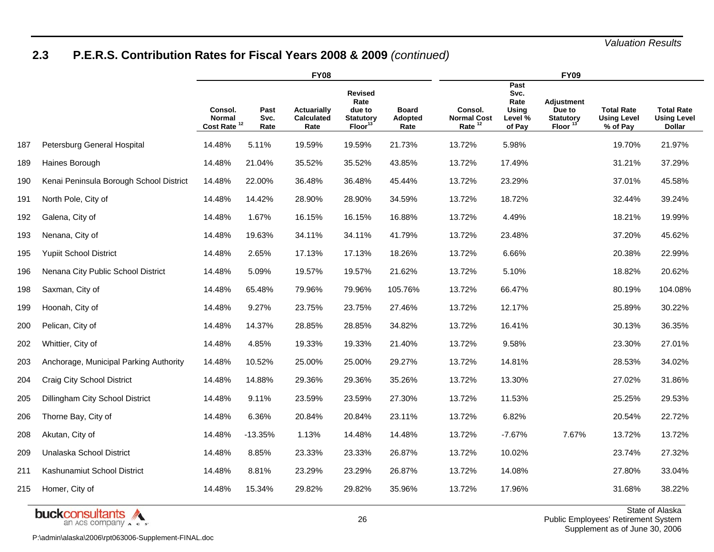# **2.3 P.E.R.S. Contribution Rates for Fiscal Years 2008 & 2009** *(continued)*

|     |                                         |                                     |                      | <b>FY08</b>                                     |                                                                     |                                 | <b>FY09</b>                                         |                                                           |                                                          |                                                     |                                                          |  |  |
|-----|-----------------------------------------|-------------------------------------|----------------------|-------------------------------------------------|---------------------------------------------------------------------|---------------------------------|-----------------------------------------------------|-----------------------------------------------------------|----------------------------------------------------------|-----------------------------------------------------|----------------------------------------------------------|--|--|
|     |                                         | Consol.<br>Normal<br>Cost Rate $12$ | Past<br>Svc.<br>Rate | <b>Actuarially</b><br><b>Calculated</b><br>Rate | Revised<br>Rate<br>due to<br><b>Statutory</b><br>Floor <sup>1</sup> | <b>Board</b><br>Adopted<br>Rate | Consol.<br><b>Normal Cost</b><br>Rate <sup>12</sup> | Past<br>Svc.<br>Rate<br><b>Using</b><br>Level %<br>of Pay | <b>Adjustment</b><br>Due to<br><b>Statutory</b><br>Floor | <b>Total Rate</b><br><b>Using Level</b><br>% of Pay | <b>Total Rate</b><br><b>Using Level</b><br><b>Dollar</b> |  |  |
| 187 | Petersburg General Hospital             | 14.48%                              | 5.11%                | 19.59%                                          | 19.59%                                                              | 21.73%                          | 13.72%                                              | 5.98%                                                     |                                                          | 19.70%                                              | 21.97%                                                   |  |  |
| 189 | Haines Borough                          | 14.48%                              | 21.04%               | 35.52%                                          | 35.52%                                                              | 43.85%                          | 13.72%                                              | 17.49%                                                    |                                                          | 31.21%                                              | 37.29%                                                   |  |  |
| 190 | Kenai Peninsula Borough School District | 14.48%                              | 22.00%               | 36.48%                                          | 36.48%                                                              | 45.44%                          | 13.72%                                              | 23.29%                                                    |                                                          | 37.01%                                              | 45.58%                                                   |  |  |
| 191 | North Pole, City of                     | 14.48%                              | 14.42%               | 28.90%                                          | 28.90%                                                              | 34.59%                          | 13.72%                                              | 18.72%                                                    |                                                          | 32.44%                                              | 39.24%                                                   |  |  |
| 192 | Galena, City of                         | 14.48%                              | 1.67%                | 16.15%                                          | 16.15%                                                              | 16.88%                          | 13.72%                                              | 4.49%                                                     |                                                          | 18.21%                                              | 19.99%                                                   |  |  |
| 193 | Nenana, City of                         | 14.48%                              | 19.63%               | 34.11%                                          | 34.11%                                                              | 41.79%                          | 13.72%                                              | 23.48%                                                    |                                                          | 37.20%                                              | 45.62%                                                   |  |  |
| 195 | <b>Yupiit School District</b>           | 14.48%                              | 2.65%                | 17.13%                                          | 17.13%                                                              | 18.26%                          | 13.72%                                              | 6.66%                                                     |                                                          | 20.38%                                              | 22.99%                                                   |  |  |
| 196 | Nenana City Public School District      | 14.48%                              | 5.09%                | 19.57%                                          | 19.57%                                                              | 21.62%                          | 13.72%                                              | 5.10%                                                     |                                                          | 18.82%                                              | 20.62%                                                   |  |  |
| 198 | Saxman, City of                         | 14.48%                              | 65.48%               | 79.96%                                          | 79.96%                                                              | 105.76%                         | 13.72%                                              | 66.47%                                                    |                                                          | 80.19%                                              | 104.08%                                                  |  |  |
| 199 | Hoonah, City of                         | 14.48%                              | 9.27%                | 23.75%                                          | 23.75%                                                              | 27.46%                          | 13.72%                                              | 12.17%                                                    |                                                          | 25.89%                                              | 30.22%                                                   |  |  |
| 200 | Pelican, City of                        | 14.48%                              | 14.37%               | 28.85%                                          | 28.85%                                                              | 34.82%                          | 13.72%                                              | 16.41%                                                    |                                                          | 30.13%                                              | 36.35%                                                   |  |  |
| 202 | Whittier, City of                       | 14.48%                              | 4.85%                | 19.33%                                          | 19.33%                                                              | 21.40%                          | 13.72%                                              | 9.58%                                                     |                                                          | 23.30%                                              | 27.01%                                                   |  |  |
| 203 | Anchorage, Municipal Parking Authority  | 14.48%                              | 10.52%               | 25.00%                                          | 25.00%                                                              | 29.27%                          | 13.72%                                              | 14.81%                                                    |                                                          | 28.53%                                              | 34.02%                                                   |  |  |
| 204 | Craig City School District              | 14.48%                              | 14.88%               | 29.36%                                          | 29.36%                                                              | 35.26%                          | 13.72%                                              | 13.30%                                                    |                                                          | 27.02%                                              | 31.86%                                                   |  |  |
| 205 | Dillingham City School District         | 14.48%                              | 9.11%                | 23.59%                                          | 23.59%                                                              | 27.30%                          | 13.72%                                              | 11.53%                                                    |                                                          | 25.25%                                              | 29.53%                                                   |  |  |
| 206 | Thorne Bay, City of                     | 14.48%                              | 6.36%                | 20.84%                                          | 20.84%                                                              | 23.11%                          | 13.72%                                              | 6.82%                                                     |                                                          | 20.54%                                              | 22.72%                                                   |  |  |
| 208 | Akutan, City of                         | 14.48%                              | $-13.35%$            | 1.13%                                           | 14.48%                                                              | 14.48%                          | 13.72%                                              | $-7.67%$                                                  | 7.67%                                                    | 13.72%                                              | 13.72%                                                   |  |  |
| 209 | Unalaska School District                | 14.48%                              | 8.85%                | 23.33%                                          | 23.33%                                                              | 26.87%                          | 13.72%                                              | 10.02%                                                    |                                                          | 23.74%                                              | 27.32%                                                   |  |  |
| 211 | Kashunamiut School District             | 14.48%                              | 8.81%                | 23.29%                                          | 23.29%                                                              | 26.87%                          | 13.72%                                              | 14.08%                                                    |                                                          | 27.80%                                              | 33.04%                                                   |  |  |
| 215 | Homer, City of                          | 14.48%                              | 15.34%               | 29.82%                                          | 29.82%                                                              | 35.96%                          | 13.72%                                              | 17.96%                                                    |                                                          | 31.68%                                              | 38.22%                                                   |  |  |

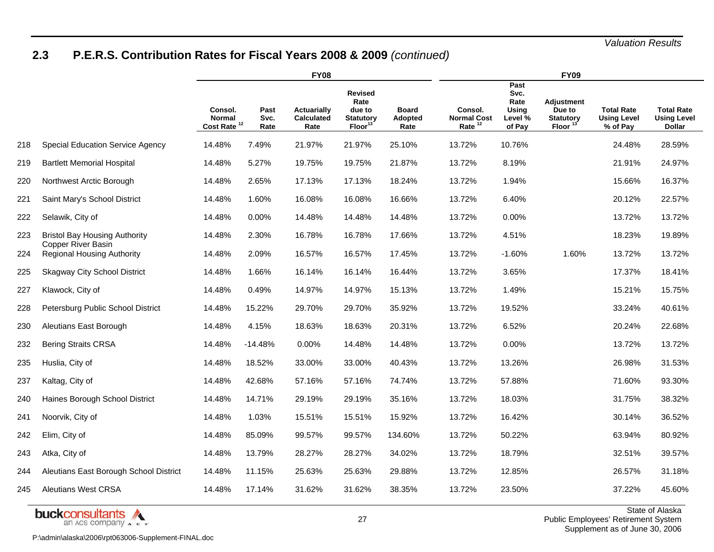# **2.3 P.E.R.S. Contribution Rates for Fiscal Years 2008 & 2009** *(continued)*

|     |                                                            | <b>FY08</b>                         |                      |                                                 |                                                                     |                                        |                                                     | <b>FY09</b>                                        |                                                          |                                                     |                                                          |  |  |  |
|-----|------------------------------------------------------------|-------------------------------------|----------------------|-------------------------------------------------|---------------------------------------------------------------------|----------------------------------------|-----------------------------------------------------|----------------------------------------------------|----------------------------------------------------------|-----------------------------------------------------|----------------------------------------------------------|--|--|--|
|     |                                                            | Consol.<br>Normal<br>Cost Rate $12$ | Past<br>Svc.<br>Rate | <b>Actuarially</b><br><b>Calculated</b><br>Rate | Revised<br>Rate<br>due to<br><b>Statutory</b><br>Floor <sup>1</sup> | <b>Board</b><br><b>Adopted</b><br>Rate | Consol.<br><b>Normal Cost</b><br>Rate <sup>12</sup> | Past<br>Svc.<br>Rate<br>Using<br>Level %<br>of Pay | <b>Adjustment</b><br>Due to<br><b>Statutory</b><br>Floor | <b>Total Rate</b><br><b>Using Level</b><br>% of Pay | <b>Total Rate</b><br><b>Using Level</b><br><b>Dollar</b> |  |  |  |
| 218 | <b>Special Education Service Agency</b>                    | 14.48%                              | 7.49%                | 21.97%                                          | 21.97%                                                              | 25.10%                                 | 13.72%                                              | 10.76%                                             |                                                          | 24.48%                                              | 28.59%                                                   |  |  |  |
| 219 | <b>Bartlett Memorial Hospital</b>                          | 14.48%                              | 5.27%                | 19.75%                                          | 19.75%                                                              | 21.87%                                 | 13.72%                                              | 8.19%                                              |                                                          | 21.91%                                              | 24.97%                                                   |  |  |  |
| 220 | Northwest Arctic Borough                                   | 14.48%                              | 2.65%                | 17.13%                                          | 17.13%                                                              | 18.24%                                 | 13.72%                                              | 1.94%                                              |                                                          | 15.66%                                              | 16.37%                                                   |  |  |  |
| 221 | Saint Mary's School District                               | 14.48%                              | 1.60%                | 16.08%                                          | 16.08%                                                              | 16.66%                                 | 13.72%                                              | 6.40%                                              |                                                          | 20.12%                                              | 22.57%                                                   |  |  |  |
| 222 | Selawik, City of                                           | 14.48%                              | $0.00\%$             | 14.48%                                          | 14.48%                                                              | 14.48%                                 | 13.72%                                              | 0.00%                                              |                                                          | 13.72%                                              | 13.72%                                                   |  |  |  |
| 223 | <b>Bristol Bay Housing Authority</b><br>Copper River Basin | 14.48%                              | 2.30%                | 16.78%                                          | 16.78%                                                              | 17.66%                                 | 13.72%                                              | 4.51%                                              |                                                          | 18.23%                                              | 19.89%                                                   |  |  |  |
| 224 | <b>Regional Housing Authority</b>                          | 14.48%                              | 2.09%                | 16.57%                                          | 16.57%                                                              | 17.45%                                 | 13.72%                                              | $-1.60%$                                           | 1.60%                                                    | 13.72%                                              | 13.72%                                                   |  |  |  |
| 225 | <b>Skagway City School District</b>                        | 14.48%                              | 1.66%                | 16.14%                                          | 16.14%                                                              | 16.44%                                 | 13.72%                                              | 3.65%                                              |                                                          | 17.37%                                              | 18.41%                                                   |  |  |  |
| 227 | Klawock, City of                                           | 14.48%                              | 0.49%                | 14.97%                                          | 14.97%                                                              | 15.13%                                 | 13.72%                                              | 1.49%                                              |                                                          | 15.21%                                              | 15.75%                                                   |  |  |  |
| 228 | Petersburg Public School District                          | 14.48%                              | 15.22%               | 29.70%                                          | 29.70%                                                              | 35.92%                                 | 13.72%                                              | 19.52%                                             |                                                          | 33.24%                                              | 40.61%                                                   |  |  |  |
| 230 | Aleutians East Borough                                     | 14.48%                              | 4.15%                | 18.63%                                          | 18.63%                                                              | 20.31%                                 | 13.72%                                              | 6.52%                                              |                                                          | 20.24%                                              | 22.68%                                                   |  |  |  |
| 232 | <b>Bering Straits CRSA</b>                                 | 14.48%                              | $-14.48%$            | 0.00%                                           | 14.48%                                                              | 14.48%                                 | 13.72%                                              | 0.00%                                              |                                                          | 13.72%                                              | 13.72%                                                   |  |  |  |
| 235 | Huslia, City of                                            | 14.48%                              | 18.52%               | 33.00%                                          | 33.00%                                                              | 40.43%                                 | 13.72%                                              | 13.26%                                             |                                                          | 26.98%                                              | 31.53%                                                   |  |  |  |
| 237 | Kaltag, City of                                            | 14.48%                              | 42.68%               | 57.16%                                          | 57.16%                                                              | 74.74%                                 | 13.72%                                              | 57.88%                                             |                                                          | 71.60%                                              | 93.30%                                                   |  |  |  |
| 240 | Haines Borough School District                             | 14.48%                              | 14.71%               | 29.19%                                          | 29.19%                                                              | 35.16%                                 | 13.72%                                              | 18.03%                                             |                                                          | 31.75%                                              | 38.32%                                                   |  |  |  |
| 241 | Noorvik, City of                                           | 14.48%                              | 1.03%                | 15.51%                                          | 15.51%                                                              | 15.92%                                 | 13.72%                                              | 16.42%                                             |                                                          | 30.14%                                              | 36.52%                                                   |  |  |  |
| 242 | Elim, City of                                              | 14.48%                              | 85.09%               | 99.57%                                          | 99.57%                                                              | 134.60%                                | 13.72%                                              | 50.22%                                             |                                                          | 63.94%                                              | 80.92%                                                   |  |  |  |
| 243 | Atka, City of                                              | 14.48%                              | 13.79%               | 28.27%                                          | 28.27%                                                              | 34.02%                                 | 13.72%                                              | 18.79%                                             |                                                          | 32.51%                                              | 39.57%                                                   |  |  |  |
| 244 | Aleutians East Borough School District                     | 14.48%                              | 11.15%               | 25.63%                                          | 25.63%                                                              | 29.88%                                 | 13.72%                                              | 12.85%                                             |                                                          | 26.57%                                              | 31.18%                                                   |  |  |  |
| 245 | <b>Aleutians West CRSA</b>                                 | 14.48%                              | 17.14%               | 31.62%                                          | 31.62%                                                              | 38.35%                                 | 13.72%                                              | 23.50%                                             |                                                          | 37.22%                                              | 45.60%                                                   |  |  |  |



State of Alaska Public Employees' Retirement System Supplement as of June 30, 2006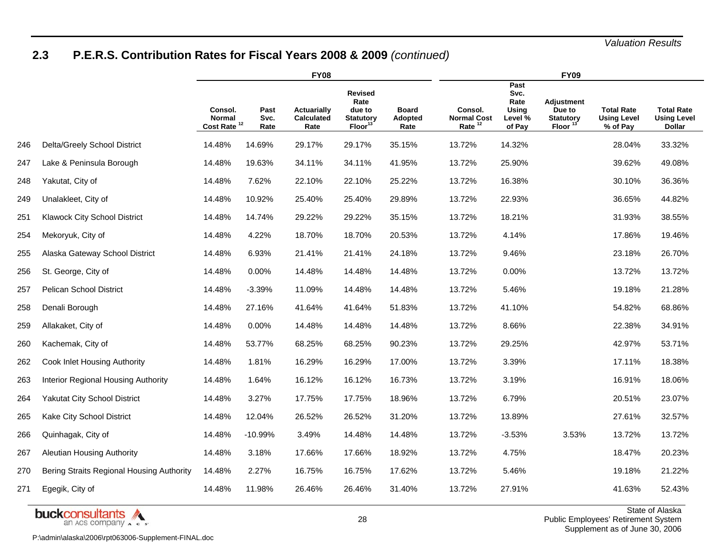# **2.3 P.E.R.S. Contribution Rates for Fiscal Years 2008 & 2009** *(continued)*

|     |                                           | <b>FY08</b>                                  |                      |                                                 |                                                                     |                                 |                                                     | <b>FY09</b>                                               |                                                          |                                                     |                                                          |  |  |  |
|-----|-------------------------------------------|----------------------------------------------|----------------------|-------------------------------------------------|---------------------------------------------------------------------|---------------------------------|-----------------------------------------------------|-----------------------------------------------------------|----------------------------------------------------------|-----------------------------------------------------|----------------------------------------------------------|--|--|--|
|     |                                           | Consol.<br>Normal<br>Cost Rate <sup>12</sup> | Past<br>Svc.<br>Rate | <b>Actuarially</b><br><b>Calculated</b><br>Rate | Revised<br>Rate<br>due to<br><b>Statutory</b><br>Floor <sup>1</sup> | <b>Board</b><br>Adopted<br>Rate | Consol.<br><b>Normal Cost</b><br>Rate <sup>12</sup> | Past<br>Svc.<br>Rate<br><b>Using</b><br>Level %<br>of Pay | <b>Adjustment</b><br>Due to<br><b>Statutory</b><br>Floor | <b>Total Rate</b><br><b>Using Level</b><br>% of Pay | <b>Total Rate</b><br><b>Using Level</b><br><b>Dollar</b> |  |  |  |
| 246 | Delta/Greely School District              | 14.48%                                       | 14.69%               | 29.17%                                          | 29.17%                                                              | 35.15%                          | 13.72%                                              | 14.32%                                                    |                                                          | 28.04%                                              | 33.32%                                                   |  |  |  |
| 247 | Lake & Peninsula Borough                  | 14.48%                                       | 19.63%               | 34.11%                                          | 34.11%                                                              | 41.95%                          | 13.72%                                              | 25.90%                                                    |                                                          | 39.62%                                              | 49.08%                                                   |  |  |  |
| 248 | Yakutat, City of                          | 14.48%                                       | 7.62%                | 22.10%                                          | 22.10%                                                              | 25.22%                          | 13.72%                                              | 16.38%                                                    |                                                          | 30.10%                                              | 36.36%                                                   |  |  |  |
| 249 | Unalakleet, City of                       | 14.48%                                       | 10.92%               | 25.40%                                          | 25.40%                                                              | 29.89%                          | 13.72%                                              | 22.93%                                                    |                                                          | 36.65%                                              | 44.82%                                                   |  |  |  |
| 251 | Klawock City School District              | 14.48%                                       | 14.74%               | 29.22%                                          | 29.22%                                                              | 35.15%                          | 13.72%                                              | 18.21%                                                    |                                                          | 31.93%                                              | 38.55%                                                   |  |  |  |
| 254 | Mekoryuk, City of                         | 14.48%                                       | 4.22%                | 18.70%                                          | 18.70%                                                              | 20.53%                          | 13.72%                                              | 4.14%                                                     |                                                          | 17.86%                                              | 19.46%                                                   |  |  |  |
| 255 | Alaska Gateway School District            | 14.48%                                       | 6.93%                | 21.41%                                          | 21.41%                                                              | 24.18%                          | 13.72%                                              | 9.46%                                                     |                                                          | 23.18%                                              | 26.70%                                                   |  |  |  |
| 256 | St. George, City of                       | 14.48%                                       | 0.00%                | 14.48%                                          | 14.48%                                                              | 14.48%                          | 13.72%                                              | 0.00%                                                     |                                                          | 13.72%                                              | 13.72%                                                   |  |  |  |
| 257 | Pelican School District                   | 14.48%                                       | $-3.39%$             | 11.09%                                          | 14.48%                                                              | 14.48%                          | 13.72%                                              | 5.46%                                                     |                                                          | 19.18%                                              | 21.28%                                                   |  |  |  |
| 258 | Denali Borough                            | 14.48%                                       | 27.16%               | 41.64%                                          | 41.64%                                                              | 51.83%                          | 13.72%                                              | 41.10%                                                    |                                                          | 54.82%                                              | 68.86%                                                   |  |  |  |
| 259 | Allakaket, City of                        | 14.48%                                       | 0.00%                | 14.48%                                          | 14.48%                                                              | 14.48%                          | 13.72%                                              | 8.66%                                                     |                                                          | 22.38%                                              | 34.91%                                                   |  |  |  |
| 260 | Kachemak, City of                         | 14.48%                                       | 53.77%               | 68.25%                                          | 68.25%                                                              | 90.23%                          | 13.72%                                              | 29.25%                                                    |                                                          | 42.97%                                              | 53.71%                                                   |  |  |  |
| 262 | Cook Inlet Housing Authority              | 14.48%                                       | 1.81%                | 16.29%                                          | 16.29%                                                              | 17.00%                          | 13.72%                                              | 3.39%                                                     |                                                          | 17.11%                                              | 18.38%                                                   |  |  |  |
| 263 | Interior Regional Housing Authority       | 14.48%                                       | 1.64%                | 16.12%                                          | 16.12%                                                              | 16.73%                          | 13.72%                                              | 3.19%                                                     |                                                          | 16.91%                                              | 18.06%                                                   |  |  |  |
| 264 | <b>Yakutat City School District</b>       | 14.48%                                       | 3.27%                | 17.75%                                          | 17.75%                                                              | 18.96%                          | 13.72%                                              | 6.79%                                                     |                                                          | 20.51%                                              | 23.07%                                                   |  |  |  |
| 265 | Kake City School District                 | 14.48%                                       | 12.04%               | 26.52%                                          | 26.52%                                                              | 31.20%                          | 13.72%                                              | 13.89%                                                    |                                                          | 27.61%                                              | 32.57%                                                   |  |  |  |
| 266 | Quinhagak, City of                        | 14.48%                                       | $-10.99%$            | 3.49%                                           | 14.48%                                                              | 14.48%                          | 13.72%                                              | $-3.53%$                                                  | 3.53%                                                    | 13.72%                                              | 13.72%                                                   |  |  |  |
| 267 | <b>Aleutian Housing Authority</b>         | 14.48%                                       | 3.18%                | 17.66%                                          | 17.66%                                                              | 18.92%                          | 13.72%                                              | 4.75%                                                     |                                                          | 18.47%                                              | 20.23%                                                   |  |  |  |
| 270 | Bering Straits Regional Housing Authority | 14.48%                                       | 2.27%                | 16.75%                                          | 16.75%                                                              | 17.62%                          | 13.72%                                              | 5.46%                                                     |                                                          | 19.18%                                              | 21.22%                                                   |  |  |  |
| 271 | Egegik, City of                           | 14.48%                                       | 11.98%               | 26.46%                                          | 26.46%                                                              | 31.40%                          | 13.72%                                              | 27.91%                                                    |                                                          | 41.63%                                              | 52.43%                                                   |  |  |  |

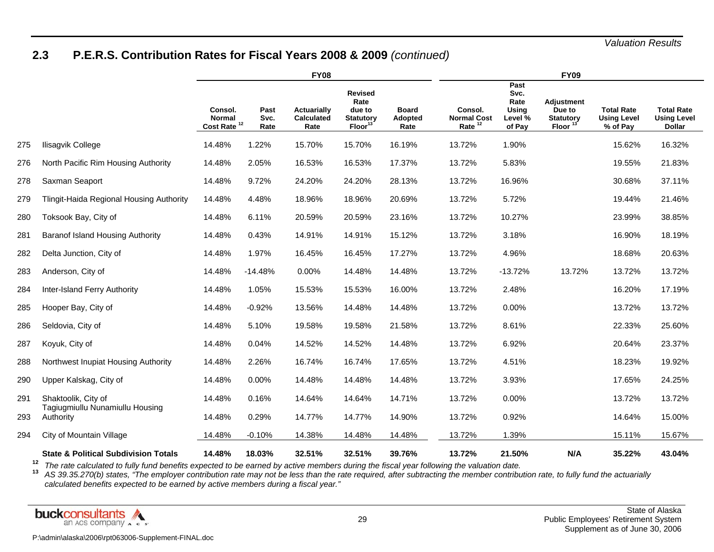# **2.3 P.E.R.S. Contribution Rates for Fiscal Years 2008 & 2009** *(continued)*

|     |                                                 |                                                     | <b>FY08</b>          |                                                 |                                                                            | <b>FY09</b>                     |                                       |                                                    |                                                                 |                                                     |                                                          |  |
|-----|-------------------------------------------------|-----------------------------------------------------|----------------------|-------------------------------------------------|----------------------------------------------------------------------------|---------------------------------|---------------------------------------|----------------------------------------------------|-----------------------------------------------------------------|-----------------------------------------------------|----------------------------------------------------------|--|
|     |                                                 | Consol.<br><b>Normal</b><br>Cost Rate <sup>12</sup> | Past<br>Svc.<br>Rate | <b>Actuarially</b><br><b>Calculated</b><br>Rate | <b>Revised</b><br>Rate<br>due to<br><b>Statutory</b><br>Floor <sup>1</sup> | <b>Board</b><br>Adopted<br>Rate | Consol.<br><b>Normal Cost</b><br>Rate | Past<br>Svc.<br>Rate<br>Using<br>Level %<br>of Pay | <b>Adjustment</b><br>Due to<br><b>Statutory</b><br><b>Floor</b> | <b>Total Rate</b><br><b>Using Level</b><br>% of Pay | <b>Total Rate</b><br><b>Using Level</b><br><b>Dollar</b> |  |
| 275 | Ilisagvik College                               | 14.48%                                              | 1.22%                | 15.70%                                          | 15.70%                                                                     | 16.19%                          | 13.72%                                | 1.90%                                              |                                                                 | 15.62%                                              | 16.32%                                                   |  |
| 276 | North Pacific Rim Housing Authority             | 14.48%                                              | 2.05%                | 16.53%                                          | 16.53%                                                                     | 17.37%                          | 13.72%                                | 5.83%                                              |                                                                 | 19.55%                                              | 21.83%                                                   |  |
| 278 | Saxman Seaport                                  | 14.48%                                              | 9.72%                | 24.20%                                          | 24.20%                                                                     | 28.13%                          | 13.72%                                | 16.96%                                             |                                                                 | 30.68%                                              | 37.11%                                                   |  |
| 279 | Tlingit-Haida Regional Housing Authority        | 14.48%                                              | 4.48%                | 18.96%                                          | 18.96%                                                                     | 20.69%                          | 13.72%                                | 5.72%                                              |                                                                 | 19.44%                                              | 21.46%                                                   |  |
| 280 | Toksook Bay, City of                            | 14.48%                                              | 6.11%                | 20.59%                                          | 20.59%                                                                     | 23.16%                          | 13.72%                                | 10.27%                                             |                                                                 | 23.99%                                              | 38.85%                                                   |  |
| 281 | Baranof Island Housing Authority                | 14.48%                                              | 0.43%                | 14.91%                                          | 14.91%                                                                     | 15.12%                          | 13.72%                                | 3.18%                                              |                                                                 | 16.90%                                              | 18.19%                                                   |  |
| 282 | Delta Junction, City of                         | 14.48%                                              | 1.97%                | 16.45%                                          | 16.45%                                                                     | 17.27%                          | 13.72%                                | 4.96%                                              |                                                                 | 18.68%                                              | 20.63%                                                   |  |
| 283 | Anderson, City of                               | 14.48%                                              | $-14.48%$            | 0.00%                                           | 14.48%                                                                     | 14.48%                          | 13.72%                                | $-13.72%$                                          | 13.72%                                                          | 13.72%                                              | 13.72%                                                   |  |
| 284 | Inter-Island Ferry Authority                    | 14.48%                                              | 1.05%                | 15.53%                                          | 15.53%                                                                     | 16.00%                          | 13.72%                                | 2.48%                                              |                                                                 | 16.20%                                              | 17.19%                                                   |  |
| 285 | Hooper Bay, City of                             | 14.48%                                              | $-0.92%$             | 13.56%                                          | 14.48%                                                                     | 14.48%                          | 13.72%                                | 0.00%                                              |                                                                 | 13.72%                                              | 13.72%                                                   |  |
| 286 | Seldovia, City of                               | 14.48%                                              | 5.10%                | 19.58%                                          | 19.58%                                                                     | 21.58%                          | 13.72%                                | 8.61%                                              |                                                                 | 22.33%                                              | 25.60%                                                   |  |
| 287 | Koyuk, City of                                  | 14.48%                                              | 0.04%                | 14.52%                                          | 14.52%                                                                     | 14.48%                          | 13.72%                                | 6.92%                                              |                                                                 | 20.64%                                              | 23.37%                                                   |  |
| 288 | Northwest Inupiat Housing Authority             | 14.48%                                              | 2.26%                | 16.74%                                          | 16.74%                                                                     | 17.65%                          | 13.72%                                | 4.51%                                              |                                                                 | 18.23%                                              | 19.92%                                                   |  |
| 290 | Upper Kalskag, City of                          | 14.48%                                              | $0.00\%$             | 14.48%                                          | 14.48%                                                                     | 14.48%                          | 13.72%                                | 3.93%                                              |                                                                 | 17.65%                                              | 24.25%                                                   |  |
| 291 | Shaktoolik, City of                             | 14.48%                                              | 0.16%                | 14.64%                                          | 14.64%                                                                     | 14.71%                          | 13.72%                                | 0.00%                                              |                                                                 | 13.72%                                              | 13.72%                                                   |  |
| 293 | Tagiugmiullu Nunamiullu Housing<br>Authority    | 14.48%                                              | 0.29%                | 14.77%                                          | 14.77%                                                                     | 14.90%                          | 13.72%                                | 0.92%                                              |                                                                 | 14.64%                                              | 15.00%                                                   |  |
| 294 | City of Mountain Village                        | 14.48%                                              | $-0.10%$             | 14.38%                                          | 14.48%                                                                     | 14.48%                          | 13.72%                                | 1.39%                                              |                                                                 | 15.11%                                              | 15.67%                                                   |  |
|     | <b>State &amp; Political Subdivision Totals</b> | 14.48%                                              | 18.03%               | 32.51%                                          | 32.51%                                                                     | 39.76%                          | 13.72%                                | 21.50%                                             | N/A                                                             | 35.22%                                              | 43.04%                                                   |  |

**12**

'<sup>4</sup> The rate calculated to fully fund benefits expected to be earned by active members during the fiscal year following the valuation date.<br><sup>13</sup> AS 39.35.270(b) states, "The employer contribution rate may not be less than *calculated benefits expected to be earned by active members during a fiscal year."* 

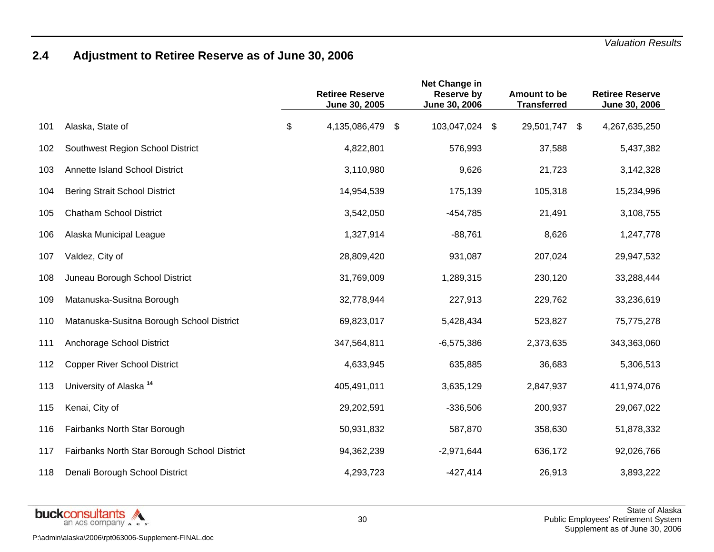# **2.4 Adjustment to Retiree Reserve as of June 30, 2006**

|     |                                              | <b>Retiree Reserve</b><br>June 30, 2005 | Net Change in<br><b>Reserve by</b><br>June 30, 2006 | Amount to be<br><b>Transferred</b> | <b>Retiree Reserve</b><br>June 30, 2006 |
|-----|----------------------------------------------|-----------------------------------------|-----------------------------------------------------|------------------------------------|-----------------------------------------|
| 101 | Alaska, State of                             | \$<br>4,135,086,479                     | \$<br>103,047,024 \$                                | 29,501,747 \$                      | 4,267,635,250                           |
| 102 | Southwest Region School District             | 4,822,801                               | 576,993                                             | 37,588                             | 5,437,382                               |
| 103 | Annette Island School District               | 3,110,980                               | 9,626                                               | 21,723                             | 3,142,328                               |
| 104 | <b>Bering Strait School District</b>         | 14,954,539                              | 175,139                                             | 105,318                            | 15,234,996                              |
| 105 | <b>Chatham School District</b>               | 3,542,050                               | $-454,785$                                          | 21,491                             | 3,108,755                               |
| 106 | Alaska Municipal League                      | 1,327,914                               | $-88,761$                                           | 8,626                              | 1,247,778                               |
| 107 | Valdez, City of                              | 28,809,420                              | 931,087                                             | 207,024                            | 29,947,532                              |
| 108 | Juneau Borough School District               | 31,769,009                              | 1,289,315                                           | 230,120                            | 33,288,444                              |
| 109 | Matanuska-Susitna Borough                    | 32,778,944                              | 227,913                                             | 229,762                            | 33,236,619                              |
| 110 | Matanuska-Susitna Borough School District    | 69,823,017                              | 5,428,434                                           | 523,827                            | 75,775,278                              |
| 111 | Anchorage School District                    | 347,564,811                             | $-6,575,386$                                        | 2,373,635                          | 343,363,060                             |
| 112 | <b>Copper River School District</b>          | 4,633,945                               | 635,885                                             | 36,683                             | 5,306,513                               |
| 113 | University of Alaska <sup>14</sup>           | 405,491,011                             | 3,635,129                                           | 2,847,937                          | 411,974,076                             |
| 115 | Kenai, City of                               | 29,202,591                              | $-336,506$                                          | 200,937                            | 29,067,022                              |
| 116 | Fairbanks North Star Borough                 | 50,931,832                              | 587,870                                             | 358,630                            | 51,878,332                              |
| 117 | Fairbanks North Star Borough School District | 94,362,239                              | $-2,971,644$                                        | 636,172                            | 92,026,766                              |
| 118 | Denali Borough School District               | 4,293,723                               | $-427,414$                                          | 26,913                             | 3,893,222                               |

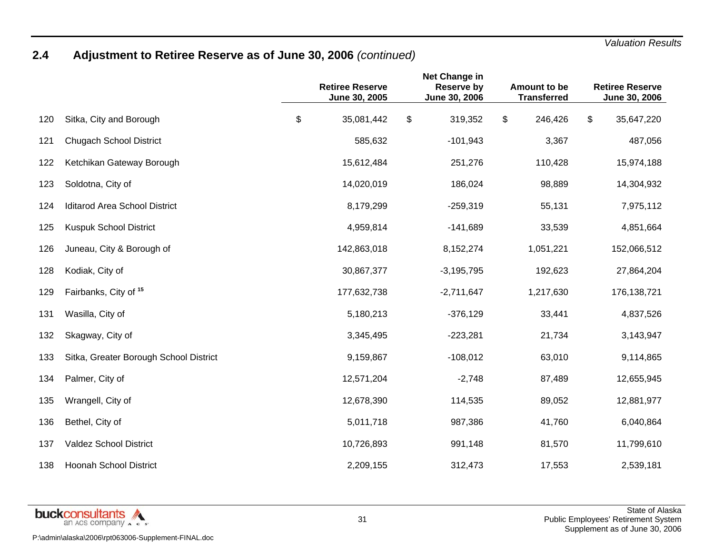# **2.4 Adjustment to Retiree Reserve as of June 30, 2006** *(continued)*

|     |                                        | Net Change in<br><b>Retiree Reserve</b><br><b>Reserve by</b><br>June 30, 2005<br>June 30, 2006 |    | Amount to be<br><b>Transferred</b> |               | <b>Retiree Reserve</b><br>June 30, 2006 |             |
|-----|----------------------------------------|------------------------------------------------------------------------------------------------|----|------------------------------------|---------------|-----------------------------------------|-------------|
| 120 | Sitka, City and Borough                | \$<br>35,081,442                                                                               | \$ | 319,352                            | \$<br>246,426 | \$                                      | 35,647,220  |
| 121 | <b>Chugach School District</b>         | 585,632                                                                                        |    | $-101,943$                         | 3,367         |                                         | 487,056     |
| 122 | Ketchikan Gateway Borough              | 15,612,484                                                                                     |    | 251,276                            | 110,428       |                                         | 15,974,188  |
| 123 | Soldotna, City of                      | 14,020,019                                                                                     |    | 186,024                            | 98,889        |                                         | 14,304,932  |
| 124 | <b>Iditarod Area School District</b>   | 8,179,299                                                                                      |    | $-259,319$                         | 55,131        |                                         | 7,975,112   |
| 125 | Kuspuk School District                 | 4,959,814                                                                                      |    | $-141,689$                         | 33,539        |                                         | 4,851,664   |
| 126 | Juneau, City & Borough of              | 142,863,018                                                                                    |    | 8,152,274                          | 1,051,221     |                                         | 152,066,512 |
| 128 | Kodiak, City of                        | 30,867,377                                                                                     |    | $-3,195,795$                       | 192,623       |                                         | 27,864,204  |
| 129 | Fairbanks, City of 15                  | 177,632,738                                                                                    |    | $-2,711,647$                       | 1,217,630     |                                         | 176,138,721 |
| 131 | Wasilla, City of                       | 5,180,213                                                                                      |    | $-376,129$                         | 33,441        |                                         | 4,837,526   |
| 132 | Skagway, City of                       | 3,345,495                                                                                      |    | $-223,281$                         | 21,734        |                                         | 3,143,947   |
| 133 | Sitka, Greater Borough School District | 9,159,867                                                                                      |    | $-108,012$                         | 63,010        |                                         | 9,114,865   |
| 134 | Palmer, City of                        | 12,571,204                                                                                     |    | $-2,748$                           | 87,489        |                                         | 12,655,945  |
| 135 | Wrangell, City of                      | 12,678,390                                                                                     |    | 114,535                            | 89,052        |                                         | 12,881,977  |
| 136 | Bethel, City of                        | 5,011,718                                                                                      |    | 987,386                            | 41,760        |                                         | 6,040,864   |
| 137 | <b>Valdez School District</b>          | 10,726,893                                                                                     |    | 991,148                            | 81,570        |                                         | 11,799,610  |
| 138 | <b>Hoonah School District</b>          | 2,209,155                                                                                      |    | 312,473                            | 17,553        |                                         | 2,539,181   |

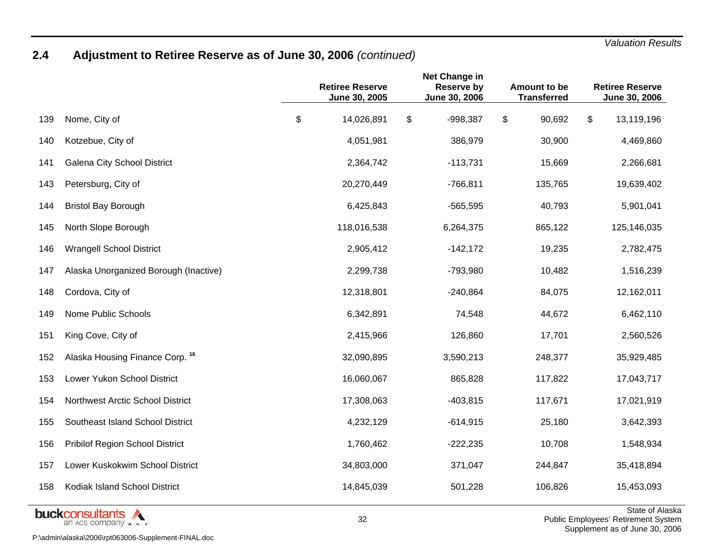# **2.4 Adjustment to Retiree Reserve as of June 30, 2006** *(continued)*

|     |                                           | <b>Retiree Reserve</b><br>June 30, 2005 | Net Change in<br><b>Reserve by</b><br>June 30, 2006 | Amount to be<br><b>Transferred</b> | <b>Retiree Reserve</b><br>June 30, 2006 |
|-----|-------------------------------------------|-----------------------------------------|-----------------------------------------------------|------------------------------------|-----------------------------------------|
| 139 | Nome, City of                             | \$<br>14,026,891                        | \$<br>$-998,387$                                    | \$<br>90,692                       | \$<br>13,119,196                        |
| 140 | Kotzebue, City of                         | 4,051,981                               | 386,979                                             | 30,900                             | 4,469,860                               |
| 141 | Galena City School District               | 2,364,742                               | $-113,731$                                          | 15,669                             | 2,266,681                               |
| 143 | Petersburg, City of                       | 20,270,449                              | $-766,811$                                          | 135,765                            | 19,639,402                              |
| 144 | <b>Bristol Bay Borough</b>                | 6,425,843                               | $-565,595$                                          | 40,793                             | 5,901,041                               |
| 145 | North Slope Borough                       | 118,016,538                             | 6,264,375                                           | 865,122                            | 125,146,035                             |
| 146 | <b>Wrangell School District</b>           | 2,905,412                               | $-142,172$                                          | 19,235                             | 2,782,475                               |
| 147 | Alaska Unorganized Borough (Inactive)     | 2,299,738                               | -793,980                                            | 10,482                             | 1,516,239                               |
| 148 | Cordova, City of                          | 12,318,801                              | $-240,864$                                          | 84,075                             | 12,162,011                              |
| 149 | <b>Nome Public Schools</b>                | 6,342,891                               | 74,548                                              | 44,672                             | 6,462,110                               |
| 151 | King Cove, City of                        | 2,415,966                               | 126,860                                             | 17,701                             | 2,560,526                               |
| 152 | Alaska Housing Finance Corp. 16           | 32,090,895                              | 3,590,213                                           | 248,377                            | 35,929,485                              |
| 153 | Lower Yukon School District               | 16,060,067                              | 865,828                                             | 117,822                            | 17,043,717                              |
| 154 | Northwest Arctic School District          | 17,308,063                              | $-403,815$                                          | 117,671                            | 17,021,919                              |
| 155 | Southeast Island School District          | 4,232,129                               | $-614,915$                                          | 25,180                             | 3,642,393                               |
| 156 | Pribilof Region School District           | 1,760,462                               | $-222,235$                                          | 10,708                             | 1,548,934                               |
| 157 | Lower Kuskokwim School District           | 34,803,000                              | 371,047                                             | 244,847                            | 35,418,894                              |
| 158 | Kodiak Island School District             | 14,845,039                              | 501,228                                             | 106,826                            | 15,453,093                              |
|     | <b>Learned Committee Controller And A</b> |                                         |                                                     |                                    | State of Ala                            |

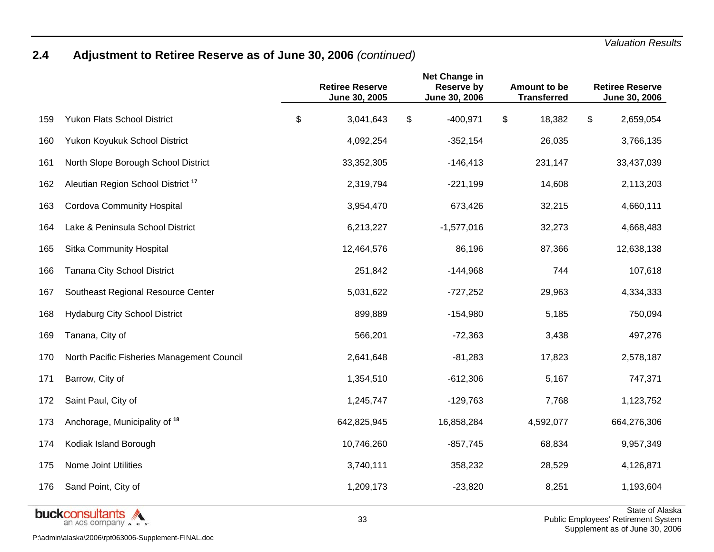### **2.4 Adjustment to Retiree Reserve as of June 30, 2006** *(continued)*

|     |                                                 | <b>Retiree Reserve</b><br>June 30, 2005 | Net Change in<br><b>Reserve by</b><br>June 30, 2006 | Amount to be<br><b>Transferred</b> | <b>Retiree Reserve</b><br>June 30, 2006                  |
|-----|-------------------------------------------------|-----------------------------------------|-----------------------------------------------------|------------------------------------|----------------------------------------------------------|
| 159 | <b>Yukon Flats School District</b>              | \$<br>3,041,643                         | \$<br>$-400,971$                                    | \$<br>18,382                       | \$<br>2,659,054                                          |
| 160 | Yukon Koyukuk School District                   | 4,092,254                               | $-352,154$                                          | 26,035                             | 3,766,135                                                |
| 161 | North Slope Borough School District             | 33,352,305                              | $-146,413$                                          | 231,147                            | 33,437,039                                               |
| 162 | Aleutian Region School District <sup>17</sup>   | 2,319,794                               | $-221,199$                                          | 14,608                             | 2,113,203                                                |
| 163 | <b>Cordova Community Hospital</b>               | 3,954,470                               | 673,426                                             | 32,215                             | 4,660,111                                                |
| 164 | Lake & Peninsula School District                | 6,213,227                               | $-1,577,016$                                        | 32,273                             | 4,668,483                                                |
| 165 | Sitka Community Hospital                        | 12,464,576                              | 86,196                                              | 87,366                             | 12,638,138                                               |
| 166 | Tanana City School District                     | 251,842                                 | $-144,968$                                          | 744                                | 107,618                                                  |
| 167 | Southeast Regional Resource Center              | 5,031,622                               | $-727,252$                                          | 29,963                             | 4,334,333                                                |
| 168 | <b>Hydaburg City School District</b>            | 899,889                                 | $-154,980$                                          | 5,185                              | 750,094                                                  |
| 169 | Tanana, City of                                 | 566,201                                 | $-72,363$                                           | 3,438                              | 497,276                                                  |
| 170 | North Pacific Fisheries Management Council      | 2,641,648                               | $-81,283$                                           | 17,823                             | 2,578,187                                                |
| 171 | Barrow, City of                                 | 1,354,510                               | $-612,306$                                          | 5,167                              | 747,371                                                  |
| 172 | Saint Paul, City of                             | 1,245,747                               | $-129,763$                                          | 7,768                              | 1,123,752                                                |
| 173 | Anchorage, Municipality of 18                   | 642,825,945                             | 16,858,284                                          | 4,592,077                          | 664,276,306                                              |
| 174 | Kodiak Island Borough                           | 10,746,260                              | $-857,745$                                          | 68,834                             | 9,957,349                                                |
| 175 | <b>Nome Joint Utilities</b>                     | 3,740,111                               | 358,232                                             | 28,529                             | 4,126,871                                                |
| 176 | Sand Point, City of                             | 1,209,173                               | $-23,820$                                           | 8,251                              | 1,193,604                                                |
|     | <b>buckconsultants</b><br>an ACS company A c s' | 33                                      |                                                     |                                    | State of Ala<br><b>Public Employees' Retirement Syst</b> |

P:\admin\alaska\2006\rpt063006-Supplement-FINAL.doc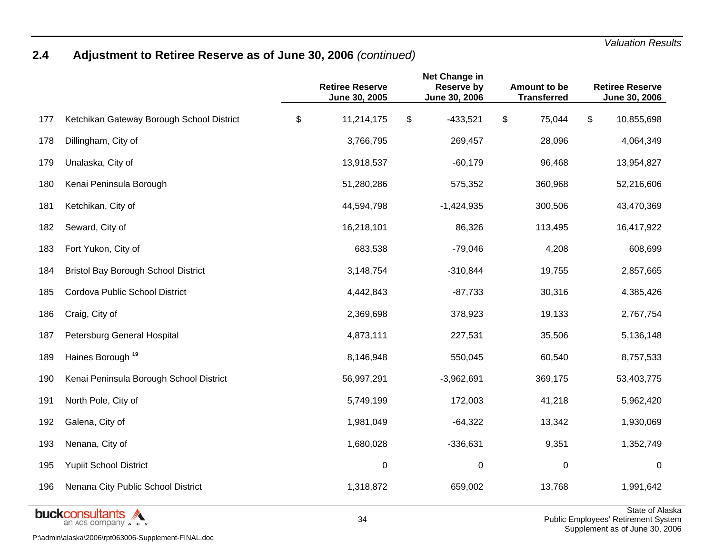### **2.4 Adjustment to Retiree Reserve as of June 30, 2006** *(continued)*

|     |                                            | <b>Retiree Reserve</b><br>June 30, 2005 | Net Change in<br><b>Reserve by</b><br>June 30, 2006 | Amount to be<br><b>Transferred</b> | <b>Retiree Reserve</b><br>June 30, 2006 |
|-----|--------------------------------------------|-----------------------------------------|-----------------------------------------------------|------------------------------------|-----------------------------------------|
| 177 | Ketchikan Gateway Borough School District  | \$<br>11,214,175                        | \$<br>$-433,521$                                    | \$<br>75,044                       | \$<br>10,855,698                        |
| 178 | Dillingham, City of                        | 3,766,795                               | 269,457                                             | 28,096                             | 4,064,349                               |
| 179 | Unalaska, City of                          | 13,918,537                              | $-60,179$                                           | 96,468                             | 13,954,827                              |
| 180 | Kenai Peninsula Borough                    | 51,280,286                              | 575,352                                             | 360,968                            | 52,216,606                              |
| 181 | Ketchikan, City of                         | 44,594,798                              | $-1,424,935$                                        | 300,506                            | 43,470,369                              |
| 182 | Seward, City of                            | 16,218,101                              | 86,326                                              | 113,495                            | 16,417,922                              |
| 183 | Fort Yukon, City of                        | 683,538                                 | $-79,046$                                           | 4,208                              | 608,699                                 |
| 184 | <b>Bristol Bay Borough School District</b> | 3,148,754                               | $-310,844$                                          | 19,755                             | 2,857,665                               |
| 185 | Cordova Public School District             | 4,442,843                               | $-87,733$                                           | 30,316                             | 4,385,426                               |
| 186 | Craig, City of                             | 2,369,698                               | 378,923                                             | 19,133                             | 2,767,754                               |
| 187 | Petersburg General Hospital                | 4,873,111                               | 227,531                                             | 35,506                             | 5,136,148                               |
| 189 | Haines Borough <sup>19</sup>               | 8,146,948                               | 550,045                                             | 60,540                             | 8,757,533                               |
| 190 | Kenai Peninsula Borough School District    | 56,997,291                              | $-3,962,691$                                        | 369,175                            | 53,403,775                              |
| 191 | North Pole, City of                        | 5,749,199                               | 172,003                                             | 41,218                             | 5,962,420                               |
| 192 | Galena, City of                            | 1,981,049                               | $-64,322$                                           | 13,342                             | 1,930,069                               |
| 193 | Nenana, City of                            | 1,680,028                               | $-336,631$                                          | 9,351                              | 1,352,749                               |
| 195 | <b>Yupiit School District</b>              | $\mathbf 0$                             | 0                                                   | 0                                  | 0                                       |
| 196 | Nenana City Public School District         | 1,318,872                               | 659,002                                             | 13,768                             | 1,991,642                               |
|     | فالمعامر والمتموع والمتنوا                 |                                         |                                                     |                                    | State of Ala                            |



 $\overline{\textsf{iska}}$  Public Employees' Retirement System Supplement as of June 30, 2006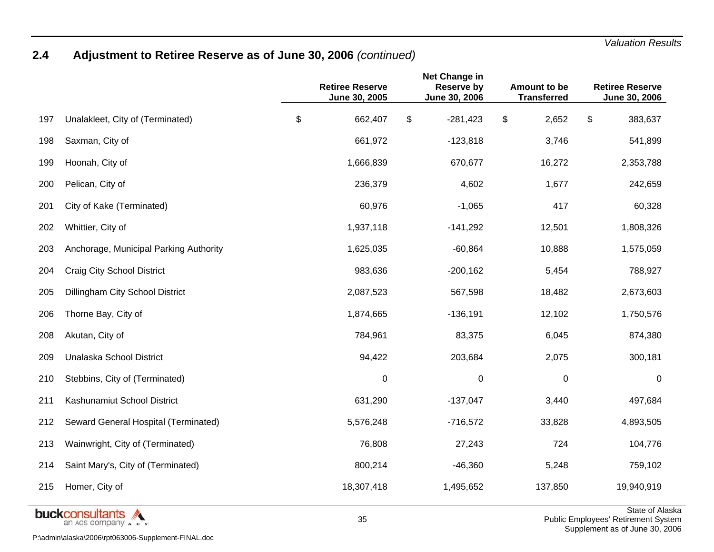### **2.4 Adjustment to Retiree Reserve as of June 30, 2006** *(continued)*

|     |                                        | <b>Retiree Reserve</b><br>June 30, 2005 | Net Change in<br><b>Reserve by</b><br>June 30, 2006 | Amount to be<br><b>Transferred</b> | <b>Retiree Reserve</b><br>June 30, 2006 |
|-----|----------------------------------------|-----------------------------------------|-----------------------------------------------------|------------------------------------|-----------------------------------------|
| 197 | Unalakleet, City of (Terminated)       | \$<br>662,407                           | \$<br>$-281,423$                                    | \$<br>2,652                        | \$<br>383,637                           |
| 198 | Saxman, City of                        | 661,972                                 | $-123,818$                                          | 3,746                              | 541,899                                 |
| 199 | Hoonah, City of                        | 1,666,839                               | 670,677                                             | 16,272                             | 2,353,788                               |
| 200 | Pelican, City of                       | 236,379                                 | 4,602                                               | 1,677                              | 242,659                                 |
| 201 | City of Kake (Terminated)              | 60,976                                  | $-1,065$                                            | 417                                | 60,328                                  |
| 202 | Whittier, City of                      | 1,937,118                               | $-141,292$                                          | 12,501                             | 1,808,326                               |
| 203 | Anchorage, Municipal Parking Authority | 1,625,035                               | $-60,864$                                           | 10,888                             | 1,575,059                               |
| 204 | <b>Craig City School District</b>      | 983,636                                 | $-200,162$                                          | 5,454                              | 788,927                                 |
| 205 | Dillingham City School District        | 2,087,523                               | 567,598                                             | 18,482                             | 2,673,603                               |
| 206 | Thorne Bay, City of                    | 1,874,665                               | $-136,191$                                          | 12,102                             | 1,750,576                               |
| 208 | Akutan, City of                        | 784,961                                 | 83,375                                              | 6,045                              | 874,380                                 |
| 209 | Unalaska School District               | 94,422                                  | 203,684                                             | 2,075                              | 300,181                                 |
| 210 | Stebbins, City of (Terminated)         | 0                                       | $\mathbf 0$                                         | $\boldsymbol{0}$                   | 0                                       |
| 211 | Kashunamiut School District            | 631,290                                 | $-137,047$                                          | 3,440                              | 497,684                                 |
| 212 | Seward General Hospital (Terminated)   | 5,576,248                               | $-716,572$                                          | 33,828                             | 4,893,505                               |
| 213 | Wainwright, City of (Terminated)       | 76,808                                  | 27,243                                              | 724                                | 104,776                                 |
| 214 | Saint Mary's, City of (Terminated)     | 800,214                                 | $-46,360$                                           | 5,248                              | 759,102                                 |
| 215 | Homer, City of                         | 18,307,418                              | 1,495,652                                           | 137,850                            | 19,940,919                              |
|     | hunkonnoutonto A                       |                                         |                                                     |                                    | State of Ala                            |

**buckconsultants** P:\admin\alaska\2006\rpt063006-Supplement-FINAL.doc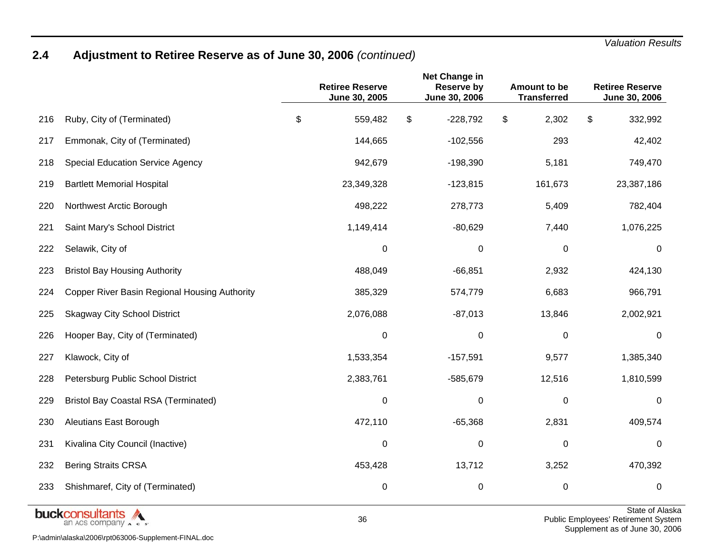### **2.4 Adjustment to Retiree Reserve as of June 30, 2006** *(continued)*

|     |                                               | <b>Retiree Reserve</b><br>June 30, 2005 | Net Change in<br><b>Reserve by</b><br>June 30, 2006 | Amount to be<br><b>Transferred</b> | <b>Retiree Reserve</b><br>June 30, 2006 |
|-----|-----------------------------------------------|-----------------------------------------|-----------------------------------------------------|------------------------------------|-----------------------------------------|
| 216 | Ruby, City of (Terminated)                    | \$<br>559,482                           | \$<br>$-228,792$                                    | \$<br>2,302                        | \$<br>332,992                           |
| 217 | Emmonak, City of (Terminated)                 | 144,665                                 | $-102,556$                                          | 293                                | 42,402                                  |
| 218 | <b>Special Education Service Agency</b>       | 942,679                                 | $-198,390$                                          | 5,181                              | 749,470                                 |
| 219 | <b>Bartlett Memorial Hospital</b>             | 23,349,328                              | $-123,815$                                          | 161,673                            | 23,387,186                              |
| 220 | Northwest Arctic Borough                      | 498,222                                 | 278,773                                             | 5,409                              | 782,404                                 |
| 221 | Saint Mary's School District                  | 1,149,414                               | $-80,629$                                           | 7,440                              | 1,076,225                               |
| 222 | Selawik, City of                              | 0                                       | 0                                                   | 0                                  | 0                                       |
| 223 | <b>Bristol Bay Housing Authority</b>          | 488,049                                 | $-66,851$                                           | 2,932                              | 424,130                                 |
| 224 | Copper River Basin Regional Housing Authority | 385,329                                 | 574,779                                             | 6,683                              | 966,791                                 |
| 225 | <b>Skagway City School District</b>           | 2,076,088                               | $-87,013$                                           | 13,846                             | 2,002,921                               |
| 226 | Hooper Bay, City of (Terminated)              | 0                                       | 0                                                   | 0                                  | 0                                       |
| 227 | Klawock, City of                              | 1,533,354                               | $-157,591$                                          | 9,577                              | 1,385,340                               |
| 228 | Petersburg Public School District             | 2,383,761                               | $-585,679$                                          | 12,516                             | 1,810,599                               |
| 229 | <b>Bristol Bay Coastal RSA (Terminated)</b>   | $\pmb{0}$                               | 0                                                   | $\pmb{0}$                          | 0                                       |
| 230 | Aleutians East Borough                        | 472,110                                 | $-65,368$                                           | 2,831                              | 409,574                                 |
| 231 | Kivalina City Council (Inactive)              | 0                                       | $\mathbf 0$                                         | $\boldsymbol{0}$                   | 0                                       |
| 232 | <b>Bering Straits CRSA</b>                    | 453,428                                 | 13,712                                              | 3,252                              | 470,392                                 |
| 233 | Shishmaref, City of (Terminated)              | 0                                       | 0                                                   | 0                                  | 0                                       |



State of Alaska Public Employees' Retirement System Supplement as of June 30, 2006

P:\admin\alaska\2006\rpt063006-Supplement-FINAL.doc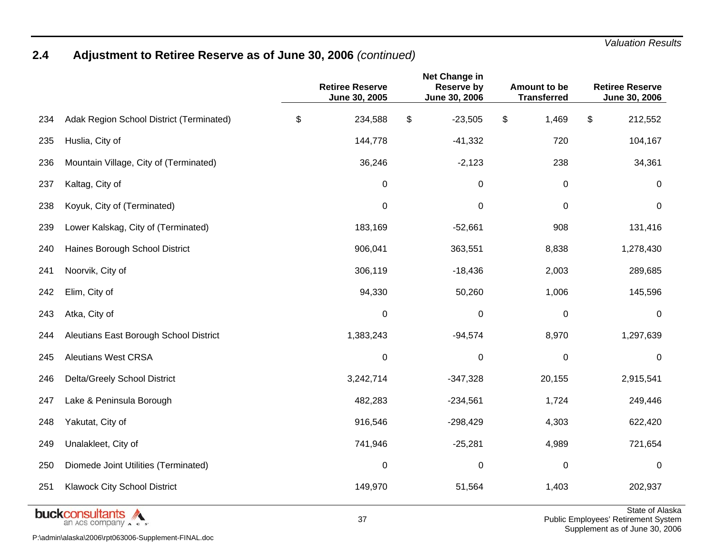### **2.4 Adjustment to Retiree Reserve as of June 30, 2006** *(continued)*

|     |                                           | <b>Retiree Reserve</b><br>June 30, 2005 | Net Change in<br><b>Reserve by</b><br>June 30, 2006 | Amount to be<br><b>Transferred</b> | <b>Retiree Reserve</b><br>June 30, 2006 |
|-----|-------------------------------------------|-----------------------------------------|-----------------------------------------------------|------------------------------------|-----------------------------------------|
| 234 | Adak Region School District (Terminated)  | \$<br>234,588                           | \$<br>$-23,505$                                     | \$<br>1,469                        | \$<br>212,552                           |
| 235 | Huslia, City of                           | 144,778                                 | $-41,332$                                           | 720                                | 104,167                                 |
| 236 | Mountain Village, City of (Terminated)    | 36,246                                  | $-2,123$                                            | 238                                | 34,361                                  |
| 237 | Kaltag, City of                           | 0                                       | 0                                                   | 0                                  | 0                                       |
| 238 | Koyuk, City of (Terminated)               | 0                                       | 0                                                   | $\mathbf 0$                        | $\mathbf 0$                             |
| 239 | Lower Kalskag, City of (Terminated)       | 183,169                                 | $-52,661$                                           | 908                                | 131,416                                 |
| 240 | Haines Borough School District            | 906,041                                 | 363,551                                             | 8,838                              | 1,278,430                               |
| 241 | Noorvik, City of                          | 306,119                                 | $-18,436$                                           | 2,003                              | 289,685                                 |
| 242 | Elim, City of                             | 94,330                                  | 50,260                                              | 1,006                              | 145,596                                 |
| 243 | Atka, City of                             | 0                                       | 0                                                   | 0                                  | 0                                       |
| 244 | Aleutians East Borough School District    | 1,383,243                               | $-94,574$                                           | 8,970                              | 1,297,639                               |
| 245 | <b>Aleutians West CRSA</b>                | 0                                       | 0                                                   | 0                                  | 0                                       |
| 246 | Delta/Greely School District              | 3,242,714                               | $-347,328$                                          | 20,155                             | 2,915,541                               |
| 247 | Lake & Peninsula Borough                  | 482,283                                 | $-234,561$                                          | 1,724                              | 249,446                                 |
| 248 | Yakutat, City of                          | 916,546                                 | $-298,429$                                          | 4,303                              | 622,420                                 |
| 249 | Unalakleet, City of                       | 741,946                                 | $-25,281$                                           | 4,989                              | 721,654                                 |
| 250 | Diomede Joint Utilities (Terminated)      | $\pmb{0}$                               | $\pmb{0}$                                           | 0                                  | $\mathbf 0$                             |
| 251 | Klawock City School District              | 149,970                                 | 51,564                                              | 1,403                              | 202,937                                 |
|     | <b>Lease Francisco Andrea Maria Andre</b> |                                         |                                                     |                                    | State of Ala                            |



State of Alaska Public Employees' Retirement System Supplement as of June 30, 2006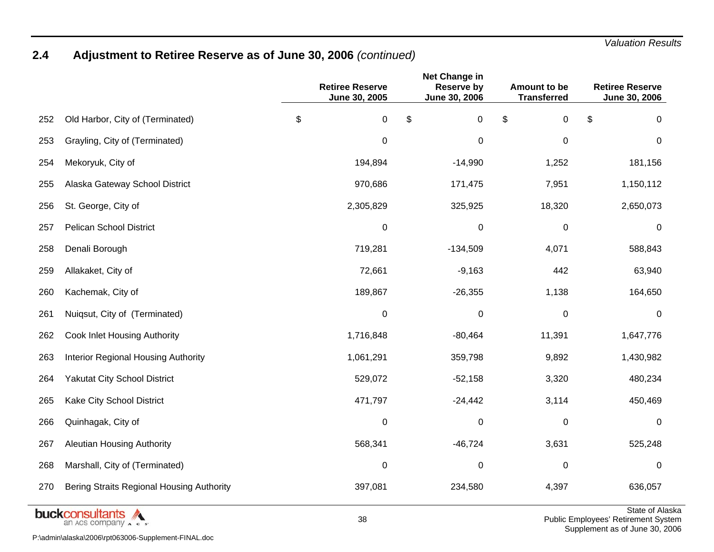### **2.4 Adjustment to Retiree Reserve as of June 30, 2006** *(continued)*

|     |                                            | <b>Retiree Reserve</b><br>June 30, 2005 | <b>Net Change in</b><br><b>Reserve by</b><br>June 30, 2006 | Amount to be<br><b>Transferred</b> | <b>Retiree Reserve</b><br>June 30, 2006 |
|-----|--------------------------------------------|-----------------------------------------|------------------------------------------------------------|------------------------------------|-----------------------------------------|
| 252 | Old Harbor, City of (Terminated)           | \$<br>0                                 | \$<br>$\pmb{0}$                                            | \$<br>$\pmb{0}$                    | \$<br>0                                 |
| 253 | Grayling, City of (Terminated)             | $\boldsymbol{0}$                        | 0                                                          | $\mathbf 0$                        | $\mathbf 0$                             |
| 254 | Mekoryuk, City of                          | 194,894                                 | $-14,990$                                                  | 1,252                              | 181,156                                 |
| 255 | Alaska Gateway School District             | 970,686                                 | 171,475                                                    | 7,951                              | 1,150,112                               |
| 256 | St. George, City of                        | 2,305,829                               | 325,925                                                    | 18,320                             | 2,650,073                               |
| 257 | <b>Pelican School District</b>             | $\boldsymbol{0}$                        | 0                                                          | $\mathbf 0$                        | 0                                       |
| 258 | Denali Borough                             | 719,281                                 | $-134,509$                                                 | 4,071                              | 588,843                                 |
| 259 | Allakaket, City of                         | 72,661                                  | $-9,163$                                                   | 442                                | 63,940                                  |
| 260 | Kachemak, City of                          | 189,867                                 | $-26,355$                                                  | 1,138                              | 164,650                                 |
| 261 | Nuiqsut, City of (Terminated)              | $\boldsymbol{0}$                        | 0                                                          | 0                                  | 0                                       |
| 262 | Cook Inlet Housing Authority               | 1,716,848                               | $-80,464$                                                  | 11,391                             | 1,647,776                               |
| 263 | <b>Interior Regional Housing Authority</b> | 1,061,291                               | 359,798                                                    | 9,892                              | 1,430,982                               |
| 264 | <b>Yakutat City School District</b>        | 529,072                                 | $-52,158$                                                  | 3,320                              | 480,234                                 |
| 265 | Kake City School District                  | 471,797                                 | $-24,442$                                                  | 3,114                              | 450,469                                 |
| 266 | Quinhagak, City of                         | $\mathbf 0$                             | $\boldsymbol{0}$                                           | 0                                  | 0                                       |
| 267 | <b>Aleutian Housing Authority</b>          | 568,341                                 | $-46,724$                                                  | 3,631                              | 525,248                                 |
| 268 | Marshall, City of (Terminated)             | 0                                       | 0                                                          | $\mathbf 0$                        | $\mathbf 0$                             |
| 270 | Bering Straits Regional Housing Authority  | 397,081                                 | 234,580                                                    | 4,397                              | 636,057                                 |
|     | والمتعاقب والمتحدث والمتناط                |                                         |                                                            |                                    | State of Ala                            |



P:\admin\alaska\2006\rpt063006-Supplement-FINAL.doc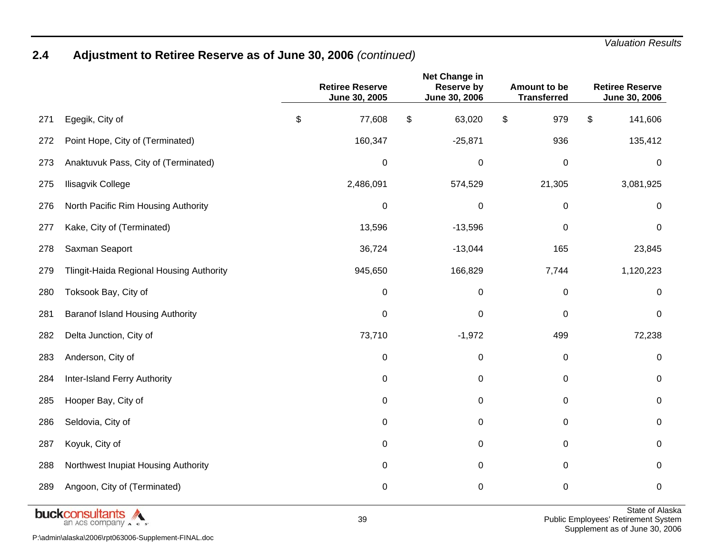### **2.4 Adjustment to Retiree Reserve as of June 30, 2006** *(continued)*

|     |                                          | <b>Retiree Reserve</b><br>June 30, 2005 | Net Change in<br><b>Reserve by</b><br>June 30, 2006 | Amount to be<br><b>Transferred</b> | <b>Retiree Reserve</b><br>June 30, 2006 |
|-----|------------------------------------------|-----------------------------------------|-----------------------------------------------------|------------------------------------|-----------------------------------------|
| 271 | Egegik, City of                          | \$<br>77,608                            | \$<br>63,020                                        | \$<br>979                          | \$<br>141,606                           |
| 272 | Point Hope, City of (Terminated)         | 160,347                                 | $-25,871$                                           | 936                                | 135,412                                 |
| 273 | Anaktuvuk Pass, City of (Terminated)     | $\pmb{0}$                               | 0                                                   | $\pmb{0}$                          | $\pmb{0}$                               |
| 275 | Ilisagvik College                        | 2,486,091                               | 574,529                                             | 21,305                             | 3,081,925                               |
| 276 | North Pacific Rim Housing Authority      | $\pmb{0}$                               | 0                                                   | $\pmb{0}$                          | 0                                       |
| 277 | Kake, City of (Terminated)               | 13,596                                  | $-13,596$                                           | $\,0\,$                            | 0                                       |
| 278 | Saxman Seaport                           | 36,724                                  | $-13,044$                                           | 165                                | 23,845                                  |
| 279 | Tlingit-Haida Regional Housing Authority | 945,650                                 | 166,829                                             | 7,744                              | 1,120,223                               |
| 280 | Toksook Bay, City of                     | $\pmb{0}$                               | $\pmb{0}$                                           | $\pmb{0}$                          | $\boldsymbol{0}$                        |
| 281 | <b>Baranof Island Housing Authority</b>  | $\mathbf 0$                             | $\mathbf 0$                                         | $\pmb{0}$                          | 0                                       |
| 282 | Delta Junction, City of                  | 73,710                                  | $-1,972$                                            | 499                                | 72,238                                  |
| 283 | Anderson, City of                        | $\pmb{0}$                               | 0                                                   | $\pmb{0}$                          | 0                                       |
| 284 | Inter-Island Ferry Authority             | $\boldsymbol{0}$                        | $\pmb{0}$                                           | $\pmb{0}$                          | $\pmb{0}$                               |
| 285 | Hooper Bay, City of                      | $\pmb{0}$                               | $\pmb{0}$                                           | $\pmb{0}$                          | $\pmb{0}$                               |
| 286 | Seldovia, City of                        | 0                                       | $\pmb{0}$                                           | 0                                  | 0                                       |
| 287 | Koyuk, City of                           | 0                                       | $\mathbf 0$                                         | $\pmb{0}$                          | 0                                       |
| 288 | Northwest Inupiat Housing Authority      | 0                                       | 0                                                   | 0                                  | 0                                       |
| 289 | Angoon, City of (Terminated)             | $\mathbf 0$                             | 0                                                   | $\pmb{0}$                          | $\pmb{0}$                               |



P:\admin\alaska\2006\rpt063006-Supplement-FINAL.doc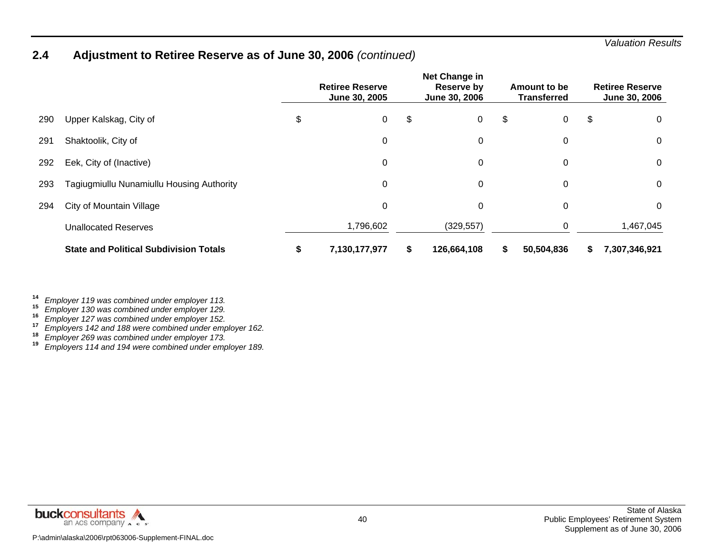### **2.4 Adjustment to Retiree Reserve as of June 30, 2006** *(continued)*

|     |                                               | <b>Retiree Reserve</b><br>June 30, 2005 | Net Change in<br>Reserve by<br>June 30, 2006 |    | Amount to be<br><b>Transferred</b> |    | <b>Retiree Reserve</b><br><b>June 30, 2006</b> |
|-----|-----------------------------------------------|-----------------------------------------|----------------------------------------------|----|------------------------------------|----|------------------------------------------------|
| 290 | Upper Kalskag, City of                        | \$<br>0                                 | \$<br>$\mathbf 0$                            | \$ | 0                                  | \$ | 0                                              |
| 291 | Shaktoolik, City of                           | 0                                       | 0                                            |    | $\mathbf 0$                        |    | 0                                              |
| 292 | Eek, City of (Inactive)                       | 0                                       | 0                                            |    | 0                                  |    | 0                                              |
| 293 | Tagiugmiullu Nunamiullu Housing Authority     | 0                                       | 0                                            |    | 0                                  |    | 0                                              |
| 294 | City of Mountain Village                      | 0                                       | 0                                            |    | 0                                  |    | 0                                              |
|     | <b>Unallocated Reserves</b>                   | 1,796,602                               | (329, 557)                                   |    | 0                                  |    | 1,467,045                                      |
|     | <b>State and Political Subdivision Totals</b> | 7,130,177,977                           | \$<br>126,664,108                            | S  | 50,504,836                         | S  | 7,307,346,921                                  |

*Employer 130 was combined under employer 129.* **16**

*Employer 127 was combined under employer 152.* **17**

*Employer 121 was combined under employer 102.*<br> **18** Employers 142 and 188 were combined under employer 162.<br> **18** Employer 269 was combined under employer 173.

*Employer 269 was combined under employer 173.* **<sup>19</sup>***Employers 114 and 194 were combined under employer 189.*



**<sup>14</sup>***Employer 119 was combined under employer 113.* **15**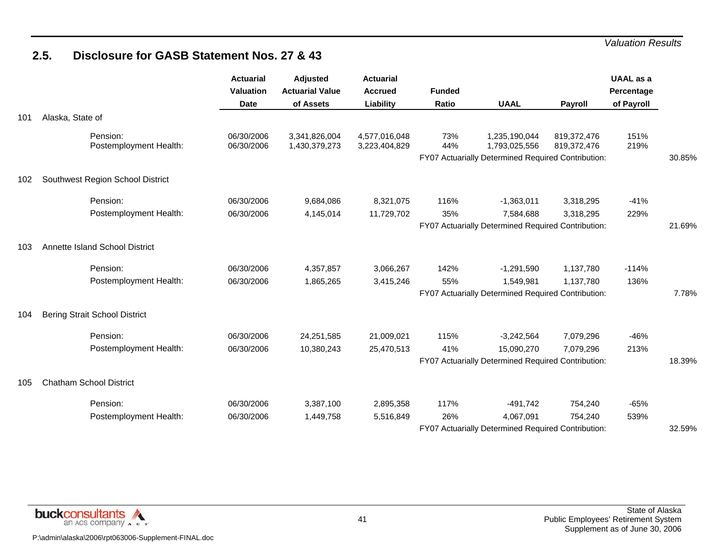### **2.5. Disclosure for GASB Statement Nos. 27 & 43**

|     |                                      | <b>Actuarial</b><br><b>Valuation</b><br><b>Date</b> | Adjusted<br><b>Actuarial Value</b><br>of Assets | <b>Actuarial</b><br><b>Accrued</b><br>Liability | <b>Funded</b><br>Ratio | <b>UAAL</b>                                                                          | <b>Payroll</b>             | <b>UAAL</b> as a<br>Percentage<br>of Payroll |        |
|-----|--------------------------------------|-----------------------------------------------------|-------------------------------------------------|-------------------------------------------------|------------------------|--------------------------------------------------------------------------------------|----------------------------|----------------------------------------------|--------|
| 101 | Alaska, State of                     |                                                     |                                                 |                                                 |                        |                                                                                      |                            |                                              |        |
|     | Pension:<br>Postemployment Health:   | 06/30/2006<br>06/30/2006                            | 3,341,826,004<br>1,430,379,273                  | 4,577,016,048<br>3,223,404,829                  | 73%<br>44%             | 1,235,190,044<br>1,793,025,556<br>FY07 Actuarially Determined Required Contribution: | 819,372,476<br>819,372,476 | 151%<br>219%                                 | 30.85% |
| 102 | Southwest Region School District     |                                                     |                                                 |                                                 |                        |                                                                                      |                            |                                              |        |
|     | Pension:                             | 06/30/2006                                          | 9,684,086                                       | 8,321,075                                       | 116%                   | $-1,363,011$                                                                         | 3,318,295                  | $-41%$                                       |        |
|     | Postemployment Health:               | 06/30/2006                                          | 4,145,014                                       | 11,729,702                                      | 35%                    | 7,584,688<br>FY07 Actuarially Determined Required Contribution:                      | 3,318,295                  | 229%                                         | 21.69% |
| 103 | Annette Island School District       |                                                     |                                                 |                                                 |                        |                                                                                      |                            |                                              |        |
|     | Pension:                             | 06/30/2006                                          | 4,357,857                                       | 3,066,267                                       | 142%                   | $-1,291,590$                                                                         | 1,137,780                  | $-114%$                                      |        |
|     | Postemployment Health:               | 06/30/2006                                          | 1,865,265                                       | 3,415,246                                       | 55%                    | 1,549,981<br>FY07 Actuarially Determined Required Contribution:                      | 1,137,780                  | 136%                                         | 7.78%  |
| 104 | <b>Bering Strait School District</b> |                                                     |                                                 |                                                 |                        |                                                                                      |                            |                                              |        |
|     | Pension:                             | 06/30/2006                                          | 24,251,585                                      | 21,009,021                                      | 115%                   | $-3,242,564$                                                                         | 7,079,296                  | $-46%$                                       |        |
|     | Postemployment Health:               | 06/30/2006                                          | 10,380,243                                      | 25,470,513                                      | 41%                    | 15,090,270<br>FY07 Actuarially Determined Required Contribution:                     | 7,079,296                  | 213%                                         | 18.39% |
| 105 | <b>Chatham School District</b>       |                                                     |                                                 |                                                 |                        |                                                                                      |                            |                                              |        |
|     | Pension:                             | 06/30/2006                                          | 3,387,100                                       | 2,895,358                                       | 117%                   | $-491,742$                                                                           | 754,240                    | $-65%$                                       |        |
|     | Postemployment Health:               | 06/30/2006                                          | 1,449,758                                       | 5,516,849                                       | 26%                    | 4,067,091<br>FY07 Actuarially Determined Required Contribution:                      | 754,240                    | 539%                                         | 32.59% |

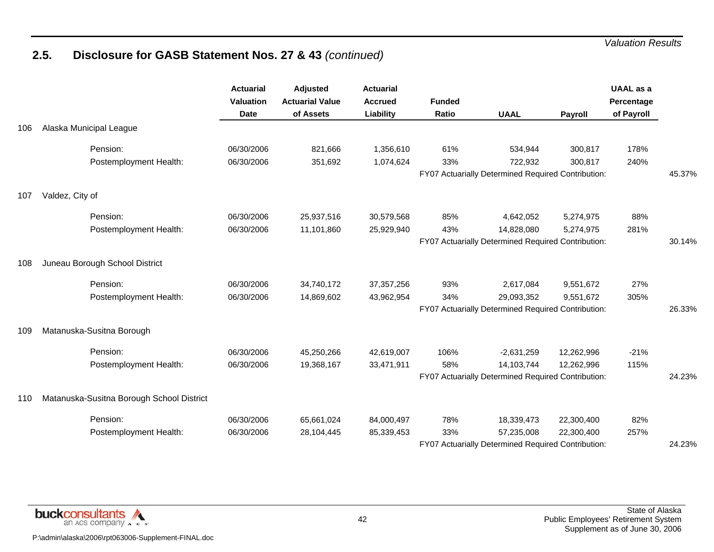|     |                                           | <b>Actuarial</b><br>Valuation<br><b>Date</b> | Adjusted<br><b>Actuarial Value</b><br>of Assets | <b>Actuarial</b><br><b>Accrued</b><br>Liability | <b>Funded</b><br><b>Ratio</b> | <b>UAAL</b>                                        | Payroll    | <b>UAAL</b> as a<br>Percentage<br>of Payroll |        |
|-----|-------------------------------------------|----------------------------------------------|-------------------------------------------------|-------------------------------------------------|-------------------------------|----------------------------------------------------|------------|----------------------------------------------|--------|
| 106 | Alaska Municipal League                   |                                              |                                                 |                                                 |                               |                                                    |            |                                              |        |
|     | Pension:                                  | 06/30/2006                                   | 821,666                                         | 1,356,610                                       | 61%                           | 534,944                                            | 300,817    | 178%                                         |        |
|     | Postemployment Health:                    | 06/30/2006                                   | 351,692                                         | 1,074,624                                       | 33%                           | 722,932                                            | 300,817    | 240%                                         |        |
|     |                                           |                                              |                                                 |                                                 |                               | FY07 Actuarially Determined Required Contribution: |            |                                              | 45.37% |
| 107 | Valdez, City of                           |                                              |                                                 |                                                 |                               |                                                    |            |                                              |        |
|     | Pension:                                  | 06/30/2006                                   | 25,937,516                                      | 30,579,568                                      | 85%                           | 4,642,052                                          | 5,274,975  | 88%                                          |        |
|     | Postemployment Health:                    | 06/30/2006                                   | 11,101,860                                      | 25,929,940                                      | 43%                           | 14,828,080                                         | 5,274,975  | 281%                                         |        |
|     |                                           |                                              |                                                 |                                                 |                               | FY07 Actuarially Determined Required Contribution: |            |                                              | 30.14% |
| 108 | Juneau Borough School District            |                                              |                                                 |                                                 |                               |                                                    |            |                                              |        |
|     | Pension:                                  | 06/30/2006                                   | 34,740,172                                      | 37, 357, 256                                    | 93%                           | 2,617,084                                          | 9,551,672  | 27%                                          |        |
|     | Postemployment Health:                    | 06/30/2006                                   | 14,869,602                                      | 43,962,954                                      | 34%                           | 29,093,352                                         | 9,551,672  | 305%                                         |        |
|     |                                           |                                              |                                                 |                                                 |                               | FY07 Actuarially Determined Required Contribution: |            |                                              | 26.33% |
| 109 | Matanuska-Susitna Borough                 |                                              |                                                 |                                                 |                               |                                                    |            |                                              |        |
|     | Pension:                                  | 06/30/2006                                   | 45,250,266                                      | 42,619,007                                      | 106%                          | $-2,631,259$                                       | 12,262,996 | $-21%$                                       |        |
|     | Postemployment Health:                    | 06/30/2006                                   | 19,368,167                                      | 33,471,911                                      | 58%                           | 14,103,744                                         | 12,262,996 | 115%                                         |        |
|     |                                           |                                              |                                                 |                                                 |                               | FY07 Actuarially Determined Required Contribution: |            |                                              | 24.23% |
| 110 | Matanuska-Susitna Borough School District |                                              |                                                 |                                                 |                               |                                                    |            |                                              |        |
|     | Pension:                                  | 06/30/2006                                   | 65,661,024                                      | 84,000,497                                      | 78%                           | 18,339,473                                         | 22,300,400 | 82%                                          |        |
|     | Postemployment Health:                    | 06/30/2006                                   | 28,104,445                                      | 85,339,453                                      | 33%                           | 57,235,008                                         | 22,300,400 | 257%                                         |        |
|     |                                           |                                              |                                                 |                                                 |                               | FY07 Actuarially Determined Required Contribution: |            |                                              | 24.23% |

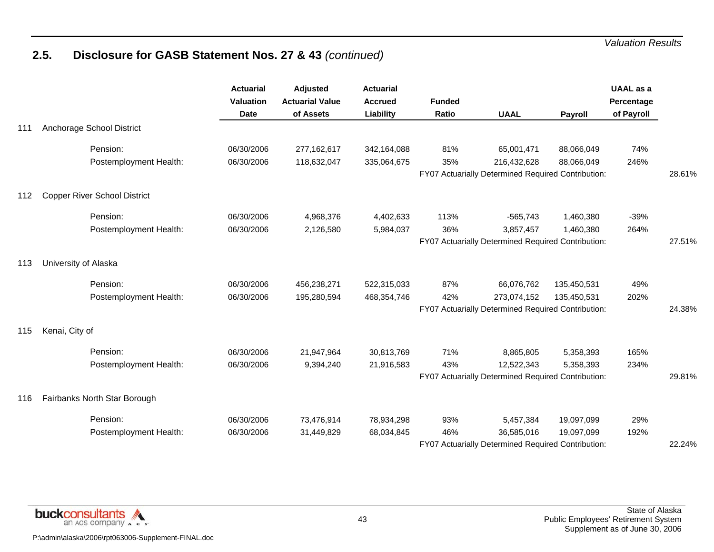|     |                                     | <b>Actuarial</b><br><b>Valuation</b><br><b>Date</b> | Adjusted<br><b>Actuarial Value</b><br>of Assets | <b>Actuarial</b><br><b>Accrued</b><br>Liability | <b>Funded</b><br>Ratio | <b>UAAL</b>                                                       | Payroll     | <b>UAAL</b> as a<br>Percentage<br>of Payroll |        |
|-----|-------------------------------------|-----------------------------------------------------|-------------------------------------------------|-------------------------------------------------|------------------------|-------------------------------------------------------------------|-------------|----------------------------------------------|--------|
| 111 | Anchorage School District           |                                                     |                                                 |                                                 |                        |                                                                   |             |                                              |        |
|     | Pension:                            | 06/30/2006                                          | 277,162,617                                     | 342,164,088                                     | 81%                    | 65,001,471                                                        | 88,066,049  | 74%                                          |        |
|     | Postemployment Health:              | 06/30/2006                                          | 118,632,047                                     | 335,064,675                                     | 35%                    | 216,432,628<br>FY07 Actuarially Determined Required Contribution: | 88,066,049  | 246%                                         | 28.61% |
|     |                                     |                                                     |                                                 |                                                 |                        |                                                                   |             |                                              |        |
| 112 | <b>Copper River School District</b> |                                                     |                                                 |                                                 |                        |                                                                   |             |                                              |        |
|     | Pension:                            | 06/30/2006                                          | 4,968,376                                       | 4,402,633                                       | 113%                   | $-565,743$                                                        | 1,460,380   | $-39%$                                       |        |
|     | Postemployment Health:              | 06/30/2006                                          | 2,126,580                                       | 5,984,037                                       | 36%                    | 3,857,457                                                         | 1,460,380   | 264%                                         |        |
|     |                                     |                                                     |                                                 |                                                 |                        | FY07 Actuarially Determined Required Contribution:                |             |                                              | 27.51% |
| 113 | University of Alaska                |                                                     |                                                 |                                                 |                        |                                                                   |             |                                              |        |
|     | Pension:                            | 06/30/2006                                          | 456,238,271                                     | 522,315,033                                     | 87%                    | 66,076,762                                                        | 135,450,531 | 49%                                          |        |
|     | Postemployment Health:              | 06/30/2006                                          | 195,280,594                                     | 468,354,746                                     | 42%                    | 273,074,152                                                       | 135,450,531 | 202%                                         |        |
|     |                                     |                                                     |                                                 |                                                 |                        | FY07 Actuarially Determined Required Contribution:                |             |                                              | 24.38% |
| 115 | Kenai, City of                      |                                                     |                                                 |                                                 |                        |                                                                   |             |                                              |        |
|     | Pension:                            | 06/30/2006                                          | 21,947,964                                      | 30,813,769                                      | 71%                    | 8,865,805                                                         | 5,358,393   | 165%                                         |        |
|     | Postemployment Health:              | 06/30/2006                                          | 9,394,240                                       | 21,916,583                                      | 43%                    | 12,522,343                                                        | 5,358,393   | 234%                                         |        |
|     |                                     |                                                     |                                                 |                                                 |                        | FY07 Actuarially Determined Required Contribution:                |             |                                              | 29.81% |
| 116 | Fairbanks North Star Borough        |                                                     |                                                 |                                                 |                        |                                                                   |             |                                              |        |
|     | Pension:                            | 06/30/2006                                          | 73,476,914                                      | 78,934,298                                      | 93%                    | 5,457,384                                                         | 19,097,099  | 29%                                          |        |
|     | Postemployment Health:              | 06/30/2006                                          | 31,449,829                                      | 68,034,845                                      | 46%                    | 36,585,016                                                        | 19,097,099  | 192%                                         |        |
|     |                                     |                                                     |                                                 |                                                 |                        | FY07 Actuarially Determined Required Contribution:                |             |                                              | 22.24% |

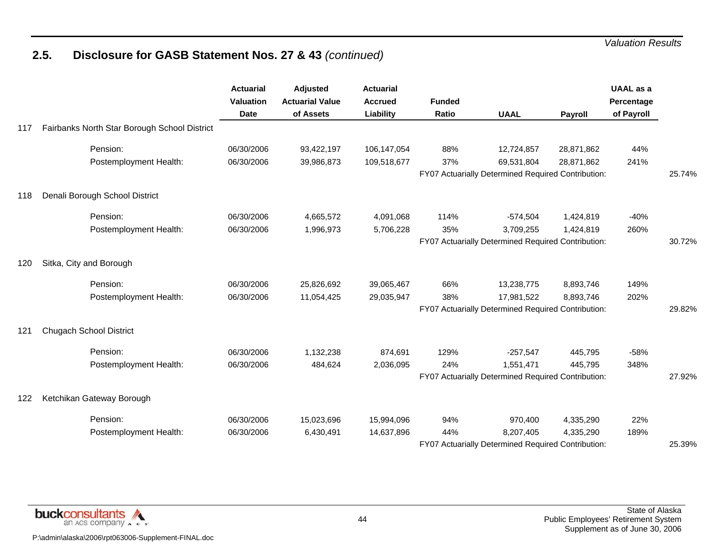|     |                                              | <b>Actuarial</b><br><b>Valuation</b><br><b>Date</b> | Adjusted<br><b>Actuarial Value</b><br>of Assets | <b>Actuarial</b><br><b>Accrued</b><br>Liability | <b>Funded</b><br>Ratio | <b>UAAL</b>                                        | Payroll    | <b>UAAL</b> as a<br>Percentage<br>of Payroll |        |
|-----|----------------------------------------------|-----------------------------------------------------|-------------------------------------------------|-------------------------------------------------|------------------------|----------------------------------------------------|------------|----------------------------------------------|--------|
| 117 | Fairbanks North Star Borough School District |                                                     |                                                 |                                                 |                        |                                                    |            |                                              |        |
|     | Pension:                                     | 06/30/2006                                          | 93,422,197                                      | 106,147,054                                     | 88%                    | 12,724,857                                         | 28,871,862 | 44%                                          |        |
|     | Postemployment Health:                       | 06/30/2006                                          | 39,986,873                                      | 109,518,677                                     | 37%                    | 69,531,804                                         | 28,871,862 | 241%                                         |        |
|     |                                              |                                                     |                                                 |                                                 |                        | FY07 Actuarially Determined Required Contribution: |            |                                              | 25.74% |
| 118 | Denali Borough School District               |                                                     |                                                 |                                                 |                        |                                                    |            |                                              |        |
|     | Pension:                                     | 06/30/2006                                          | 4,665,572                                       | 4,091,068                                       | 114%                   | $-574,504$                                         | 1,424,819  | $-40%$                                       |        |
|     | Postemployment Health:                       | 06/30/2006                                          | 1,996,973                                       | 5,706,228                                       | 35%                    | 3,709,255                                          | 1,424,819  | 260%                                         |        |
|     |                                              |                                                     |                                                 |                                                 |                        | FY07 Actuarially Determined Required Contribution: |            |                                              | 30.72% |
| 120 | Sitka, City and Borough                      |                                                     |                                                 |                                                 |                        |                                                    |            |                                              |        |
|     | Pension:                                     | 06/30/2006                                          | 25,826,692                                      | 39,065,467                                      | 66%                    | 13,238,775                                         | 8,893,746  | 149%                                         |        |
|     | Postemployment Health:                       | 06/30/2006                                          | 11,054,425                                      | 29,035,947                                      | 38%                    | 17,981,522                                         | 8,893,746  | 202%                                         |        |
|     |                                              |                                                     |                                                 |                                                 |                        | FY07 Actuarially Determined Required Contribution: |            |                                              | 29.82% |
| 121 | <b>Chugach School District</b>               |                                                     |                                                 |                                                 |                        |                                                    |            |                                              |        |
|     | Pension:                                     | 06/30/2006                                          | 1,132,238                                       | 874,691                                         | 129%                   | $-257,547$                                         | 445,795    | $-58%$                                       |        |
|     | Postemployment Health:                       | 06/30/2006                                          | 484,624                                         | 2,036,095                                       | 24%                    | 1,551,471                                          | 445,795    | 348%                                         |        |
|     |                                              |                                                     |                                                 |                                                 |                        | FY07 Actuarially Determined Required Contribution: |            |                                              | 27.92% |
| 122 | Ketchikan Gateway Borough                    |                                                     |                                                 |                                                 |                        |                                                    |            |                                              |        |
|     | Pension:                                     | 06/30/2006                                          | 15,023,696                                      | 15,994,096                                      | 94%                    | 970,400                                            | 4,335,290  | 22%                                          |        |
|     | Postemployment Health:                       | 06/30/2006                                          | 6,430,491                                       | 14,637,896                                      | 44%                    | 8,207,405                                          | 4,335,290  | 189%                                         |        |
|     |                                              |                                                     |                                                 |                                                 |                        | FY07 Actuarially Determined Required Contribution: |            |                                              | 25.39% |

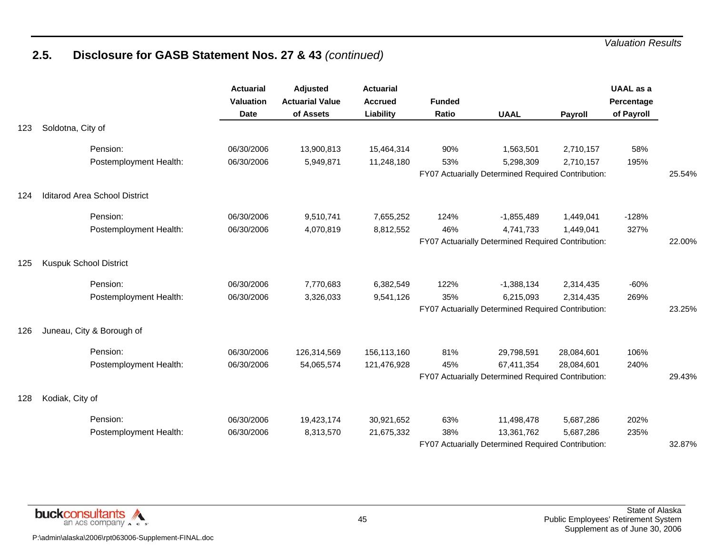|     |                               | <b>Actuarial</b><br>Valuation<br><b>Date</b> | <b>Adjusted</b><br><b>Actuarial Value</b><br>of Assets | <b>Actuarial</b><br><b>Accrued</b><br><b>Liability</b> | <b>Funded</b><br><b>Ratio</b> | <b>UAAL</b>                                        | Payroll    | <b>UAAL</b> as a<br>Percentage<br>of Payroll |        |
|-----|-------------------------------|----------------------------------------------|--------------------------------------------------------|--------------------------------------------------------|-------------------------------|----------------------------------------------------|------------|----------------------------------------------|--------|
| 123 | Soldotna, City of             |                                              |                                                        |                                                        |                               |                                                    |            |                                              |        |
|     | Pension:                      | 06/30/2006                                   | 13,900,813                                             | 15,464,314                                             | 90%                           | 1,563,501                                          | 2,710,157  | 58%                                          |        |
|     | Postemployment Health:        | 06/30/2006                                   | 5,949,871                                              | 11,248,180                                             | 53%                           | 5,298,309                                          | 2,710,157  | 195%                                         |        |
|     |                               |                                              |                                                        |                                                        |                               | FY07 Actuarially Determined Required Contribution: |            |                                              | 25.54% |
| 124 | Iditarod Area School District |                                              |                                                        |                                                        |                               |                                                    |            |                                              |        |
|     | Pension:                      | 06/30/2006                                   | 9,510,741                                              | 7,655,252                                              | 124%                          | $-1,855,489$                                       | 1,449,041  | $-128%$                                      |        |
|     | Postemployment Health:        | 06/30/2006                                   | 4,070,819                                              | 8,812,552                                              | 46%                           | 4,741,733                                          | 1,449,041  | 327%                                         |        |
|     |                               |                                              |                                                        |                                                        |                               | FY07 Actuarially Determined Required Contribution: |            |                                              | 22.00% |
| 125 | <b>Kuspuk School District</b> |                                              |                                                        |                                                        |                               |                                                    |            |                                              |        |
|     | Pension:                      | 06/30/2006                                   | 7,770,683                                              | 6,382,549                                              | 122%                          | $-1,388,134$                                       | 2,314,435  | $-60%$                                       |        |
|     | Postemployment Health:        | 06/30/2006                                   | 3,326,033                                              | 9,541,126                                              | 35%                           | 6,215,093                                          | 2,314,435  | 269%                                         |        |
|     |                               |                                              |                                                        |                                                        |                               | FY07 Actuarially Determined Required Contribution: |            |                                              | 23.25% |
| 126 | Juneau, City & Borough of     |                                              |                                                        |                                                        |                               |                                                    |            |                                              |        |
|     | Pension:                      | 06/30/2006                                   | 126,314,569                                            | 156,113,160                                            | 81%                           | 29,798,591                                         | 28,084,601 | 106%                                         |        |
|     | Postemployment Health:        | 06/30/2006                                   | 54,065,574                                             | 121,476,928                                            | 45%                           | 67,411,354                                         | 28,084,601 | 240%                                         |        |
|     |                               |                                              |                                                        |                                                        |                               | FY07 Actuarially Determined Required Contribution: |            |                                              | 29.43% |
| 128 | Kodiak, City of               |                                              |                                                        |                                                        |                               |                                                    |            |                                              |        |
|     | Pension:                      | 06/30/2006                                   | 19,423,174                                             | 30,921,652                                             | 63%                           | 11,498,478                                         | 5,687,286  | 202%                                         |        |
|     | Postemployment Health:        | 06/30/2006                                   | 8,313,570                                              | 21,675,332                                             | 38%                           | 13,361,762                                         | 5,687,286  | 235%                                         |        |
|     |                               |                                              |                                                        |                                                        |                               | FY07 Actuarially Determined Required Contribution: |            |                                              | 32.87% |

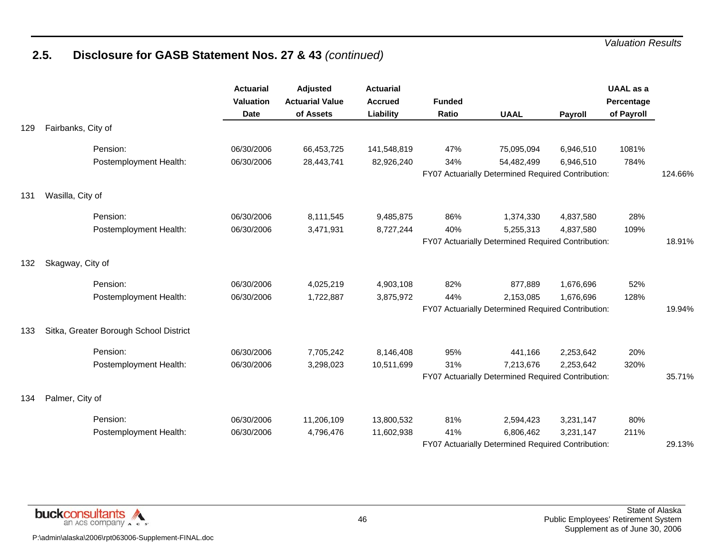|     |                                        | <b>Actuarial</b><br><b>Valuation</b><br><b>Date</b> | <b>Adjusted</b><br><b>Actuarial Value</b><br>of Assets | <b>Actuarial</b><br><b>Accrued</b><br>Liability | <b>Funded</b><br>Ratio | <b>UAAL</b>                                        | <b>Payroll</b> | <b>UAAL</b> as a<br>Percentage<br>of Payroll |         |
|-----|----------------------------------------|-----------------------------------------------------|--------------------------------------------------------|-------------------------------------------------|------------------------|----------------------------------------------------|----------------|----------------------------------------------|---------|
| 129 | Fairbanks, City of                     |                                                     |                                                        |                                                 |                        |                                                    |                |                                              |         |
|     | Pension:                               | 06/30/2006                                          | 66,453,725                                             | 141,548,819                                     | 47%                    | 75,095,094                                         | 6,946,510      | 1081%                                        |         |
|     | Postemployment Health:                 | 06/30/2006                                          | 28,443,741                                             | 82,926,240                                      | 34%                    | 54,482,499                                         | 6,946,510      | 784%                                         |         |
|     |                                        |                                                     |                                                        |                                                 |                        | FY07 Actuarially Determined Required Contribution: |                |                                              | 124.66% |
| 131 | Wasilla, City of                       |                                                     |                                                        |                                                 |                        |                                                    |                |                                              |         |
|     | Pension:                               | 06/30/2006                                          | 8,111,545                                              | 9,485,875                                       | 86%                    | 1,374,330                                          | 4,837,580      | 28%                                          |         |
|     | Postemployment Health:                 | 06/30/2006                                          | 3,471,931                                              | 8,727,244                                       | 40%                    | 5,255,313                                          | 4,837,580      | 109%                                         |         |
|     |                                        |                                                     |                                                        |                                                 |                        | FY07 Actuarially Determined Required Contribution: |                |                                              | 18.91%  |
| 132 | Skagway, City of                       |                                                     |                                                        |                                                 |                        |                                                    |                |                                              |         |
|     | Pension:                               | 06/30/2006                                          | 4,025,219                                              | 4,903,108                                       | 82%                    | 877,889                                            | 1,676,696      | 52%                                          |         |
|     | Postemployment Health:                 | 06/30/2006                                          | 1,722,887                                              | 3,875,972                                       | 44%                    | 2,153,085                                          | 1,676,696      | 128%                                         |         |
|     |                                        |                                                     |                                                        |                                                 |                        | FY07 Actuarially Determined Required Contribution: |                |                                              | 19.94%  |
| 133 | Sitka, Greater Borough School District |                                                     |                                                        |                                                 |                        |                                                    |                |                                              |         |
|     | Pension:                               | 06/30/2006                                          | 7,705,242                                              | 8,146,408                                       | 95%                    | 441,166                                            | 2,253,642      | 20%                                          |         |
|     | Postemployment Health:                 | 06/30/2006                                          | 3,298,023                                              | 10,511,699                                      | 31%                    | 7,213,676                                          | 2,253,642      | 320%                                         |         |
|     |                                        |                                                     |                                                        |                                                 |                        | FY07 Actuarially Determined Required Contribution: |                |                                              | 35.71%  |
| 134 | Palmer, City of                        |                                                     |                                                        |                                                 |                        |                                                    |                |                                              |         |
|     | Pension:                               | 06/30/2006                                          | 11,206,109                                             | 13,800,532                                      | 81%                    | 2,594,423                                          | 3,231,147      | 80%                                          |         |
|     | Postemployment Health:                 | 06/30/2006                                          | 4,796,476                                              | 11,602,938                                      | 41%                    | 6,806,462                                          | 3,231,147      | 211%                                         |         |
|     |                                        |                                                     |                                                        |                                                 |                        | FY07 Actuarially Determined Required Contribution: |                |                                              | 29.13%  |

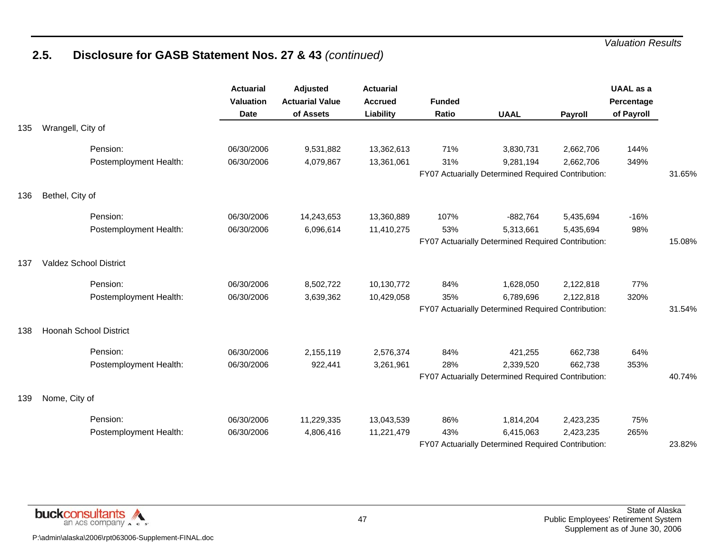|     |                               | <b>Actuarial</b><br><b>Valuation</b><br><b>Date</b> | Adjusted<br><b>Actuarial Value</b><br>of Assets | <b>Actuarial</b><br><b>Accrued</b><br>Liability | <b>Funded</b><br><b>Ratio</b> | <b>UAAL</b>                                        | Payroll   | <b>UAAL</b> as a<br>Percentage<br>of Payroll |        |
|-----|-------------------------------|-----------------------------------------------------|-------------------------------------------------|-------------------------------------------------|-------------------------------|----------------------------------------------------|-----------|----------------------------------------------|--------|
| 135 | Wrangell, City of             |                                                     |                                                 |                                                 |                               |                                                    |           |                                              |        |
|     | Pension:                      | 06/30/2006                                          | 9,531,882                                       | 13,362,613                                      | 71%                           | 3,830,731                                          | 2,662,706 | 144%                                         |        |
|     | Postemployment Health:        | 06/30/2006                                          | 4,079,867                                       | 13,361,061                                      | 31%                           | 9,281,194                                          | 2,662,706 | 349%                                         |        |
|     |                               |                                                     |                                                 |                                                 |                               | FY07 Actuarially Determined Required Contribution: |           |                                              | 31.65% |
| 136 | Bethel, City of               |                                                     |                                                 |                                                 |                               |                                                    |           |                                              |        |
|     | Pension:                      | 06/30/2006                                          | 14,243,653                                      | 13,360,889                                      | 107%                          | $-882,764$                                         | 5,435,694 | $-16%$                                       |        |
|     | Postemployment Health:        | 06/30/2006                                          | 6,096,614                                       | 11,410,275                                      | 53%                           | 5,313,661                                          | 5,435,694 | 98%                                          |        |
|     |                               |                                                     |                                                 |                                                 |                               | FY07 Actuarially Determined Required Contribution: |           |                                              | 15.08% |
| 137 | <b>Valdez School District</b> |                                                     |                                                 |                                                 |                               |                                                    |           |                                              |        |
|     | Pension:                      | 06/30/2006                                          | 8,502,722                                       | 10,130,772                                      | 84%                           | 1,628,050                                          | 2,122,818 | 77%                                          |        |
|     | Postemployment Health:        | 06/30/2006                                          | 3,639,362                                       | 10,429,058                                      | 35%                           | 6,789,696                                          | 2,122,818 | 320%                                         |        |
|     |                               |                                                     |                                                 |                                                 |                               | FY07 Actuarially Determined Required Contribution: |           |                                              | 31.54% |
| 138 | <b>Hoonah School District</b> |                                                     |                                                 |                                                 |                               |                                                    |           |                                              |        |
|     | Pension:                      | 06/30/2006                                          | 2,155,119                                       | 2,576,374                                       | 84%                           | 421,255                                            | 662,738   | 64%                                          |        |
|     | Postemployment Health:        | 06/30/2006                                          | 922,441                                         | 3,261,961                                       | 28%                           | 2,339,520                                          | 662,738   | 353%                                         |        |
|     |                               |                                                     |                                                 |                                                 |                               | FY07 Actuarially Determined Required Contribution: |           |                                              | 40.74% |
| 139 | Nome, City of                 |                                                     |                                                 |                                                 |                               |                                                    |           |                                              |        |
|     | Pension:                      | 06/30/2006                                          | 11,229,335                                      | 13,043,539                                      | 86%                           | 1,814,204                                          | 2,423,235 | 75%                                          |        |
|     | Postemployment Health:        | 06/30/2006                                          | 4,806,416                                       | 11,221,479                                      | 43%                           | 6,415,063                                          | 2,423,235 | 265%                                         |        |
|     |                               |                                                     |                                                 |                                                 |                               | FY07 Actuarially Determined Required Contribution: |           |                                              | 23.82% |

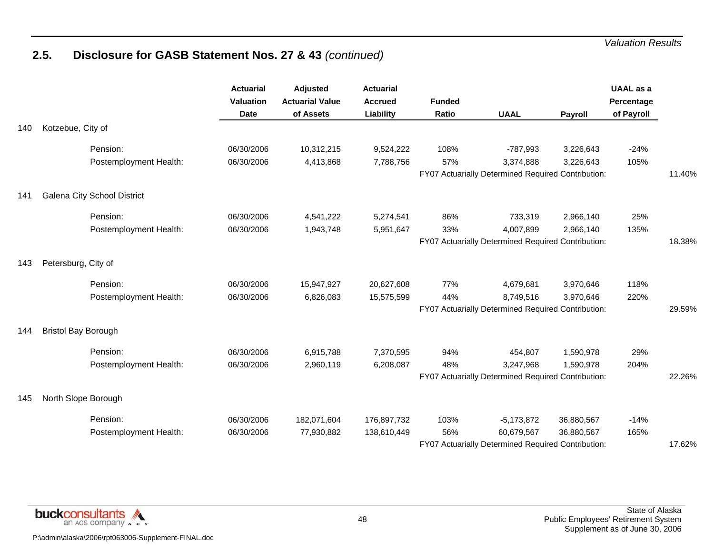|     |                             | <b>Actuarial</b><br><b>Valuation</b><br><b>Date</b> | Adjusted<br><b>Actuarial Value</b><br>of Assets | <b>Actuarial</b><br><b>Accrued</b><br>Liability | <b>Funded</b><br><b>Ratio</b> | <b>UAAL</b>                                        | Payroll    | <b>UAAL</b> as a<br>Percentage<br>of Payroll |        |
|-----|-----------------------------|-----------------------------------------------------|-------------------------------------------------|-------------------------------------------------|-------------------------------|----------------------------------------------------|------------|----------------------------------------------|--------|
| 140 | Kotzebue, City of           |                                                     |                                                 |                                                 |                               |                                                    |            |                                              |        |
|     | Pension:                    | 06/30/2006                                          | 10,312,215                                      | 9,524,222                                       | 108%                          | $-787,993$                                         | 3,226,643  | $-24%$                                       |        |
|     | Postemployment Health:      | 06/30/2006                                          | 4,413,868                                       | 7,788,756                                       | 57%                           | 3,374,888                                          | 3,226,643  | 105%                                         |        |
|     |                             |                                                     |                                                 |                                                 |                               | FY07 Actuarially Determined Required Contribution: |            |                                              | 11.40% |
| 141 | Galena City School District |                                                     |                                                 |                                                 |                               |                                                    |            |                                              |        |
|     | Pension:                    | 06/30/2006                                          | 4,541,222                                       | 5,274,541                                       | 86%                           | 733,319                                            | 2,966,140  | 25%                                          |        |
|     | Postemployment Health:      | 06/30/2006                                          | 1,943,748                                       | 5,951,647                                       | 33%                           | 4,007,899                                          | 2,966,140  | 135%                                         |        |
|     |                             |                                                     |                                                 |                                                 |                               | FY07 Actuarially Determined Required Contribution: |            |                                              | 18.38% |
| 143 | Petersburg, City of         |                                                     |                                                 |                                                 |                               |                                                    |            |                                              |        |
|     | Pension:                    | 06/30/2006                                          | 15,947,927                                      | 20,627,608                                      | 77%                           | 4,679,681                                          | 3,970,646  | 118%                                         |        |
|     | Postemployment Health:      | 06/30/2006                                          | 6,826,083                                       | 15,575,599                                      | 44%                           | 8,749,516                                          | 3,970,646  | 220%                                         |        |
|     |                             |                                                     |                                                 |                                                 |                               | FY07 Actuarially Determined Required Contribution: |            |                                              | 29.59% |
| 144 | <b>Bristol Bay Borough</b>  |                                                     |                                                 |                                                 |                               |                                                    |            |                                              |        |
|     | Pension:                    | 06/30/2006                                          | 6,915,788                                       | 7,370,595                                       | 94%                           | 454,807                                            | 1,590,978  | 29%                                          |        |
|     | Postemployment Health:      | 06/30/2006                                          | 2,960,119                                       | 6,208,087                                       | 48%                           | 3,247,968                                          | 1,590,978  | 204%                                         |        |
|     |                             |                                                     |                                                 |                                                 |                               | FY07 Actuarially Determined Required Contribution: |            |                                              | 22.26% |
| 145 | North Slope Borough         |                                                     |                                                 |                                                 |                               |                                                    |            |                                              |        |
|     | Pension:                    | 06/30/2006                                          | 182,071,604                                     | 176,897,732                                     | 103%                          | $-5,173,872$                                       | 36,880,567 | $-14%$                                       |        |
|     | Postemployment Health:      | 06/30/2006                                          | 77,930,882                                      | 138,610,449                                     | 56%                           | 60,679,567                                         | 36,880,567 | 165%                                         |        |
|     |                             |                                                     |                                                 |                                                 |                               | FY07 Actuarially Determined Required Contribution: |            |                                              | 17.62% |

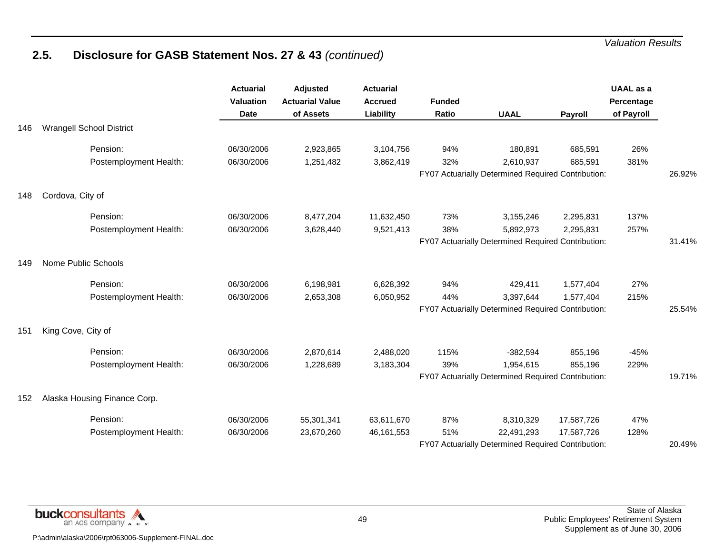|     |                                 | <b>Actuarial</b><br>Valuation<br><b>Date</b> | Adjusted<br><b>Actuarial Value</b><br>of Assets | <b>Actuarial</b><br><b>Accrued</b><br>Liability | <b>Funded</b><br><b>Ratio</b> | <b>UAAL</b>                                        | Payroll    | <b>UAAL</b> as a<br>Percentage<br>of Payroll |        |
|-----|---------------------------------|----------------------------------------------|-------------------------------------------------|-------------------------------------------------|-------------------------------|----------------------------------------------------|------------|----------------------------------------------|--------|
| 146 | <b>Wrangell School District</b> |                                              |                                                 |                                                 |                               |                                                    |            |                                              |        |
|     | Pension:                        | 06/30/2006                                   | 2,923,865                                       | 3,104,756                                       | 94%                           | 180,891                                            | 685,591    | 26%                                          |        |
|     | Postemployment Health:          | 06/30/2006                                   | 1,251,482                                       | 3,862,419                                       | 32%                           | 2,610,937                                          | 685,591    | 381%                                         |        |
|     |                                 |                                              |                                                 |                                                 |                               | FY07 Actuarially Determined Required Contribution: |            |                                              | 26.92% |
| 148 | Cordova, City of                |                                              |                                                 |                                                 |                               |                                                    |            |                                              |        |
|     | Pension:                        | 06/30/2006                                   | 8,477,204                                       | 11,632,450                                      | 73%                           | 3,155,246                                          | 2,295,831  | 137%                                         |        |
|     | Postemployment Health:          | 06/30/2006                                   | 3,628,440                                       | 9,521,413                                       | 38%                           | 5,892,973                                          | 2,295,831  | 257%                                         |        |
|     |                                 |                                              |                                                 |                                                 |                               | FY07 Actuarially Determined Required Contribution: |            |                                              | 31.41% |
| 149 | Nome Public Schools             |                                              |                                                 |                                                 |                               |                                                    |            |                                              |        |
|     | Pension:                        | 06/30/2006                                   | 6,198,981                                       | 6,628,392                                       | 94%                           | 429,411                                            | 1,577,404  | 27%                                          |        |
|     | Postemployment Health:          | 06/30/2006                                   | 2,653,308                                       | 6,050,952                                       | 44%                           | 3,397,644                                          | 1,577,404  | 215%                                         |        |
|     |                                 |                                              |                                                 |                                                 |                               | FY07 Actuarially Determined Required Contribution: |            |                                              | 25.54% |
| 151 | King Cove, City of              |                                              |                                                 |                                                 |                               |                                                    |            |                                              |        |
|     | Pension:                        | 06/30/2006                                   | 2,870,614                                       | 2,488,020                                       | 115%                          | $-382,594$                                         | 855,196    | $-45%$                                       |        |
|     | Postemployment Health:          | 06/30/2006                                   | 1,228,689                                       | 3,183,304                                       | 39%                           | 1,954,615                                          | 855,196    | 229%                                         |        |
|     |                                 |                                              |                                                 |                                                 |                               | FY07 Actuarially Determined Required Contribution: |            |                                              | 19.71% |
| 152 | Alaska Housing Finance Corp.    |                                              |                                                 |                                                 |                               |                                                    |            |                                              |        |
|     | Pension:                        | 06/30/2006                                   | 55,301,341                                      | 63,611,670                                      | 87%                           | 8,310,329                                          | 17,587,726 | 47%                                          |        |
|     | Postemployment Health:          | 06/30/2006                                   | 23,670,260                                      | 46,161,553                                      | 51%                           | 22,491,293                                         | 17,587,726 | 128%                                         |        |
|     |                                 |                                              |                                                 |                                                 |                               | FY07 Actuarially Determined Required Contribution: |            |                                              | 20.49% |

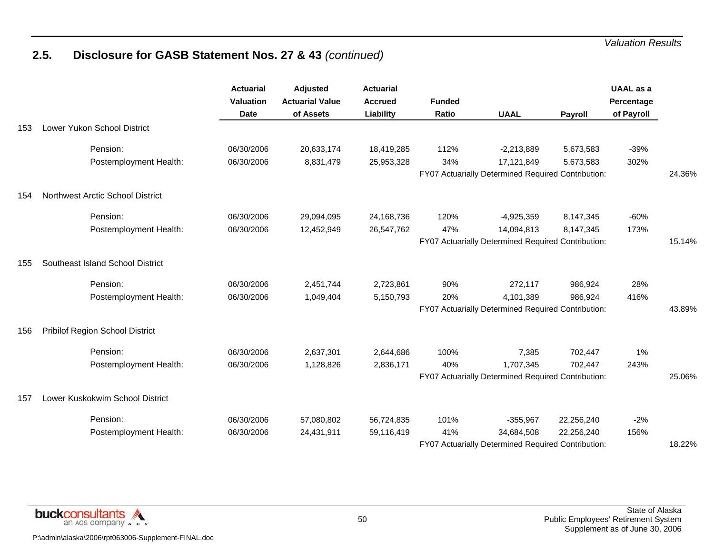|     |                                  | <b>Actuarial</b><br><b>Valuation</b><br><b>Date</b> | Adjusted<br><b>Actuarial Value</b><br>of Assets | <b>Actuarial</b><br><b>Accrued</b><br>Liability | <b>Funded</b><br>Ratio | <b>UAAL</b>                                        | Payroll    | <b>UAAL</b> as a<br>Percentage<br>of Payroll |        |
|-----|----------------------------------|-----------------------------------------------------|-------------------------------------------------|-------------------------------------------------|------------------------|----------------------------------------------------|------------|----------------------------------------------|--------|
| 153 | Lower Yukon School District      |                                                     |                                                 |                                                 |                        |                                                    |            |                                              |        |
|     | Pension:                         | 06/30/2006                                          | 20,633,174                                      | 18,419,285                                      | 112%                   | $-2,213,889$                                       | 5,673,583  | $-39%$                                       |        |
|     | Postemployment Health:           | 06/30/2006                                          | 8,831,479                                       | 25,953,328                                      | 34%                    | 17,121,849                                         | 5,673,583  | 302%                                         |        |
|     |                                  |                                                     |                                                 |                                                 |                        | FY07 Actuarially Determined Required Contribution: |            |                                              | 24.36% |
| 154 | Northwest Arctic School District |                                                     |                                                 |                                                 |                        |                                                    |            |                                              |        |
|     | Pension:                         | 06/30/2006                                          | 29,094,095                                      | 24,168,736                                      | 120%                   | $-4,925,359$                                       | 8,147,345  | $-60%$                                       |        |
|     | Postemployment Health:           | 06/30/2006                                          | 12,452,949                                      | 26,547,762                                      | 47%                    | 14,094,813                                         | 8,147,345  | 173%                                         |        |
|     |                                  |                                                     |                                                 |                                                 |                        | FY07 Actuarially Determined Required Contribution: |            |                                              | 15.14% |
| 155 | Southeast Island School District |                                                     |                                                 |                                                 |                        |                                                    |            |                                              |        |
|     | Pension:                         | 06/30/2006                                          | 2,451,744                                       | 2,723,861                                       | 90%                    | 272,117                                            | 986,924    | 28%                                          |        |
|     | Postemployment Health:           | 06/30/2006                                          | 1,049,404                                       | 5,150,793                                       | 20%                    | 4,101,389                                          | 986,924    | 416%                                         |        |
|     |                                  |                                                     |                                                 |                                                 |                        | FY07 Actuarially Determined Required Contribution: |            |                                              | 43.89% |
| 156 | Pribilof Region School District  |                                                     |                                                 |                                                 |                        |                                                    |            |                                              |        |
|     | Pension:                         | 06/30/2006                                          | 2,637,301                                       | 2,644,686                                       | 100%                   | 7,385                                              | 702,447    | 1%                                           |        |
|     | Postemployment Health:           | 06/30/2006                                          | 1,128,826                                       | 2,836,171                                       | 40%                    | 1,707,345                                          | 702,447    | 243%                                         |        |
|     |                                  |                                                     |                                                 |                                                 |                        | FY07 Actuarially Determined Required Contribution: |            |                                              | 25.06% |
| 157 | Lower Kuskokwim School District  |                                                     |                                                 |                                                 |                        |                                                    |            |                                              |        |
|     | Pension:                         | 06/30/2006                                          | 57,080,802                                      | 56,724,835                                      | 101%                   | $-355,967$                                         | 22,256,240 | $-2%$                                        |        |
|     | Postemployment Health:           | 06/30/2006                                          | 24,431,911                                      | 59,116,419                                      | 41%                    | 34,684,508                                         | 22,256,240 | 156%                                         |        |
|     |                                  |                                                     |                                                 |                                                 |                        | FY07 Actuarially Determined Required Contribution: |            |                                              | 18.22% |

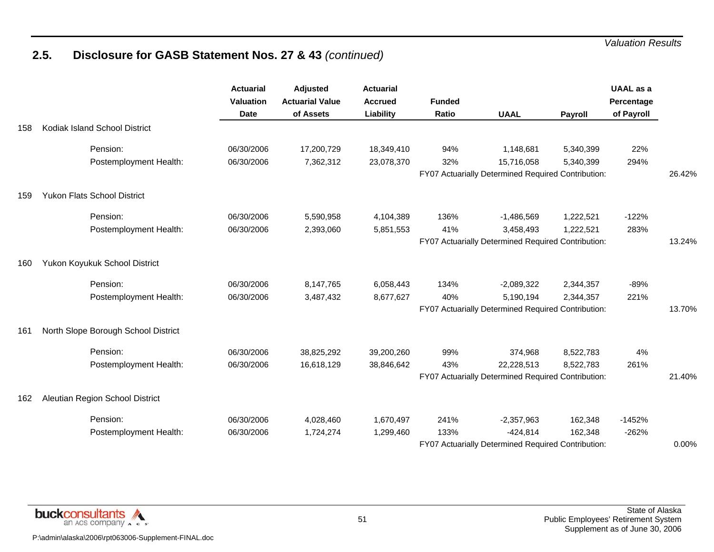|     |                                     | <b>Actuarial</b><br>Valuation<br><b>Date</b> | <b>Adjusted</b><br><b>Actuarial Value</b><br>of Assets | <b>Actuarial</b><br><b>Accrued</b><br>Liability | <b>Funded</b><br>Ratio | <b>UAAL</b>                                        | <b>Payroll</b> | <b>UAAL</b> as a<br>Percentage<br>of Payroll |        |
|-----|-------------------------------------|----------------------------------------------|--------------------------------------------------------|-------------------------------------------------|------------------------|----------------------------------------------------|----------------|----------------------------------------------|--------|
| 158 | Kodiak Island School District       |                                              |                                                        |                                                 |                        |                                                    |                |                                              |        |
|     | Pension:                            | 06/30/2006                                   | 17,200,729                                             | 18,349,410                                      | 94%                    | 1,148,681                                          | 5,340,399      | 22%                                          |        |
|     | Postemployment Health:              | 06/30/2006                                   | 7,362,312                                              | 23,078,370                                      | 32%                    | 15,716,058                                         | 5,340,399      | 294%                                         |        |
|     |                                     |                                              |                                                        |                                                 |                        | FY07 Actuarially Determined Required Contribution: |                |                                              | 26.42% |
| 159 | <b>Yukon Flats School District</b>  |                                              |                                                        |                                                 |                        |                                                    |                |                                              |        |
|     | Pension:                            | 06/30/2006                                   | 5,590,958                                              | 4,104,389                                       | 136%                   | $-1,486,569$                                       | 1,222,521      | $-122%$                                      |        |
|     | Postemployment Health:              | 06/30/2006                                   | 2,393,060                                              | 5,851,553                                       | 41%                    | 3,458,493                                          | 1,222,521      | 283%                                         |        |
|     |                                     |                                              |                                                        |                                                 |                        | FY07 Actuarially Determined Required Contribution: |                |                                              | 13.24% |
| 160 | Yukon Koyukuk School District       |                                              |                                                        |                                                 |                        |                                                    |                |                                              |        |
|     | Pension:                            | 06/30/2006                                   | 8,147,765                                              | 6,058,443                                       | 134%                   | $-2,089,322$                                       | 2,344,357      | $-89%$                                       |        |
|     | Postemployment Health:              | 06/30/2006                                   | 3,487,432                                              | 8,677,627                                       | 40%                    | 5,190,194                                          | 2,344,357      | 221%                                         |        |
|     |                                     |                                              |                                                        |                                                 |                        | FY07 Actuarially Determined Required Contribution: |                |                                              | 13.70% |
| 161 | North Slope Borough School District |                                              |                                                        |                                                 |                        |                                                    |                |                                              |        |
|     | Pension:                            | 06/30/2006                                   | 38,825,292                                             | 39,200,260                                      | 99%                    | 374,968                                            | 8,522,783      | 4%                                           |        |
|     | Postemployment Health:              | 06/30/2006                                   | 16,618,129                                             | 38,846,642                                      | 43%                    | 22,228,513                                         | 8,522,783      | 261%                                         |        |
|     |                                     |                                              |                                                        |                                                 |                        | FY07 Actuarially Determined Required Contribution: |                |                                              | 21.40% |
| 162 | Aleutian Region School District     |                                              |                                                        |                                                 |                        |                                                    |                |                                              |        |
|     | Pension:                            | 06/30/2006                                   | 4,028,460                                              | 1,670,497                                       | 241%                   | $-2,357,963$                                       | 162,348        | $-1452%$                                     |        |
|     | Postemployment Health:              | 06/30/2006                                   | 1,724,274                                              | 1,299,460                                       | 133%                   | $-424,814$                                         | 162,348        | $-262%$                                      |        |
|     |                                     |                                              |                                                        |                                                 |                        | FY07 Actuarially Determined Required Contribution: |                |                                              | 0.00%  |

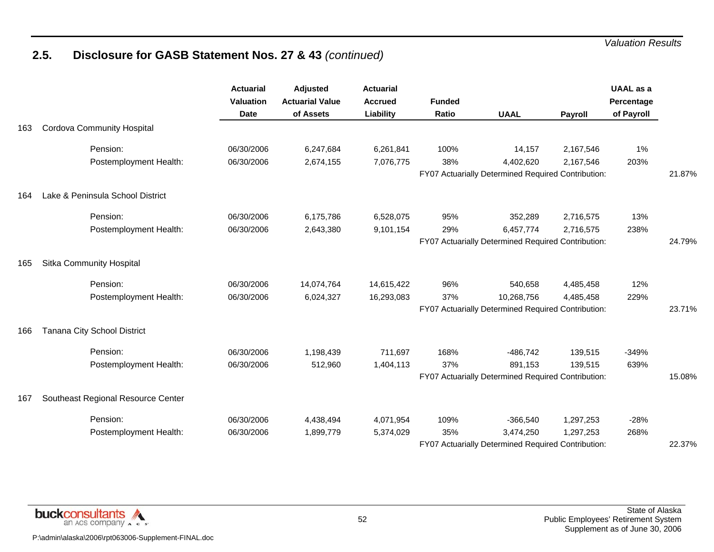|     |                                    | <b>Actuarial</b><br><b>Valuation</b><br><b>Date</b> | Adjusted<br><b>Actuarial Value</b><br>of Assets | <b>Actuarial</b><br><b>Accrued</b><br>Liability | <b>Funded</b><br><b>Ratio</b> | <b>UAAL</b>                                        | Payroll   | <b>UAAL</b> as a<br>Percentage<br>of Payroll |        |
|-----|------------------------------------|-----------------------------------------------------|-------------------------------------------------|-------------------------------------------------|-------------------------------|----------------------------------------------------|-----------|----------------------------------------------|--------|
| 163 | <b>Cordova Community Hospital</b>  |                                                     |                                                 |                                                 |                               |                                                    |           |                                              |        |
|     | Pension:                           | 06/30/2006                                          | 6,247,684                                       | 6,261,841                                       | 100%                          | 14,157                                             | 2,167,546 | 1%                                           |        |
|     | Postemployment Health:             | 06/30/2006                                          | 2,674,155                                       | 7,076,775                                       | 38%                           | 4,402,620                                          | 2,167,546 | 203%                                         |        |
|     |                                    |                                                     |                                                 |                                                 |                               | FY07 Actuarially Determined Required Contribution: |           |                                              | 21.87% |
| 164 | Lake & Peninsula School District   |                                                     |                                                 |                                                 |                               |                                                    |           |                                              |        |
|     | Pension:                           | 06/30/2006                                          | 6,175,786                                       | 6,528,075                                       | 95%                           | 352,289                                            | 2,716,575 | 13%                                          |        |
|     | Postemployment Health:             | 06/30/2006                                          | 2,643,380                                       | 9,101,154                                       | 29%                           | 6,457,774                                          | 2,716,575 | 238%                                         |        |
|     |                                    |                                                     |                                                 |                                                 |                               | FY07 Actuarially Determined Required Contribution: |           |                                              | 24.79% |
| 165 | Sitka Community Hospital           |                                                     |                                                 |                                                 |                               |                                                    |           |                                              |        |
|     | Pension:                           | 06/30/2006                                          | 14,074,764                                      | 14,615,422                                      | 96%                           | 540,658                                            | 4,485,458 | 12%                                          |        |
|     | Postemployment Health:             | 06/30/2006                                          | 6,024,327                                       | 16,293,083                                      | 37%                           | 10,268,756                                         | 4,485,458 | 229%                                         |        |
|     |                                    |                                                     |                                                 |                                                 |                               | FY07 Actuarially Determined Required Contribution: |           |                                              | 23.71% |
| 166 | Tanana City School District        |                                                     |                                                 |                                                 |                               |                                                    |           |                                              |        |
|     | Pension:                           | 06/30/2006                                          | 1,198,439                                       | 711,697                                         | 168%                          | $-486,742$                                         | 139,515   | $-349%$                                      |        |
|     | Postemployment Health:             | 06/30/2006                                          | 512,960                                         | 1,404,113                                       | 37%                           | 891,153                                            | 139,515   | 639%                                         |        |
|     |                                    |                                                     |                                                 |                                                 |                               | FY07 Actuarially Determined Required Contribution: |           |                                              | 15.08% |
| 167 | Southeast Regional Resource Center |                                                     |                                                 |                                                 |                               |                                                    |           |                                              |        |
|     | Pension:                           | 06/30/2006                                          | 4,438,494                                       | 4,071,954                                       | 109%                          | $-366,540$                                         | 1,297,253 | $-28%$                                       |        |
|     | Postemployment Health:             | 06/30/2006                                          | 1,899,779                                       | 5,374,029                                       | 35%                           | 3,474,250                                          | 1,297,253 | 268%                                         |        |
|     |                                    |                                                     |                                                 |                                                 |                               | FY07 Actuarially Determined Required Contribution: |           |                                              | 22.37% |

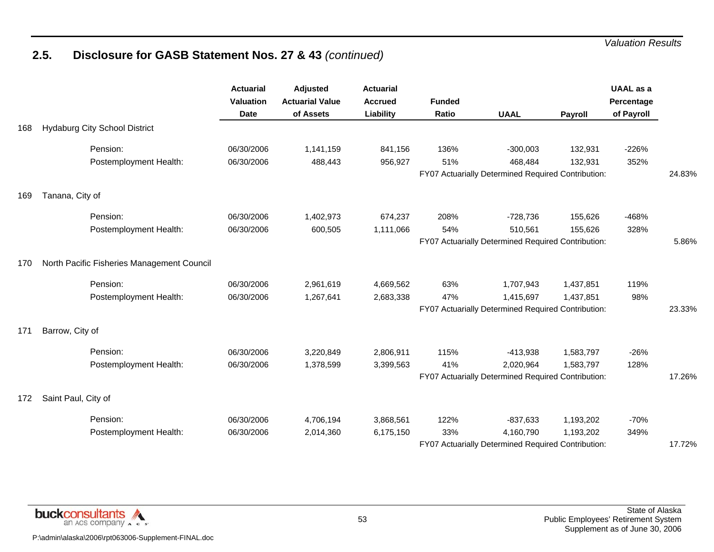|     |                                            | <b>Actuarial</b><br><b>Valuation</b><br><b>Date</b> | <b>Adjusted</b><br><b>Actuarial Value</b><br>of Assets | <b>Actuarial</b><br><b>Accrued</b><br>Liability | <b>Funded</b><br><b>Ratio</b> | <b>UAAL</b>                                        | Payroll   | <b>UAAL</b> as a<br>Percentage<br>of Payroll |        |
|-----|--------------------------------------------|-----------------------------------------------------|--------------------------------------------------------|-------------------------------------------------|-------------------------------|----------------------------------------------------|-----------|----------------------------------------------|--------|
| 168 | <b>Hydaburg City School District</b>       |                                                     |                                                        |                                                 |                               |                                                    |           |                                              |        |
|     | Pension:                                   | 06/30/2006                                          | 1,141,159                                              | 841,156                                         | 136%                          | $-300,003$                                         | 132,931   | $-226%$                                      |        |
|     | Postemployment Health:                     | 06/30/2006                                          | 488,443                                                | 956,927                                         | 51%                           | 468,484                                            | 132,931   | 352%                                         |        |
|     |                                            |                                                     |                                                        |                                                 |                               | FY07 Actuarially Determined Required Contribution: |           |                                              | 24.83% |
| 169 | Tanana, City of                            |                                                     |                                                        |                                                 |                               |                                                    |           |                                              |        |
|     | Pension:                                   | 06/30/2006                                          | 1,402,973                                              | 674,237                                         | 208%                          | $-728,736$                                         | 155,626   | -468%                                        |        |
|     | Postemployment Health:                     | 06/30/2006                                          | 600,505                                                | 1,111,066                                       | 54%                           | 510,561                                            | 155,626   | 328%                                         |        |
|     |                                            |                                                     |                                                        |                                                 |                               | FY07 Actuarially Determined Required Contribution: |           |                                              | 5.86%  |
| 170 | North Pacific Fisheries Management Council |                                                     |                                                        |                                                 |                               |                                                    |           |                                              |        |
|     | Pension:                                   | 06/30/2006                                          | 2,961,619                                              | 4,669,562                                       | 63%                           | 1,707,943                                          | 1,437,851 | 119%                                         |        |
|     | Postemployment Health:                     | 06/30/2006                                          | 1,267,641                                              | 2,683,338                                       | 47%                           | 1,415,697                                          | 1,437,851 | 98%                                          |        |
|     |                                            |                                                     |                                                        |                                                 |                               | FY07 Actuarially Determined Required Contribution: |           |                                              | 23.33% |
| 171 | Barrow, City of                            |                                                     |                                                        |                                                 |                               |                                                    |           |                                              |        |
|     | Pension:                                   | 06/30/2006                                          | 3,220,849                                              | 2,806,911                                       | 115%                          | $-413,938$                                         | 1,583,797 | $-26%$                                       |        |
|     | Postemployment Health:                     | 06/30/2006                                          | 1,378,599                                              | 3,399,563                                       | 41%                           | 2,020,964                                          | 1,583,797 | 128%                                         |        |
|     |                                            |                                                     |                                                        |                                                 |                               | FY07 Actuarially Determined Required Contribution: |           |                                              | 17.26% |
| 172 | Saint Paul, City of                        |                                                     |                                                        |                                                 |                               |                                                    |           |                                              |        |
|     | Pension:                                   | 06/30/2006                                          | 4,706,194                                              | 3,868,561                                       | 122%                          | $-837,633$                                         | 1,193,202 | $-70%$                                       |        |
|     | Postemployment Health:                     | 06/30/2006                                          | 2,014,360                                              | 6,175,150                                       | 33%                           | 4,160,790                                          | 1,193,202 | 349%                                         |        |
|     |                                            |                                                     |                                                        |                                                 |                               | FY07 Actuarially Determined Required Contribution: |           |                                              | 17.72% |

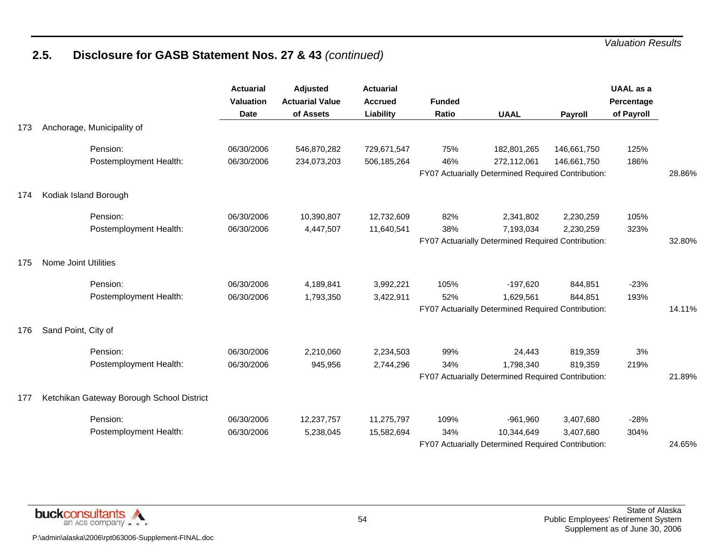|     |                                           | <b>Actuarial</b><br><b>Valuation</b><br><b>Date</b> | Adjusted<br><b>Actuarial Value</b><br>of Assets | <b>Actuarial</b><br><b>Accrued</b><br>Liability | <b>Funded</b><br>Ratio | <b>UAAL</b>                                                       | Payroll     | <b>UAAL</b> as a<br>Percentage<br>of Payroll |        |
|-----|-------------------------------------------|-----------------------------------------------------|-------------------------------------------------|-------------------------------------------------|------------------------|-------------------------------------------------------------------|-------------|----------------------------------------------|--------|
| 173 | Anchorage, Municipality of                |                                                     |                                                 |                                                 |                        |                                                                   |             |                                              |        |
|     | Pension:                                  | 06/30/2006                                          | 546,870,282                                     | 729,671,547                                     | 75%                    | 182,801,265                                                       | 146,661,750 | 125%                                         |        |
|     | Postemployment Health:                    | 06/30/2006                                          | 234,073,203                                     | 506,185,264                                     | 46%                    | 272,112,061<br>FY07 Actuarially Determined Required Contribution: | 146,661,750 | 186%                                         | 28.86% |
|     |                                           |                                                     |                                                 |                                                 |                        |                                                                   |             |                                              |        |
| 174 | Kodiak Island Borough                     |                                                     |                                                 |                                                 |                        |                                                                   |             |                                              |        |
|     | Pension:                                  | 06/30/2006                                          | 10,390,807                                      | 12,732,609                                      | 82%                    | 2,341,802                                                         | 2,230,259   | 105%                                         |        |
|     | Postemployment Health:                    | 06/30/2006                                          | 4,447,507                                       | 11,640,541                                      | 38%                    | 7,193,034                                                         | 2,230,259   | 323%                                         |        |
|     |                                           |                                                     |                                                 |                                                 |                        | FY07 Actuarially Determined Required Contribution:                |             |                                              | 32.80% |
| 175 | Nome Joint Utilities                      |                                                     |                                                 |                                                 |                        |                                                                   |             |                                              |        |
|     | Pension:                                  | 06/30/2006                                          | 4,189,841                                       | 3,992,221                                       | 105%                   | $-197,620$                                                        | 844,851     | $-23%$                                       |        |
|     | Postemployment Health:                    | 06/30/2006                                          | 1,793,350                                       | 3,422,911                                       | 52%                    | 1,629,561                                                         | 844,851     | 193%                                         |        |
|     |                                           |                                                     |                                                 |                                                 |                        | FY07 Actuarially Determined Required Contribution:                |             |                                              | 14.11% |
| 176 | Sand Point, City of                       |                                                     |                                                 |                                                 |                        |                                                                   |             |                                              |        |
|     | Pension:                                  | 06/30/2006                                          | 2,210,060                                       | 2,234,503                                       | 99%                    | 24,443                                                            | 819,359     | 3%                                           |        |
|     | Postemployment Health:                    | 06/30/2006                                          | 945,956                                         | 2,744,296                                       | 34%                    | 1,798,340                                                         | 819,359     | 219%                                         |        |
|     |                                           |                                                     |                                                 |                                                 |                        | FY07 Actuarially Determined Required Contribution:                |             |                                              | 21.89% |
| 177 | Ketchikan Gateway Borough School District |                                                     |                                                 |                                                 |                        |                                                                   |             |                                              |        |
|     | Pension:                                  | 06/30/2006                                          | 12,237,757                                      | 11,275,797                                      | 109%                   | $-961,960$                                                        | 3,407,680   | $-28%$                                       |        |
|     | Postemployment Health:                    | 06/30/2006                                          | 5,238,045                                       | 15,582,694                                      | 34%                    | 10,344,649                                                        | 3,407,680   | 304%                                         |        |
|     |                                           |                                                     |                                                 |                                                 |                        | FY07 Actuarially Determined Required Contribution:                |             |                                              | 24.65% |

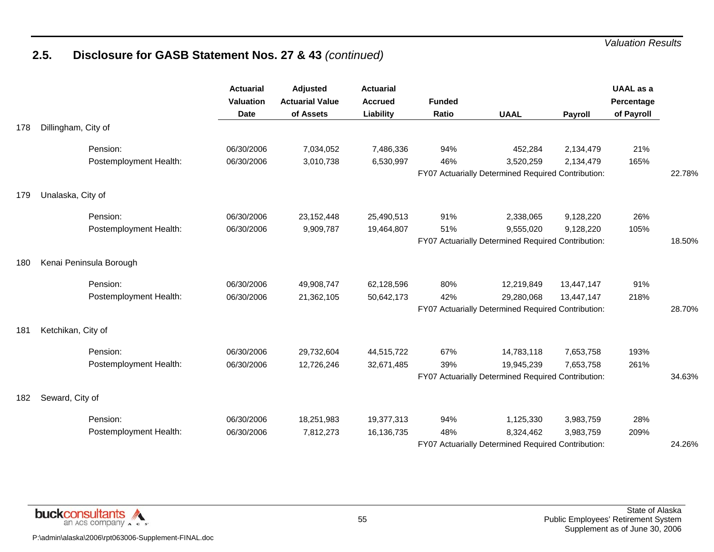|     |                         | <b>Actuarial</b><br><b>Valuation</b><br><b>Date</b> | <b>Adjusted</b><br><b>Actuarial Value</b><br>of Assets | <b>Actuarial</b><br><b>Accrued</b><br>Liability | <b>Funded</b><br>Ratio | <b>UAAL</b>                                        | Payroll    | <b>UAAL</b> as a<br>Percentage<br>of Payroll |        |
|-----|-------------------------|-----------------------------------------------------|--------------------------------------------------------|-------------------------------------------------|------------------------|----------------------------------------------------|------------|----------------------------------------------|--------|
| 178 | Dillingham, City of     |                                                     |                                                        |                                                 |                        |                                                    |            |                                              |        |
|     | Pension:                | 06/30/2006                                          | 7,034,052                                              | 7,486,336                                       | 94%                    | 452,284                                            | 2,134,479  | 21%                                          |        |
|     | Postemployment Health:  | 06/30/2006                                          | 3,010,738                                              | 6,530,997                                       | 46%                    | 3,520,259                                          | 2,134,479  | 165%                                         |        |
|     |                         |                                                     |                                                        |                                                 |                        | FY07 Actuarially Determined Required Contribution: |            |                                              | 22.78% |
| 179 | Unalaska, City of       |                                                     |                                                        |                                                 |                        |                                                    |            |                                              |        |
|     | Pension:                | 06/30/2006                                          | 23, 152, 448                                           | 25,490,513                                      | 91%                    | 2,338,065                                          | 9,128,220  | 26%                                          |        |
|     | Postemployment Health:  | 06/30/2006                                          | 9,909,787                                              | 19,464,807                                      | 51%                    | 9,555,020                                          | 9,128,220  | 105%                                         |        |
|     |                         |                                                     |                                                        |                                                 |                        | FY07 Actuarially Determined Required Contribution: |            |                                              | 18.50% |
| 180 | Kenai Peninsula Borough |                                                     |                                                        |                                                 |                        |                                                    |            |                                              |        |
|     | Pension:                | 06/30/2006                                          | 49,908,747                                             | 62,128,596                                      | 80%                    | 12,219,849                                         | 13,447,147 | 91%                                          |        |
|     | Postemployment Health:  | 06/30/2006                                          | 21,362,105                                             | 50,642,173                                      | 42%                    | 29,280,068                                         | 13,447,147 | 218%                                         |        |
|     |                         |                                                     |                                                        |                                                 |                        | FY07 Actuarially Determined Required Contribution: |            |                                              | 28.70% |
| 181 | Ketchikan, City of      |                                                     |                                                        |                                                 |                        |                                                    |            |                                              |        |
|     | Pension:                | 06/30/2006                                          | 29,732,604                                             | 44,515,722                                      | 67%                    | 14,783,118                                         | 7,653,758  | 193%                                         |        |
|     | Postemployment Health:  | 06/30/2006                                          | 12,726,246                                             | 32,671,485                                      | 39%                    | 19,945,239                                         | 7,653,758  | 261%                                         |        |
|     |                         |                                                     |                                                        |                                                 |                        | FY07 Actuarially Determined Required Contribution: |            |                                              | 34.63% |
| 182 | Seward, City of         |                                                     |                                                        |                                                 |                        |                                                    |            |                                              |        |
|     | Pension:                | 06/30/2006                                          | 18,251,983                                             | 19,377,313                                      | 94%                    | 1,125,330                                          | 3,983,759  | 28%                                          |        |
|     | Postemployment Health:  | 06/30/2006                                          | 7,812,273                                              | 16,136,735                                      | 48%                    | 8,324,462                                          | 3,983,759  | 209%                                         |        |
|     |                         |                                                     |                                                        |                                                 |                        | FY07 Actuarially Determined Required Contribution: |            |                                              | 24.26% |

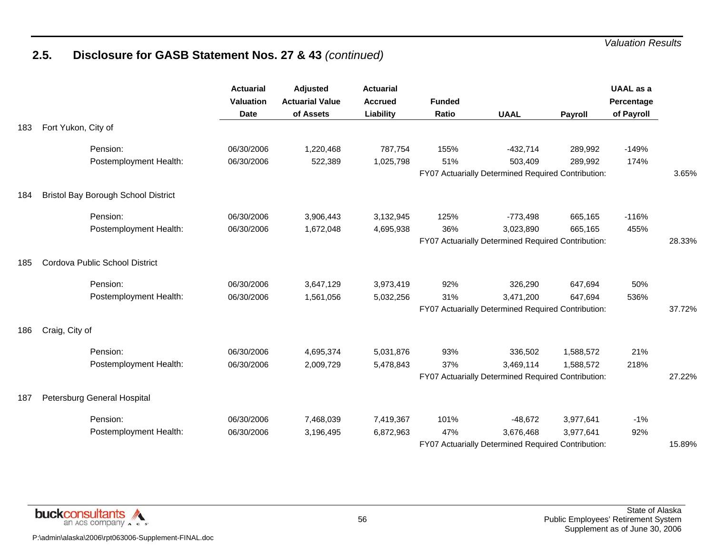|     |                                            | <b>Actuarial</b><br><b>Valuation</b><br><b>Date</b> | <b>Adjusted</b><br><b>Actuarial Value</b><br>of Assets | <b>Actuarial</b><br><b>Accrued</b><br>Liability | <b>Funded</b><br>Ratio | <b>UAAL</b>                                        | Payroll   | <b>UAAL</b> as a<br>Percentage<br>of Payroll |        |
|-----|--------------------------------------------|-----------------------------------------------------|--------------------------------------------------------|-------------------------------------------------|------------------------|----------------------------------------------------|-----------|----------------------------------------------|--------|
| 183 | Fort Yukon, City of                        |                                                     |                                                        |                                                 |                        |                                                    |           |                                              |        |
|     | Pension:                                   | 06/30/2006                                          | 1,220,468                                              | 787,754                                         | 155%                   | $-432,714$                                         | 289,992   | $-149%$                                      |        |
|     | Postemployment Health:                     | 06/30/2006                                          | 522,389                                                | 1,025,798                                       | 51%                    | 503,409                                            | 289,992   | 174%                                         |        |
|     |                                            |                                                     |                                                        |                                                 |                        | FY07 Actuarially Determined Required Contribution: |           |                                              | 3.65%  |
| 184 | <b>Bristol Bay Borough School District</b> |                                                     |                                                        |                                                 |                        |                                                    |           |                                              |        |
|     | Pension:                                   | 06/30/2006                                          | 3,906,443                                              | 3,132,945                                       | 125%                   | $-773,498$                                         | 665,165   | $-116%$                                      |        |
|     | Postemployment Health:                     | 06/30/2006                                          | 1,672,048                                              | 4,695,938                                       | 36%                    | 3,023,890                                          | 665,165   | 455%                                         |        |
|     |                                            |                                                     |                                                        |                                                 |                        | FY07 Actuarially Determined Required Contribution: |           |                                              | 28.33% |
| 185 | Cordova Public School District             |                                                     |                                                        |                                                 |                        |                                                    |           |                                              |        |
|     | Pension:                                   | 06/30/2006                                          | 3,647,129                                              | 3,973,419                                       | 92%                    | 326,290                                            | 647,694   | 50%                                          |        |
|     | Postemployment Health:                     | 06/30/2006                                          | 1,561,056                                              | 5,032,256                                       | 31%                    | 3,471,200                                          | 647,694   | 536%                                         |        |
|     |                                            |                                                     |                                                        |                                                 |                        | FY07 Actuarially Determined Required Contribution: |           |                                              | 37.72% |
| 186 | Craig, City of                             |                                                     |                                                        |                                                 |                        |                                                    |           |                                              |        |
|     | Pension:                                   | 06/30/2006                                          | 4,695,374                                              | 5,031,876                                       | 93%                    | 336,502                                            | 1,588,572 | 21%                                          |        |
|     | Postemployment Health:                     | 06/30/2006                                          | 2,009,729                                              | 5,478,843                                       | 37%                    | 3,469,114                                          | 1,588,572 | 218%                                         |        |
|     |                                            |                                                     |                                                        |                                                 |                        | FY07 Actuarially Determined Required Contribution: |           |                                              | 27.22% |
| 187 | Petersburg General Hospital                |                                                     |                                                        |                                                 |                        |                                                    |           |                                              |        |
|     | Pension:                                   | 06/30/2006                                          | 7,468,039                                              | 7,419,367                                       | 101%                   | $-48,672$                                          | 3,977,641 | $-1%$                                        |        |
|     | Postemployment Health:                     | 06/30/2006                                          | 3,196,495                                              | 6,872,963                                       | 47%                    | 3,676,468                                          | 3,977,641 | 92%                                          |        |
|     |                                            |                                                     |                                                        |                                                 |                        | FY07 Actuarially Determined Required Contribution: |           |                                              | 15.89% |

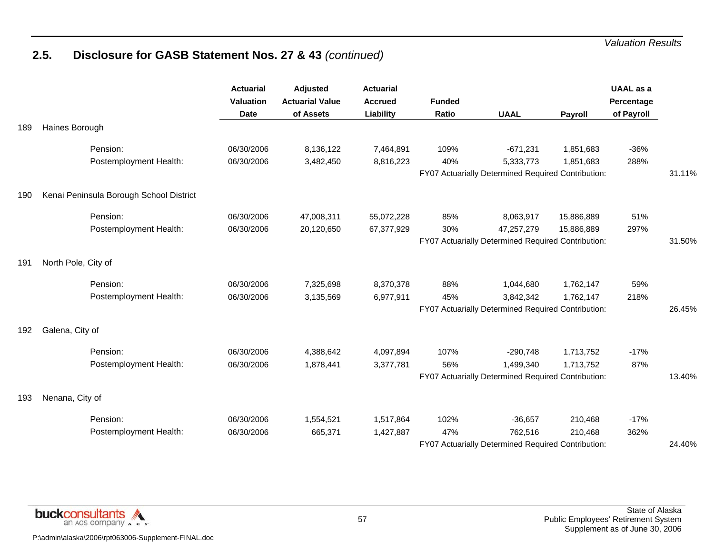|     |                                         | <b>Actuarial</b><br><b>Valuation</b><br><b>Date</b> | Adjusted<br><b>Actuarial Value</b><br>of Assets | <b>Actuarial</b><br><b>Accrued</b><br>Liability | <b>Funded</b><br>Ratio | <b>UAAL</b>                                        | Payroll    | <b>UAAL</b> as a<br>Percentage<br>of Payroll |        |
|-----|-----------------------------------------|-----------------------------------------------------|-------------------------------------------------|-------------------------------------------------|------------------------|----------------------------------------------------|------------|----------------------------------------------|--------|
| 189 | Haines Borough                          |                                                     |                                                 |                                                 |                        |                                                    |            |                                              |        |
|     | Pension:                                | 06/30/2006                                          | 8,136,122                                       | 7,464,891                                       | 109%                   | $-671,231$                                         | 1,851,683  | $-36%$                                       |        |
|     | Postemployment Health:                  | 06/30/2006                                          | 3,482,450                                       | 8,816,223                                       | 40%                    | 5,333,773                                          | 1,851,683  | 288%                                         |        |
|     |                                         |                                                     |                                                 |                                                 |                        | FY07 Actuarially Determined Required Contribution: |            |                                              | 31.11% |
| 190 | Kenai Peninsula Borough School District |                                                     |                                                 |                                                 |                        |                                                    |            |                                              |        |
|     | Pension:                                | 06/30/2006                                          | 47,008,311                                      | 55,072,228                                      | 85%                    | 8,063,917                                          | 15,886,889 | 51%                                          |        |
|     | Postemployment Health:                  | 06/30/2006                                          | 20,120,650                                      | 67,377,929                                      | 30%                    | 47,257,279                                         | 15,886,889 | 297%                                         |        |
|     |                                         |                                                     |                                                 |                                                 |                        | FY07 Actuarially Determined Required Contribution: |            |                                              | 31.50% |
| 191 | North Pole, City of                     |                                                     |                                                 |                                                 |                        |                                                    |            |                                              |        |
|     | Pension:                                | 06/30/2006                                          | 7,325,698                                       | 8,370,378                                       | 88%                    | 1,044,680                                          | 1,762,147  | 59%                                          |        |
|     | Postemployment Health:                  | 06/30/2006                                          | 3,135,569                                       | 6,977,911                                       | 45%                    | 3,842,342                                          | 1,762,147  | 218%                                         |        |
|     |                                         |                                                     |                                                 |                                                 |                        | FY07 Actuarially Determined Required Contribution: |            |                                              | 26.45% |
| 192 | Galena, City of                         |                                                     |                                                 |                                                 |                        |                                                    |            |                                              |        |
|     | Pension:                                | 06/30/2006                                          | 4,388,642                                       | 4,097,894                                       | 107%                   | $-290,748$                                         | 1,713,752  | $-17%$                                       |        |
|     | Postemployment Health:                  | 06/30/2006                                          | 1,878,441                                       | 3,377,781                                       | 56%                    | 1,499,340                                          | 1,713,752  | 87%                                          |        |
|     |                                         |                                                     |                                                 |                                                 |                        | FY07 Actuarially Determined Required Contribution: |            |                                              | 13.40% |
| 193 | Nenana, City of                         |                                                     |                                                 |                                                 |                        |                                                    |            |                                              |        |
|     | Pension:                                | 06/30/2006                                          | 1,554,521                                       | 1,517,864                                       | 102%                   | $-36,657$                                          | 210,468    | $-17%$                                       |        |
|     | Postemployment Health:                  | 06/30/2006                                          | 665,371                                         | 1,427,887                                       | 47%                    | 762,516                                            | 210,468    | 362%                                         |        |
|     |                                         |                                                     |                                                 |                                                 |                        | FY07 Actuarially Determined Required Contribution: |            |                                              | 24.40% |

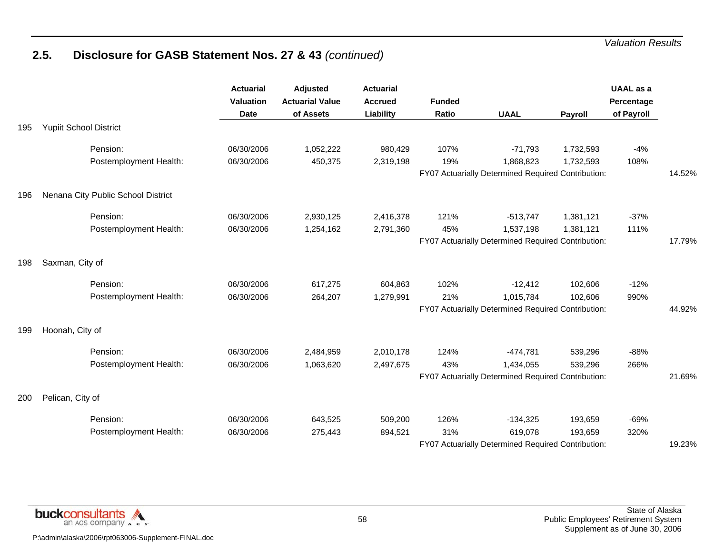|     |                                    | <b>Actuarial</b><br><b>Valuation</b><br><b>Date</b> | Adjusted<br><b>Actuarial Value</b><br>of Assets | <b>Actuarial</b><br><b>Accrued</b><br>Liability | <b>Funded</b><br>Ratio | <b>UAAL</b>                                        | Payroll   | <b>UAAL</b> as a<br>Percentage<br>of Payroll |        |
|-----|------------------------------------|-----------------------------------------------------|-------------------------------------------------|-------------------------------------------------|------------------------|----------------------------------------------------|-----------|----------------------------------------------|--------|
| 195 | <b>Yupiit School District</b>      |                                                     |                                                 |                                                 |                        |                                                    |           |                                              |        |
|     | Pension:                           | 06/30/2006                                          | 1,052,222                                       | 980,429                                         | 107%                   | $-71,793$                                          | 1,732,593 | $-4%$                                        |        |
|     | Postemployment Health:             | 06/30/2006                                          | 450,375                                         | 2,319,198                                       | 19%                    | 1,868,823                                          | 1,732,593 | 108%                                         |        |
|     |                                    |                                                     |                                                 |                                                 |                        | FY07 Actuarially Determined Required Contribution: |           |                                              | 14.52% |
| 196 | Nenana City Public School District |                                                     |                                                 |                                                 |                        |                                                    |           |                                              |        |
|     | Pension:                           | 06/30/2006                                          | 2,930,125                                       | 2,416,378                                       | 121%                   | $-513,747$                                         | 1,381,121 | $-37%$                                       |        |
|     | Postemployment Health:             | 06/30/2006                                          | 1,254,162                                       | 2,791,360                                       | 45%                    | 1,537,198                                          | 1,381,121 | 111%                                         |        |
|     |                                    |                                                     |                                                 |                                                 |                        | FY07 Actuarially Determined Required Contribution: |           |                                              | 17.79% |
| 198 | Saxman, City of                    |                                                     |                                                 |                                                 |                        |                                                    |           |                                              |        |
|     | Pension:                           | 06/30/2006                                          | 617,275                                         | 604,863                                         | 102%                   | $-12,412$                                          | 102,606   | $-12%$                                       |        |
|     | Postemployment Health:             | 06/30/2006                                          | 264,207                                         | 1,279,991                                       | 21%                    | 1,015,784                                          | 102,606   | 990%                                         |        |
|     |                                    |                                                     |                                                 |                                                 |                        | FY07 Actuarially Determined Required Contribution: |           |                                              | 44.92% |
| 199 | Hoonah, City of                    |                                                     |                                                 |                                                 |                        |                                                    |           |                                              |        |
|     | Pension:                           | 06/30/2006                                          | 2,484,959                                       | 2,010,178                                       | 124%                   | $-474,781$                                         | 539,296   | $-88%$                                       |        |
|     | Postemployment Health:             | 06/30/2006                                          | 1,063,620                                       | 2,497,675                                       | 43%                    | 1,434,055                                          | 539,296   | 266%                                         |        |
|     |                                    |                                                     |                                                 |                                                 |                        | FY07 Actuarially Determined Required Contribution: |           |                                              | 21.69% |
| 200 | Pelican, City of                   |                                                     |                                                 |                                                 |                        |                                                    |           |                                              |        |
|     | Pension:                           | 06/30/2006                                          | 643,525                                         | 509,200                                         | 126%                   | $-134,325$                                         | 193,659   | $-69%$                                       |        |
|     | Postemployment Health:             | 06/30/2006                                          | 275,443                                         | 894,521                                         | 31%                    | 619,078                                            | 193,659   | 320%                                         |        |
|     |                                    |                                                     |                                                 |                                                 |                        | FY07 Actuarially Determined Required Contribution: |           |                                              | 19.23% |

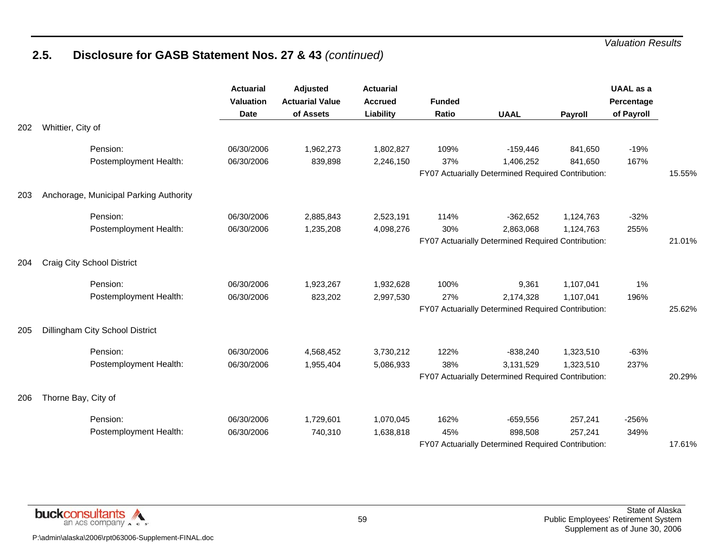|     |                                        | <b>Actuarial</b><br><b>Valuation</b><br><b>Date</b> | Adjusted<br><b>Actuarial Value</b><br>of Assets | <b>Actuarial</b><br><b>Accrued</b><br>Liability | <b>Funded</b><br>Ratio | <b>UAAL</b>                                        | Payroll   | <b>UAAL</b> as a<br>Percentage<br>of Payroll |        |
|-----|----------------------------------------|-----------------------------------------------------|-------------------------------------------------|-------------------------------------------------|------------------------|----------------------------------------------------|-----------|----------------------------------------------|--------|
| 202 | Whittier, City of                      |                                                     |                                                 |                                                 |                        |                                                    |           |                                              |        |
|     | Pension:                               | 06/30/2006                                          | 1,962,273                                       | 1,802,827                                       | 109%                   | $-159,446$                                         | 841,650   | $-19%$                                       |        |
|     | Postemployment Health:                 | 06/30/2006                                          | 839,898                                         | 2,246,150                                       | 37%                    | 1,406,252                                          | 841,650   | 167%                                         |        |
|     |                                        |                                                     |                                                 |                                                 |                        | FY07 Actuarially Determined Required Contribution: |           |                                              | 15.55% |
| 203 | Anchorage, Municipal Parking Authority |                                                     |                                                 |                                                 |                        |                                                    |           |                                              |        |
|     | Pension:                               | 06/30/2006                                          | 2,885,843                                       | 2,523,191                                       | 114%                   | $-362,652$                                         | 1,124,763 | $-32%$                                       |        |
|     | Postemployment Health:                 | 06/30/2006                                          | 1,235,208                                       | 4,098,276                                       | 30%                    | 2,863,068                                          | 1,124,763 | 255%                                         |        |
|     |                                        |                                                     |                                                 |                                                 |                        | FY07 Actuarially Determined Required Contribution: |           |                                              | 21.01% |
| 204 | <b>Craig City School District</b>      |                                                     |                                                 |                                                 |                        |                                                    |           |                                              |        |
|     | Pension:                               | 06/30/2006                                          | 1,923,267                                       | 1,932,628                                       | 100%                   | 9,361                                              | 1,107,041 | 1%                                           |        |
|     | Postemployment Health:                 | 06/30/2006                                          | 823,202                                         | 2,997,530                                       | 27%                    | 2,174,328                                          | 1,107,041 | 196%                                         |        |
|     |                                        |                                                     |                                                 |                                                 |                        | FY07 Actuarially Determined Required Contribution: |           |                                              | 25.62% |
| 205 | Dillingham City School District        |                                                     |                                                 |                                                 |                        |                                                    |           |                                              |        |
|     | Pension:                               | 06/30/2006                                          | 4,568,452                                       | 3,730,212                                       | 122%                   | $-838,240$                                         | 1,323,510 | $-63%$                                       |        |
|     | Postemployment Health:                 | 06/30/2006                                          | 1,955,404                                       | 5,086,933                                       | 38%                    | 3,131,529                                          | 1,323,510 | 237%                                         |        |
|     |                                        |                                                     |                                                 |                                                 |                        | FY07 Actuarially Determined Required Contribution: |           |                                              | 20.29% |
| 206 | Thorne Bay, City of                    |                                                     |                                                 |                                                 |                        |                                                    |           |                                              |        |
|     | Pension:                               | 06/30/2006                                          | 1,729,601                                       | 1,070,045                                       | 162%                   | $-659,556$                                         | 257,241   | $-256%$                                      |        |
|     | Postemployment Health:                 | 06/30/2006                                          | 740,310                                         | 1,638,818                                       | 45%                    | 898,508                                            | 257,241   | 349%                                         |        |
|     |                                        |                                                     |                                                 |                                                 |                        | FY07 Actuarially Determined Required Contribution: |           |                                              | 17.61% |

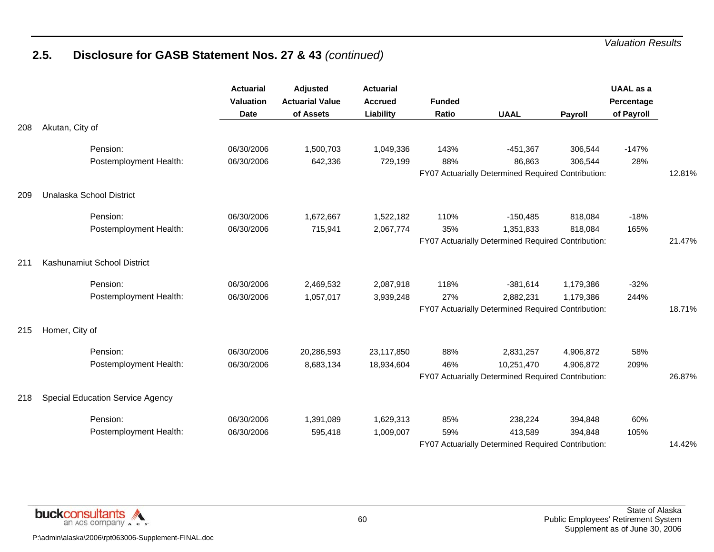|     |                                         | <b>Actuarial</b><br><b>Valuation</b><br><b>Date</b> | Adjusted<br><b>Actuarial Value</b><br>of Assets | <b>Actuarial</b><br><b>Accrued</b><br>Liability | <b>Funded</b><br>Ratio | <b>UAAL</b>                                        | Payroll   | <b>UAAL</b> as a<br>Percentage<br>of Payroll |        |
|-----|-----------------------------------------|-----------------------------------------------------|-------------------------------------------------|-------------------------------------------------|------------------------|----------------------------------------------------|-----------|----------------------------------------------|--------|
| 208 | Akutan, City of                         |                                                     |                                                 |                                                 |                        |                                                    |           |                                              |        |
|     | Pension:                                | 06/30/2006                                          | 1,500,703                                       | 1,049,336                                       | 143%                   | $-451,367$                                         | 306,544   | $-147%$                                      |        |
|     | Postemployment Health:                  | 06/30/2006                                          | 642,336                                         | 729,199                                         | 88%                    | 86,863                                             | 306,544   | 28%                                          |        |
|     |                                         |                                                     |                                                 |                                                 |                        | FY07 Actuarially Determined Required Contribution: |           |                                              | 12.81% |
| 209 | Unalaska School District                |                                                     |                                                 |                                                 |                        |                                                    |           |                                              |        |
|     | Pension:                                | 06/30/2006                                          | 1,672,667                                       | 1,522,182                                       | 110%                   | $-150,485$                                         | 818,084   | $-18%$                                       |        |
|     | Postemployment Health:                  | 06/30/2006                                          | 715,941                                         | 2,067,774                                       | 35%                    | 1,351,833                                          | 818,084   | 165%                                         |        |
|     |                                         |                                                     |                                                 |                                                 |                        | FY07 Actuarially Determined Required Contribution: |           |                                              | 21.47% |
| 211 | Kashunamiut School District             |                                                     |                                                 |                                                 |                        |                                                    |           |                                              |        |
|     | Pension:                                | 06/30/2006                                          | 2,469,532                                       | 2,087,918                                       | 118%                   | $-381,614$                                         | 1,179,386 | $-32%$                                       |        |
|     | Postemployment Health:                  | 06/30/2006                                          | 1,057,017                                       | 3,939,248                                       | 27%                    | 2,882,231                                          | 1,179,386 | 244%                                         |        |
|     |                                         |                                                     |                                                 |                                                 |                        | FY07 Actuarially Determined Required Contribution: |           |                                              | 18.71% |
| 215 | Homer, City of                          |                                                     |                                                 |                                                 |                        |                                                    |           |                                              |        |
|     | Pension:                                | 06/30/2006                                          | 20,286,593                                      | 23,117,850                                      | 88%                    | 2,831,257                                          | 4,906,872 | 58%                                          |        |
|     | Postemployment Health:                  | 06/30/2006                                          | 8,683,134                                       | 18,934,604                                      | 46%                    | 10,251,470                                         | 4,906,872 | 209%                                         |        |
|     |                                         |                                                     |                                                 |                                                 |                        | FY07 Actuarially Determined Required Contribution: |           |                                              | 26.87% |
| 218 | <b>Special Education Service Agency</b> |                                                     |                                                 |                                                 |                        |                                                    |           |                                              |        |
|     | Pension:                                | 06/30/2006                                          | 1,391,089                                       | 1,629,313                                       | 85%                    | 238,224                                            | 394,848   | 60%                                          |        |
|     | Postemployment Health:                  | 06/30/2006                                          | 595,418                                         | 1,009,007                                       | 59%                    | 413,589                                            | 394,848   | 105%                                         |        |
|     |                                         |                                                     |                                                 |                                                 |                        | FY07 Actuarially Determined Required Contribution: |           |                                              | 14.42% |

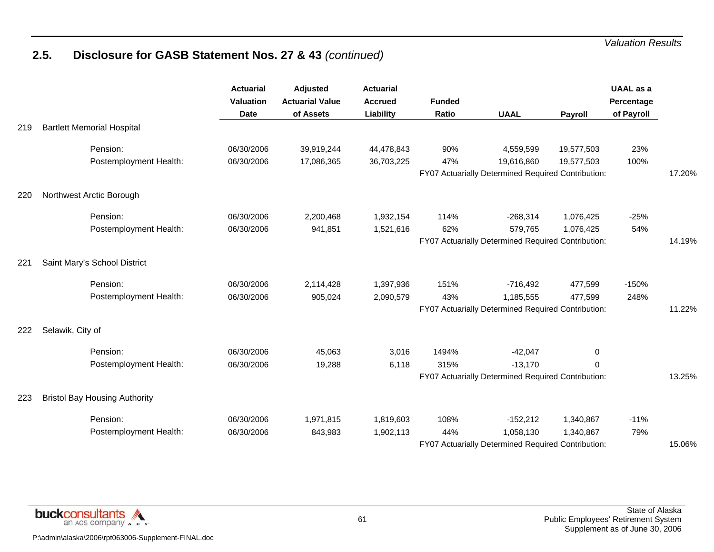|     |                                      | <b>Actuarial</b><br><b>Valuation</b><br><b>Date</b> | Adjusted<br><b>Actuarial Value</b><br>of Assets | <b>Actuarial</b><br><b>Accrued</b><br>Liability | <b>Funded</b><br>Ratio | <b>UAAL</b>                                        | Payroll    | <b>UAAL</b> as a<br>Percentage<br>of Payroll |        |
|-----|--------------------------------------|-----------------------------------------------------|-------------------------------------------------|-------------------------------------------------|------------------------|----------------------------------------------------|------------|----------------------------------------------|--------|
| 219 | <b>Bartlett Memorial Hospital</b>    |                                                     |                                                 |                                                 |                        |                                                    |            |                                              |        |
|     | Pension:                             | 06/30/2006                                          | 39,919,244                                      | 44,478,843                                      | 90%                    | 4,559,599                                          | 19,577,503 | 23%                                          |        |
|     | Postemployment Health:               | 06/30/2006                                          | 17,086,365                                      | 36,703,225                                      | 47%                    | 19,616,860                                         | 19,577,503 | 100%                                         |        |
|     |                                      |                                                     |                                                 |                                                 |                        | FY07 Actuarially Determined Required Contribution: |            |                                              | 17.20% |
| 220 | Northwest Arctic Borough             |                                                     |                                                 |                                                 |                        |                                                    |            |                                              |        |
|     | Pension:                             | 06/30/2006                                          | 2,200,468                                       | 1,932,154                                       | 114%                   | $-268,314$                                         | 1,076,425  | $-25%$                                       |        |
|     | Postemployment Health:               | 06/30/2006                                          | 941,851                                         | 1,521,616                                       | 62%                    | 579,765                                            | 1,076,425  | 54%                                          |        |
|     |                                      |                                                     |                                                 |                                                 |                        | FY07 Actuarially Determined Required Contribution: |            |                                              | 14.19% |
| 221 | Saint Mary's School District         |                                                     |                                                 |                                                 |                        |                                                    |            |                                              |        |
|     | Pension:                             | 06/30/2006                                          | 2,114,428                                       | 1,397,936                                       | 151%                   | $-716,492$                                         | 477,599    | $-150%$                                      |        |
|     | Postemployment Health:               | 06/30/2006                                          | 905,024                                         | 2,090,579                                       | 43%                    | 1,185,555                                          | 477,599    | 248%                                         |        |
|     |                                      |                                                     |                                                 |                                                 |                        | FY07 Actuarially Determined Required Contribution: |            |                                              | 11.22% |
| 222 | Selawik, City of                     |                                                     |                                                 |                                                 |                        |                                                    |            |                                              |        |
|     | Pension:                             | 06/30/2006                                          | 45,063                                          | 3,016                                           | 1494%                  | $-42,047$                                          | 0          |                                              |        |
|     | Postemployment Health:               | 06/30/2006                                          | 19,288                                          | 6,118                                           | 315%                   | $-13,170$                                          | 0          |                                              |        |
|     |                                      |                                                     |                                                 |                                                 |                        | FY07 Actuarially Determined Required Contribution: |            |                                              | 13.25% |
| 223 | <b>Bristol Bay Housing Authority</b> |                                                     |                                                 |                                                 |                        |                                                    |            |                                              |        |
|     | Pension:                             | 06/30/2006                                          | 1,971,815                                       | 1,819,603                                       | 108%                   | $-152,212$                                         | 1,340,867  | $-11%$                                       |        |
|     | Postemployment Health:               | 06/30/2006                                          | 843,983                                         | 1,902,113                                       | 44%                    | 1,058,130                                          | 1,340,867  | 79%                                          |        |
|     |                                      |                                                     |                                                 |                                                 |                        | FY07 Actuarially Determined Required Contribution: |            |                                              | 15.06% |

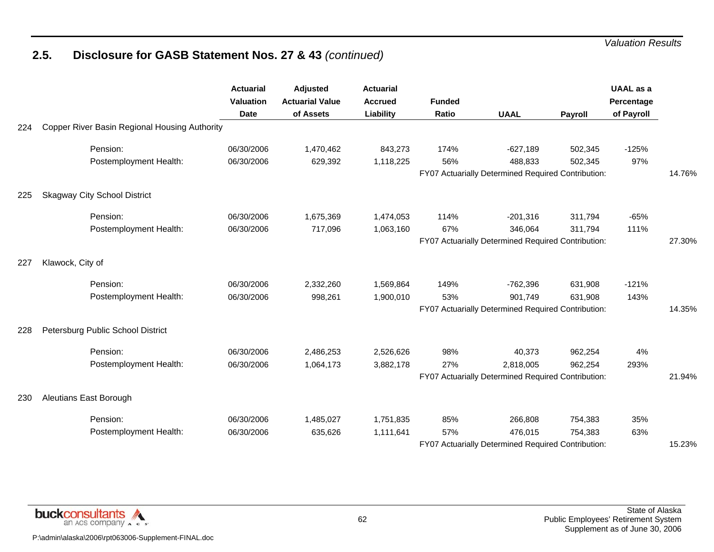|     |                                               | <b>Actuarial</b><br><b>Valuation</b><br><b>Date</b> | <b>Adjusted</b><br><b>Actuarial Value</b><br>of Assets | <b>Actuarial</b><br><b>Accrued</b><br>Liability | <b>Funded</b><br>Ratio | <b>UAAL</b>                                        | Payroll | <b>UAAL</b> as a<br>Percentage<br>of Payroll |        |
|-----|-----------------------------------------------|-----------------------------------------------------|--------------------------------------------------------|-------------------------------------------------|------------------------|----------------------------------------------------|---------|----------------------------------------------|--------|
| 224 | Copper River Basin Regional Housing Authority |                                                     |                                                        |                                                 |                        |                                                    |         |                                              |        |
|     | Pension:                                      | 06/30/2006                                          | 1,470,462                                              | 843,273                                         | 174%                   | $-627,189$                                         | 502,345 | $-125%$                                      |        |
|     | Postemployment Health:                        | 06/30/2006                                          | 629,392                                                | 1,118,225                                       | 56%                    | 488,833                                            | 502,345 | 97%                                          |        |
|     |                                               |                                                     |                                                        |                                                 |                        | FY07 Actuarially Determined Required Contribution: |         |                                              | 14.76% |
| 225 | <b>Skagway City School District</b>           |                                                     |                                                        |                                                 |                        |                                                    |         |                                              |        |
|     | Pension:                                      | 06/30/2006                                          | 1,675,369                                              | 1,474,053                                       | 114%                   | $-201,316$                                         | 311,794 | $-65%$                                       |        |
|     | Postemployment Health:                        | 06/30/2006                                          | 717,096                                                | 1,063,160                                       | 67%                    | 346,064                                            | 311,794 | 111%                                         |        |
|     |                                               |                                                     |                                                        |                                                 |                        | FY07 Actuarially Determined Required Contribution: |         |                                              | 27.30% |
| 227 | Klawock, City of                              |                                                     |                                                        |                                                 |                        |                                                    |         |                                              |        |
|     | Pension:                                      | 06/30/2006                                          | 2,332,260                                              | 1,569,864                                       | 149%                   | $-762,396$                                         | 631,908 | $-121%$                                      |        |
|     | Postemployment Health:                        | 06/30/2006                                          | 998,261                                                | 1,900,010                                       | 53%                    | 901,749                                            | 631,908 | 143%                                         |        |
|     |                                               |                                                     |                                                        |                                                 |                        | FY07 Actuarially Determined Required Contribution: |         |                                              | 14.35% |
| 228 | Petersburg Public School District             |                                                     |                                                        |                                                 |                        |                                                    |         |                                              |        |
|     | Pension:                                      | 06/30/2006                                          | 2,486,253                                              | 2,526,626                                       | 98%                    | 40,373                                             | 962,254 | 4%                                           |        |
|     | Postemployment Health:                        | 06/30/2006                                          | 1,064,173                                              | 3,882,178                                       | 27%                    | 2,818,005                                          | 962,254 | 293%                                         |        |
|     |                                               |                                                     |                                                        |                                                 |                        | FY07 Actuarially Determined Required Contribution: |         |                                              | 21.94% |
| 230 | Aleutians East Borough                        |                                                     |                                                        |                                                 |                        |                                                    |         |                                              |        |
|     | Pension:                                      | 06/30/2006                                          | 1,485,027                                              | 1,751,835                                       | 85%                    | 266,808                                            | 754,383 | 35%                                          |        |
|     | Postemployment Health:                        | 06/30/2006                                          | 635,626                                                | 1,111,641                                       | 57%                    | 476,015                                            | 754,383 | 63%                                          |        |
|     |                                               |                                                     |                                                        |                                                 |                        | FY07 Actuarially Determined Required Contribution: |         |                                              | 15.23% |

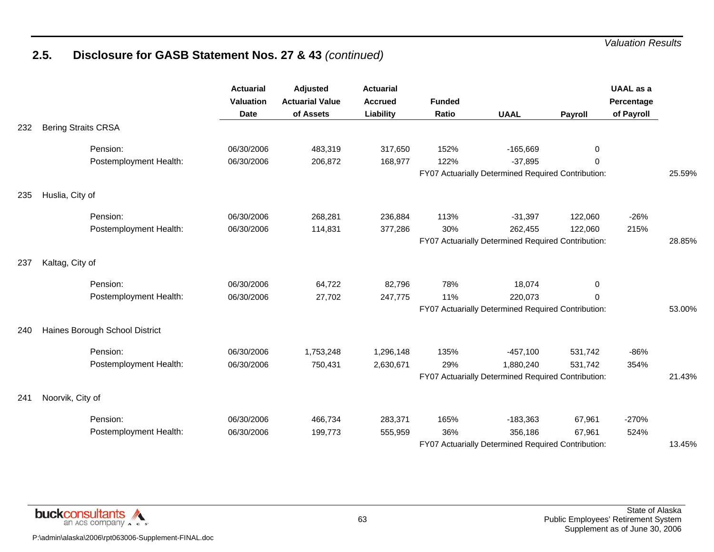|     |                                | <b>Actuarial</b><br>Valuation<br><b>Date</b> | Adjusted<br><b>Actuarial Value</b><br>of Assets | <b>Actuarial</b><br><b>Accrued</b><br>Liability | <b>Funded</b><br>Ratio | <b>UAAL</b>                                        | Payroll  | UAAL as a<br>Percentage<br>of Payroll |        |
|-----|--------------------------------|----------------------------------------------|-------------------------------------------------|-------------------------------------------------|------------------------|----------------------------------------------------|----------|---------------------------------------|--------|
| 232 | <b>Bering Straits CRSA</b>     |                                              |                                                 |                                                 |                        |                                                    |          |                                       |        |
|     | Pension:                       | 06/30/2006                                   | 483,319                                         | 317,650                                         | 152%                   | $-165,669$                                         | 0        |                                       |        |
|     | Postemployment Health:         | 06/30/2006                                   | 206,872                                         | 168,977                                         | 122%                   | $-37,895$                                          | $\Omega$ |                                       |        |
|     |                                |                                              |                                                 |                                                 |                        | FY07 Actuarially Determined Required Contribution: |          |                                       | 25.59% |
| 235 | Huslia, City of                |                                              |                                                 |                                                 |                        |                                                    |          |                                       |        |
|     | Pension:                       | 06/30/2006                                   | 268,281                                         | 236,884                                         | 113%                   | $-31,397$                                          | 122,060  | $-26%$                                |        |
|     | Postemployment Health:         | 06/30/2006                                   | 114,831                                         | 377,286                                         | 30%                    | 262,455                                            | 122,060  | 215%                                  |        |
|     |                                |                                              |                                                 |                                                 |                        | FY07 Actuarially Determined Required Contribution: |          |                                       | 28.85% |
| 237 | Kaltag, City of                |                                              |                                                 |                                                 |                        |                                                    |          |                                       |        |
|     | Pension:                       | 06/30/2006                                   | 64,722                                          | 82,796                                          | 78%                    | 18,074                                             | 0        |                                       |        |
|     | Postemployment Health:         | 06/30/2006                                   | 27,702                                          | 247,775                                         | 11%                    | 220,073                                            | $\Omega$ |                                       |        |
|     |                                |                                              |                                                 |                                                 |                        | FY07 Actuarially Determined Required Contribution: |          |                                       | 53.00% |
| 240 | Haines Borough School District |                                              |                                                 |                                                 |                        |                                                    |          |                                       |        |
|     | Pension:                       | 06/30/2006                                   | 1,753,248                                       | 1,296,148                                       | 135%                   | $-457,100$                                         | 531,742  | $-86%$                                |        |
|     | Postemployment Health:         | 06/30/2006                                   | 750,431                                         | 2,630,671                                       | 29%                    | 1,880,240                                          | 531,742  | 354%                                  |        |
|     |                                |                                              |                                                 |                                                 |                        | FY07 Actuarially Determined Required Contribution: |          |                                       | 21.43% |
| 241 | Noorvik, City of               |                                              |                                                 |                                                 |                        |                                                    |          |                                       |        |
|     | Pension:                       | 06/30/2006                                   | 466,734                                         | 283,371                                         | 165%                   | $-183,363$                                         | 67,961   | $-270%$                               |        |
|     | Postemployment Health:         | 06/30/2006                                   | 199,773                                         | 555,959                                         | 36%                    | 356,186                                            | 67,961   | 524%                                  |        |
|     |                                |                                              |                                                 |                                                 |                        | FY07 Actuarially Determined Required Contribution: |          |                                       | 13.45% |

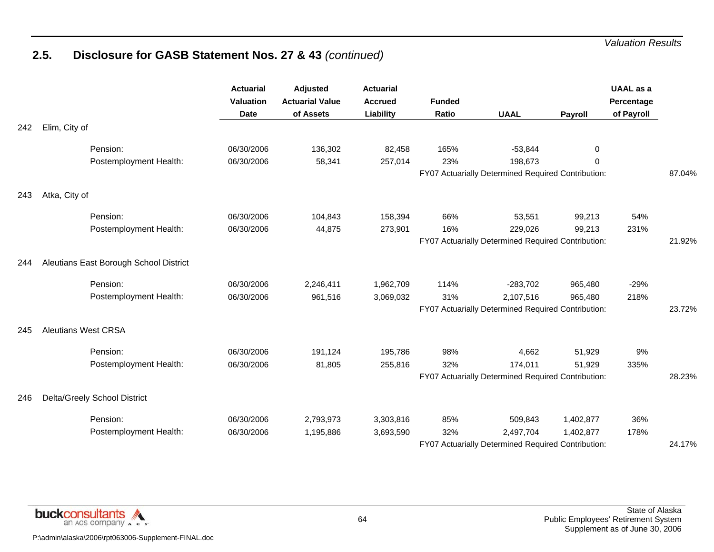|     |                                        | <b>Actuarial</b><br><b>Valuation</b><br><b>Date</b> | Adjusted<br><b>Actuarial Value</b><br>of Assets | <b>Actuarial</b><br><b>Accrued</b><br>Liability | <b>Funded</b><br>Ratio | <b>UAAL</b>                                                   | Payroll   | <b>UAAL</b> as a<br>Percentage<br>of Payroll |        |
|-----|----------------------------------------|-----------------------------------------------------|-------------------------------------------------|-------------------------------------------------|------------------------|---------------------------------------------------------------|-----------|----------------------------------------------|--------|
| 242 | Elim, City of                          |                                                     |                                                 |                                                 |                        |                                                               |           |                                              |        |
|     | Pension:                               | 06/30/2006                                          | 136,302                                         | 82,458                                          | 165%                   | $-53,844$                                                     | 0         |                                              |        |
|     | Postemployment Health:                 | 06/30/2006                                          | 58,341                                          | 257,014                                         | 23%                    | 198,673<br>FY07 Actuarially Determined Required Contribution: | $\Omega$  |                                              |        |
|     |                                        |                                                     |                                                 |                                                 |                        |                                                               |           |                                              | 87.04% |
| 243 | Atka, City of                          |                                                     |                                                 |                                                 |                        |                                                               |           |                                              |        |
|     | Pension:                               | 06/30/2006                                          | 104,843                                         | 158,394                                         | 66%                    | 53,551                                                        | 99,213    | 54%                                          |        |
|     | Postemployment Health:                 | 06/30/2006                                          | 44,875                                          | 273,901                                         | 16%                    | 229,026                                                       | 99,213    | 231%                                         |        |
|     |                                        |                                                     |                                                 |                                                 |                        | FY07 Actuarially Determined Required Contribution:            |           |                                              | 21.92% |
| 244 | Aleutians East Borough School District |                                                     |                                                 |                                                 |                        |                                                               |           |                                              |        |
|     | Pension:                               | 06/30/2006                                          | 2,246,411                                       | 1,962,709                                       | 114%                   | $-283,702$                                                    | 965,480   | $-29%$                                       |        |
|     | Postemployment Health:                 | 06/30/2006                                          | 961,516                                         | 3,069,032                                       | 31%                    | 2,107,516                                                     | 965,480   | 218%                                         |        |
|     |                                        |                                                     |                                                 |                                                 |                        | FY07 Actuarially Determined Required Contribution:            |           |                                              | 23.72% |
| 245 | <b>Aleutians West CRSA</b>             |                                                     |                                                 |                                                 |                        |                                                               |           |                                              |        |
|     | Pension:                               | 06/30/2006                                          | 191,124                                         | 195,786                                         | 98%                    | 4,662                                                         | 51,929    | 9%                                           |        |
|     | Postemployment Health:                 | 06/30/2006                                          | 81,805                                          | 255,816                                         | 32%                    | 174,011                                                       | 51,929    | 335%                                         |        |
|     |                                        |                                                     |                                                 |                                                 |                        | FY07 Actuarially Determined Required Contribution:            |           |                                              | 28.23% |
| 246 | Delta/Greely School District           |                                                     |                                                 |                                                 |                        |                                                               |           |                                              |        |
|     | Pension:                               | 06/30/2006                                          | 2,793,973                                       | 3,303,816                                       | 85%                    | 509,843                                                       | 1,402,877 | 36%                                          |        |
|     | Postemployment Health:                 | 06/30/2006                                          | 1,195,886                                       | 3,693,590                                       | 32%                    | 2,497,704                                                     | 1,402,877 | 178%                                         |        |
|     |                                        |                                                     |                                                 |                                                 |                        | FY07 Actuarially Determined Required Contribution:            |           |                                              | 24.17% |

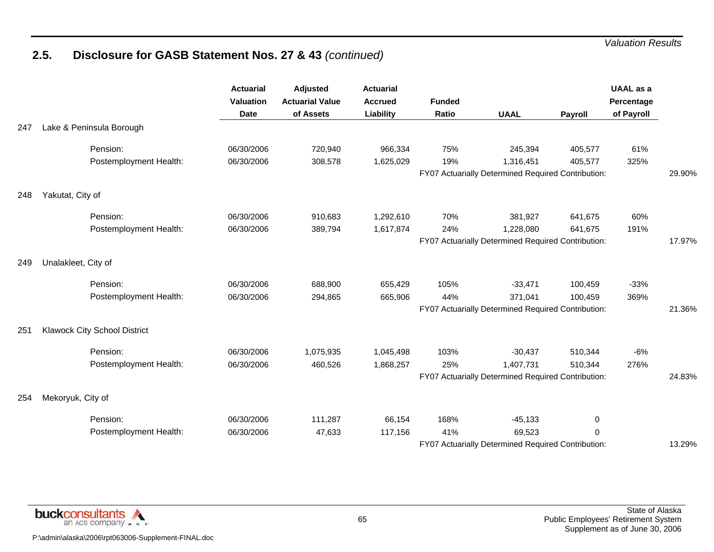|     |                                     | <b>Actuarial</b><br><b>Valuation</b><br><b>Date</b> | <b>Adjusted</b><br><b>Actuarial Value</b><br>of Assets | <b>Actuarial</b><br><b>Accrued</b><br>Liability | <b>Funded</b><br>Ratio | <b>UAAL</b>                                                     | Payroll     | <b>UAAL</b> as a<br>Percentage<br>of Payroll |        |
|-----|-------------------------------------|-----------------------------------------------------|--------------------------------------------------------|-------------------------------------------------|------------------------|-----------------------------------------------------------------|-------------|----------------------------------------------|--------|
| 247 | Lake & Peninsula Borough            |                                                     |                                                        |                                                 |                        |                                                                 |             |                                              |        |
|     | Pension:                            | 06/30/2006                                          | 720,940                                                | 966,334                                         | 75%                    | 245,394                                                         | 405,577     | 61%                                          |        |
|     | Postemployment Health:              | 06/30/2006                                          | 308,578                                                | 1,625,029                                       | 19%                    | 1,316,451<br>FY07 Actuarially Determined Required Contribution: | 405,577     | 325%                                         | 29.90% |
|     |                                     |                                                     |                                                        |                                                 |                        |                                                                 |             |                                              |        |
| 248 | Yakutat, City of                    |                                                     |                                                        |                                                 |                        |                                                                 |             |                                              |        |
|     | Pension:                            | 06/30/2006                                          | 910,683                                                | 1,292,610                                       | 70%                    | 381,927                                                         | 641,675     | 60%                                          |        |
|     | Postemployment Health:              | 06/30/2006                                          | 389,794                                                | 1,617,874                                       | 24%                    | 1,228,080                                                       | 641,675     | 191%                                         |        |
|     |                                     |                                                     |                                                        |                                                 |                        | FY07 Actuarially Determined Required Contribution:              |             |                                              | 17.97% |
| 249 | Unalakleet, City of                 |                                                     |                                                        |                                                 |                        |                                                                 |             |                                              |        |
|     | Pension:                            | 06/30/2006                                          | 688,900                                                | 655,429                                         | 105%                   | $-33,471$                                                       | 100,459     | $-33%$                                       |        |
|     | Postemployment Health:              | 06/30/2006                                          | 294,865                                                | 665,906                                         | 44%                    | 371,041                                                         | 100,459     | 369%                                         |        |
|     |                                     |                                                     |                                                        |                                                 |                        | FY07 Actuarially Determined Required Contribution:              |             |                                              | 21.36% |
| 251 | <b>Klawock City School District</b> |                                                     |                                                        |                                                 |                        |                                                                 |             |                                              |        |
|     | Pension:                            | 06/30/2006                                          | 1,075,935                                              | 1,045,498                                       | 103%                   | $-30,437$                                                       | 510,344     | -6%                                          |        |
|     | Postemployment Health:              | 06/30/2006                                          | 460,526                                                | 1,868,257                                       | 25%                    | 1,407,731                                                       | 510,344     | 276%                                         |        |
|     |                                     |                                                     |                                                        |                                                 |                        | FY07 Actuarially Determined Required Contribution:              |             |                                              | 24.83% |
| 254 | Mekoryuk, City of                   |                                                     |                                                        |                                                 |                        |                                                                 |             |                                              |        |
|     | Pension:                            | 06/30/2006                                          | 111,287                                                | 66,154                                          | 168%                   | $-45, 133$                                                      | $\mathbf 0$ |                                              |        |
|     | Postemployment Health:              | 06/30/2006                                          | 47,633                                                 | 117,156                                         | 41%                    | 69,523                                                          | $\Omega$    |                                              |        |
|     |                                     |                                                     |                                                        |                                                 |                        | FY07 Actuarially Determined Required Contribution:              |             |                                              | 13.29% |

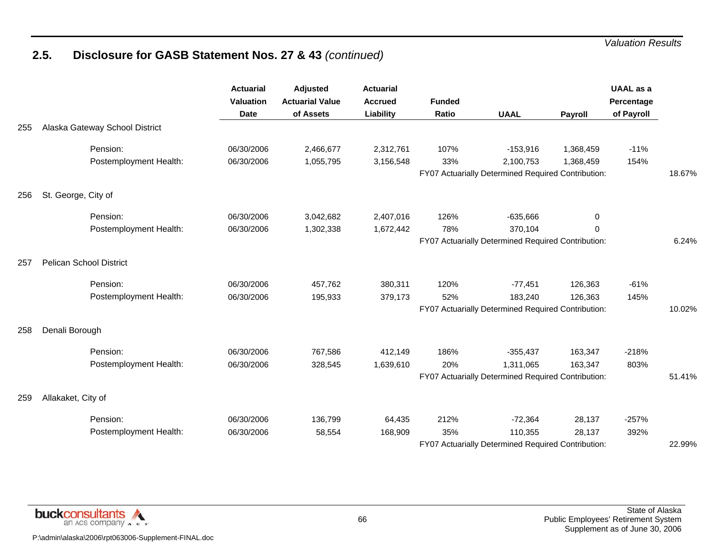|     |                                | <b>Actuarial</b><br><b>Valuation</b><br><b>Date</b> | <b>Adjusted</b><br><b>Actuarial Value</b><br>of Assets | <b>Actuarial</b><br><b>Accrued</b><br>Liability | <b>Funded</b><br>Ratio | <b>UAAL</b>                                                     | Payroll   | <b>UAAL</b> as a<br>Percentage<br>of Payroll |        |
|-----|--------------------------------|-----------------------------------------------------|--------------------------------------------------------|-------------------------------------------------|------------------------|-----------------------------------------------------------------|-----------|----------------------------------------------|--------|
| 255 | Alaska Gateway School District |                                                     |                                                        |                                                 |                        |                                                                 |           |                                              |        |
|     | Pension:                       | 06/30/2006                                          | 2,466,677                                              | 2,312,761                                       | 107%                   | $-153,916$                                                      | 1,368,459 | $-11%$                                       |        |
|     | Postemployment Health:         | 06/30/2006                                          | 1,055,795                                              | 3,156,548                                       | 33%                    | 2,100,753<br>FY07 Actuarially Determined Required Contribution: | 1,368,459 | 154%                                         | 18.67% |
|     |                                |                                                     |                                                        |                                                 |                        |                                                                 |           |                                              |        |
| 256 | St. George, City of            |                                                     |                                                        |                                                 |                        |                                                                 |           |                                              |        |
|     | Pension:                       | 06/30/2006                                          | 3,042,682                                              | 2,407,016                                       | 126%                   | $-635,666$                                                      | 0         |                                              |        |
|     | Postemployment Health:         | 06/30/2006                                          | 1,302,338                                              | 1,672,442                                       | 78%                    | 370,104                                                         | $\Omega$  |                                              |        |
|     |                                |                                                     |                                                        |                                                 |                        | FY07 Actuarially Determined Required Contribution:              |           |                                              | 6.24%  |
| 257 | <b>Pelican School District</b> |                                                     |                                                        |                                                 |                        |                                                                 |           |                                              |        |
|     | Pension:                       | 06/30/2006                                          | 457,762                                                | 380,311                                         | 120%                   | $-77,451$                                                       | 126,363   | $-61%$                                       |        |
|     | Postemployment Health:         | 06/30/2006                                          | 195,933                                                | 379,173                                         | 52%                    | 183,240                                                         | 126,363   | 145%                                         |        |
|     |                                |                                                     |                                                        |                                                 |                        | FY07 Actuarially Determined Required Contribution:              |           |                                              | 10.02% |
| 258 | Denali Borough                 |                                                     |                                                        |                                                 |                        |                                                                 |           |                                              |        |
|     | Pension:                       | 06/30/2006                                          | 767,586                                                | 412,149                                         | 186%                   | $-355,437$                                                      | 163,347   | $-218%$                                      |        |
|     | Postemployment Health:         | 06/30/2006                                          | 328,545                                                | 1,639,610                                       | 20%                    | 1,311,065                                                       | 163,347   | 803%                                         |        |
|     |                                |                                                     |                                                        |                                                 |                        | FY07 Actuarially Determined Required Contribution:              |           |                                              | 51.41% |
| 259 | Allakaket, City of             |                                                     |                                                        |                                                 |                        |                                                                 |           |                                              |        |
|     | Pension:                       | 06/30/2006                                          | 136,799                                                | 64,435                                          | 212%                   | $-72,364$                                                       | 28,137    | $-257%$                                      |        |
|     | Postemployment Health:         | 06/30/2006                                          | 58,554                                                 | 168,909                                         | 35%                    | 110,355                                                         | 28,137    | 392%                                         |        |
|     |                                |                                                     |                                                        |                                                 |                        | FY07 Actuarially Determined Required Contribution:              |           |                                              | 22.99% |

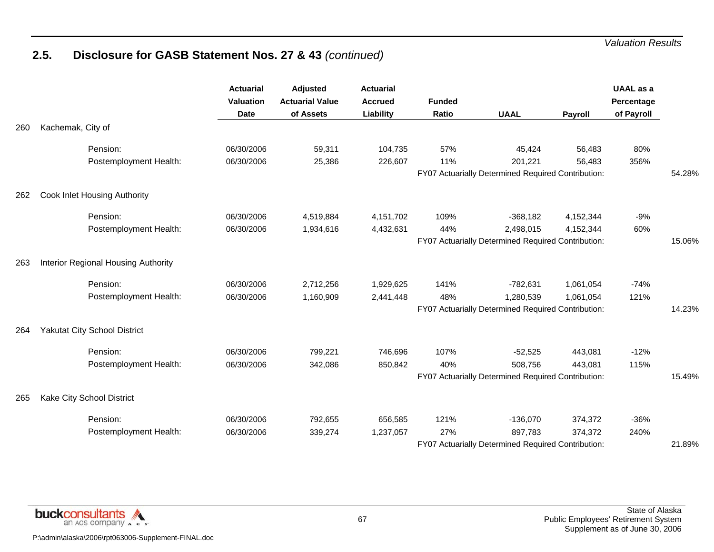|     |                                     | <b>Actuarial</b><br><b>Valuation</b><br><b>Date</b> | <b>Adjusted</b><br><b>Actuarial Value</b><br>of Assets | <b>Actuarial</b><br><b>Accrued</b><br>Liability | <b>Funded</b><br>Ratio | <b>UAAL</b>                                        | <b>Payroll</b> | <b>UAAL</b> as a<br>Percentage<br>of Payroll |        |
|-----|-------------------------------------|-----------------------------------------------------|--------------------------------------------------------|-------------------------------------------------|------------------------|----------------------------------------------------|----------------|----------------------------------------------|--------|
| 260 | Kachemak, City of                   |                                                     |                                                        |                                                 |                        |                                                    |                |                                              |        |
|     | Pension:                            | 06/30/2006                                          | 59,311                                                 | 104,735                                         | 57%                    | 45,424                                             | 56,483         | 80%                                          |        |
|     | Postemployment Health:              | 06/30/2006                                          | 25,386                                                 | 226,607                                         | 11%                    | 201,221                                            | 56,483         | 356%                                         |        |
|     |                                     |                                                     |                                                        |                                                 |                        | FY07 Actuarially Determined Required Contribution: |                |                                              | 54.28% |
| 262 | Cook Inlet Housing Authority        |                                                     |                                                        |                                                 |                        |                                                    |                |                                              |        |
|     | Pension:                            | 06/30/2006                                          | 4,519,884                                              | 4,151,702                                       | 109%                   | $-368,182$                                         | 4,152,344      | -9%                                          |        |
|     | Postemployment Health:              | 06/30/2006                                          | 1,934,616                                              | 4,432,631                                       | 44%                    | 2,498,015                                          | 4,152,344      | 60%                                          |        |
|     |                                     |                                                     |                                                        |                                                 |                        | FY07 Actuarially Determined Required Contribution: |                |                                              | 15.06% |
| 263 | Interior Regional Housing Authority |                                                     |                                                        |                                                 |                        |                                                    |                |                                              |        |
|     | Pension:                            | 06/30/2006                                          | 2,712,256                                              | 1,929,625                                       | 141%                   | $-782,631$                                         | 1,061,054      | $-74%$                                       |        |
|     | Postemployment Health:              | 06/30/2006                                          | 1,160,909                                              | 2,441,448                                       | 48%                    | 1,280,539                                          | 1,061,054      | 121%                                         |        |
|     |                                     |                                                     |                                                        |                                                 |                        | FY07 Actuarially Determined Required Contribution: |                |                                              | 14.23% |
| 264 | <b>Yakutat City School District</b> |                                                     |                                                        |                                                 |                        |                                                    |                |                                              |        |
|     | Pension:                            | 06/30/2006                                          | 799,221                                                | 746,696                                         | 107%                   | $-52,525$                                          | 443,081        | $-12%$                                       |        |
|     | Postemployment Health:              | 06/30/2006                                          | 342,086                                                | 850,842                                         | 40%                    | 508,756                                            | 443,081        | 115%                                         |        |
|     |                                     |                                                     |                                                        |                                                 |                        | FY07 Actuarially Determined Required Contribution: |                |                                              | 15.49% |
| 265 | Kake City School District           |                                                     |                                                        |                                                 |                        |                                                    |                |                                              |        |
|     | Pension:                            | 06/30/2006                                          | 792,655                                                | 656,585                                         | 121%                   | $-136,070$                                         | 374,372        | $-36%$                                       |        |
|     | Postemployment Health:              | 06/30/2006                                          | 339,274                                                | 1,237,057                                       | 27%                    | 897,783                                            | 374,372        | 240%                                         |        |
|     |                                     |                                                     |                                                        |                                                 |                        | FY07 Actuarially Determined Required Contribution: |                |                                              | 21.89% |

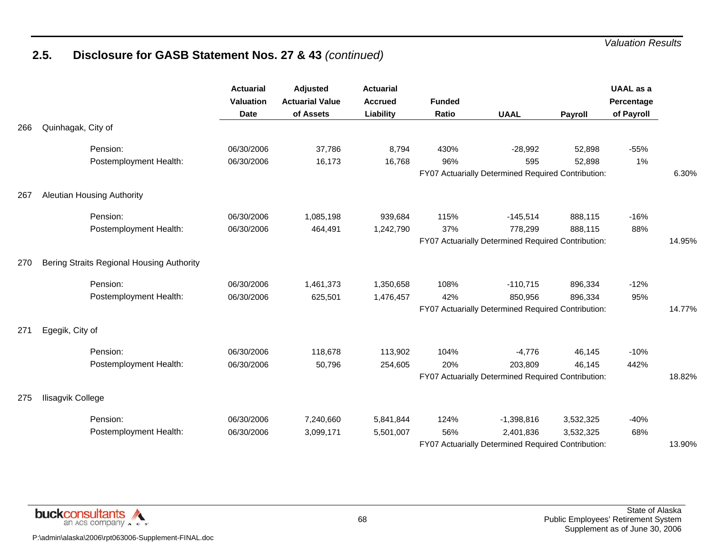|     |                                           | <b>Actuarial</b><br>Valuation<br><b>Date</b> | Adjusted<br><b>Actuarial Value</b><br>of Assets | <b>Actuarial</b><br><b>Accrued</b><br>Liability | <b>Funded</b><br>Ratio | <b>UAAL</b>                                        | Payroll   | UAAL as a<br>Percentage<br>of Payroll |        |
|-----|-------------------------------------------|----------------------------------------------|-------------------------------------------------|-------------------------------------------------|------------------------|----------------------------------------------------|-----------|---------------------------------------|--------|
| 266 | Quinhagak, City of                        |                                              |                                                 |                                                 |                        |                                                    |           |                                       |        |
|     | Pension:                                  | 06/30/2006                                   | 37,786                                          | 8,794                                           | 430%                   | $-28,992$                                          | 52,898    | $-55%$                                |        |
|     | Postemployment Health:                    | 06/30/2006                                   | 16,173                                          | 16,768                                          | 96%                    | 595                                                | 52,898    | 1%                                    |        |
|     |                                           |                                              |                                                 |                                                 |                        | FY07 Actuarially Determined Required Contribution: |           |                                       | 6.30%  |
| 267 | <b>Aleutian Housing Authority</b>         |                                              |                                                 |                                                 |                        |                                                    |           |                                       |        |
|     | Pension:                                  | 06/30/2006                                   | 1,085,198                                       | 939,684                                         | 115%                   | $-145,514$                                         | 888,115   | $-16%$                                |        |
|     | Postemployment Health:                    | 06/30/2006                                   | 464,491                                         | 1,242,790                                       | 37%                    | 778,299                                            | 888,115   | 88%                                   |        |
|     |                                           |                                              |                                                 |                                                 |                        | FY07 Actuarially Determined Required Contribution: |           |                                       | 14.95% |
| 270 | Bering Straits Regional Housing Authority |                                              |                                                 |                                                 |                        |                                                    |           |                                       |        |
|     | Pension:                                  | 06/30/2006                                   | 1,461,373                                       | 1,350,658                                       | 108%                   | $-110,715$                                         | 896,334   | $-12%$                                |        |
|     | Postemployment Health:                    | 06/30/2006                                   | 625,501                                         | 1,476,457                                       | 42%                    | 850,956                                            | 896,334   | 95%                                   |        |
|     |                                           |                                              |                                                 |                                                 |                        | FY07 Actuarially Determined Required Contribution: |           |                                       | 14.77% |
| 271 | Egegik, City of                           |                                              |                                                 |                                                 |                        |                                                    |           |                                       |        |
|     | Pension:                                  | 06/30/2006                                   | 118,678                                         | 113,902                                         | 104%                   | $-4,776$                                           | 46,145    | $-10%$                                |        |
|     | Postemployment Health:                    | 06/30/2006                                   | 50,796                                          | 254,605                                         | 20%                    | 203,809                                            | 46,145    | 442%                                  |        |
|     |                                           |                                              |                                                 |                                                 |                        | FY07 Actuarially Determined Required Contribution: |           |                                       | 18.82% |
| 275 | Ilisagvik College                         |                                              |                                                 |                                                 |                        |                                                    |           |                                       |        |
|     | Pension:                                  | 06/30/2006                                   | 7,240,660                                       | 5,841,844                                       | 124%                   | $-1,398,816$                                       | 3,532,325 | $-40%$                                |        |
|     | Postemployment Health:                    | 06/30/2006                                   | 3,099,171                                       | 5,501,007                                       | 56%                    | 2,401,836                                          | 3,532,325 | 68%                                   |        |
|     |                                           |                                              |                                                 |                                                 |                        | FY07 Actuarially Determined Required Contribution: |           |                                       | 13.90% |

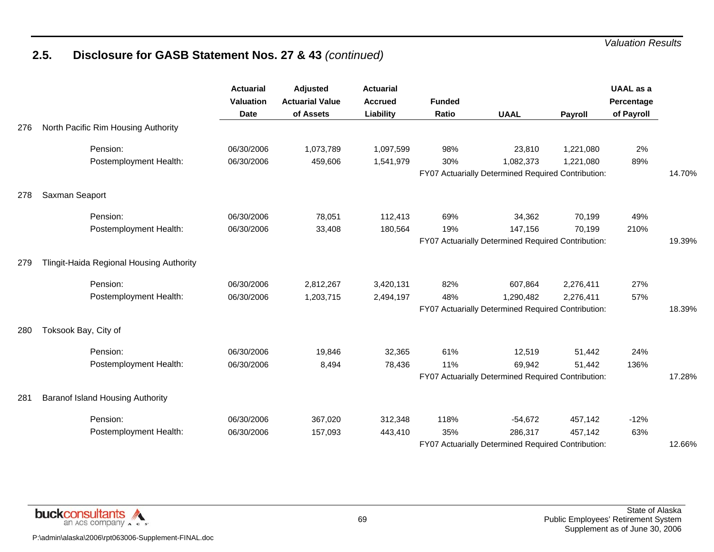|     |                                          | <b>Actuarial</b><br>Valuation<br><b>Date</b> | <b>Adjusted</b><br><b>Actuarial Value</b><br>of Assets | <b>Actuarial</b><br><b>Accrued</b><br><b>Liability</b> | <b>Funded</b><br>Ratio | <b>UAAL</b>                                                     | Payroll                                            | <b>UAAL</b> as a<br>Percentage<br>of Payroll |        |
|-----|------------------------------------------|----------------------------------------------|--------------------------------------------------------|--------------------------------------------------------|------------------------|-----------------------------------------------------------------|----------------------------------------------------|----------------------------------------------|--------|
| 276 | North Pacific Rim Housing Authority      |                                              |                                                        |                                                        |                        |                                                                 |                                                    |                                              |        |
|     | Pension:                                 | 06/30/2006                                   | 1,073,789                                              | 1,097,599                                              | 98%                    | 23,810                                                          | 1,221,080                                          | 2%                                           |        |
|     | Postemployment Health:                   | 06/30/2006                                   | 459,606                                                | 1,541,979                                              | 30%                    | 1,082,373<br>FY07 Actuarially Determined Required Contribution: | 1,221,080                                          | 89%                                          | 14.70% |
|     |                                          |                                              |                                                        |                                                        |                        |                                                                 |                                                    |                                              |        |
| 278 | Saxman Seaport                           |                                              |                                                        |                                                        |                        |                                                                 |                                                    |                                              |        |
|     | Pension:                                 | 06/30/2006                                   | 78,051                                                 | 112,413                                                | 69%                    | 34,362                                                          | 70,199                                             | 49%                                          |        |
|     | Postemployment Health:                   | 06/30/2006                                   | 33,408                                                 | 180,564                                                | 19%                    | 147,156                                                         | 70,199                                             | 210%                                         |        |
|     |                                          |                                              |                                                        |                                                        |                        | FY07 Actuarially Determined Required Contribution:              |                                                    |                                              | 19.39% |
| 279 | Tlingit-Haida Regional Housing Authority |                                              |                                                        |                                                        |                        |                                                                 |                                                    |                                              |        |
|     | Pension:                                 | 06/30/2006                                   | 2,812,267                                              | 3,420,131                                              | 82%                    | 607,864                                                         | 2,276,411                                          | 27%                                          |        |
|     | Postemployment Health:                   | 06/30/2006                                   | 1,203,715                                              | 2,494,197                                              | 48%                    | 1,290,482                                                       | 2,276,411                                          | 57%                                          | 18.39% |
|     |                                          |                                              |                                                        |                                                        |                        |                                                                 | FY07 Actuarially Determined Required Contribution: |                                              |        |
| 280 | Toksook Bay, City of                     |                                              |                                                        |                                                        |                        |                                                                 |                                                    |                                              |        |
|     | Pension:                                 | 06/30/2006                                   | 19,846                                                 | 32,365                                                 | 61%                    | 12,519                                                          | 51,442                                             | 24%                                          |        |
|     | Postemployment Health:                   | 06/30/2006                                   | 8,494                                                  | 78,436                                                 | 11%                    | 69,942                                                          | 51,442                                             | 136%                                         |        |
|     |                                          |                                              |                                                        |                                                        |                        | FY07 Actuarially Determined Required Contribution:              |                                                    |                                              | 17.28% |
| 281 | Baranof Island Housing Authority         |                                              |                                                        |                                                        |                        |                                                                 |                                                    |                                              |        |
|     | Pension:                                 | 06/30/2006                                   | 367,020                                                | 312,348                                                | 118%                   | $-54,672$                                                       | 457,142                                            | $-12%$                                       |        |
|     | Postemployment Health:                   | 06/30/2006                                   | 157,093                                                | 443,410                                                | 35%                    | 286,317                                                         | 457,142                                            | 63%                                          |        |
|     |                                          |                                              |                                                        |                                                        |                        | FY07 Actuarially Determined Required Contribution:              |                                                    |                                              | 12.66% |

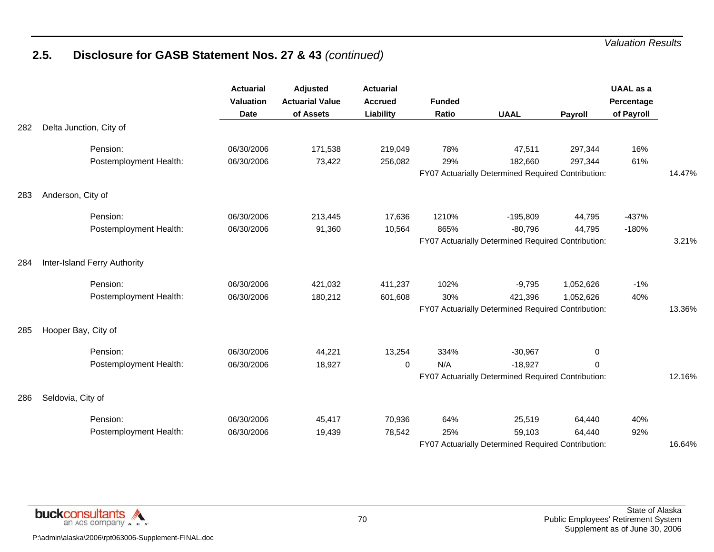|     |                              | <b>Actuarial</b><br><b>Valuation</b><br><b>Date</b> | <b>Adjusted</b><br><b>Actuarial Value</b><br>of Assets | <b>Actuarial</b><br><b>Accrued</b><br>Liability | <b>Funded</b><br>Ratio | <b>UAAL</b>                                                   | Payroll   | <b>UAAL</b> as a<br>Percentage<br>of Payroll |        |
|-----|------------------------------|-----------------------------------------------------|--------------------------------------------------------|-------------------------------------------------|------------------------|---------------------------------------------------------------|-----------|----------------------------------------------|--------|
| 282 | Delta Junction, City of      |                                                     |                                                        |                                                 |                        |                                                               |           |                                              |        |
|     | Pension:                     | 06/30/2006                                          | 171,538                                                | 219,049                                         | 78%                    | 47,511                                                        | 297,344   | 16%                                          |        |
|     | Postemployment Health:       | 06/30/2006                                          | 73,422                                                 | 256,082                                         | 29%                    | 182,660<br>FY07 Actuarially Determined Required Contribution: | 297,344   | 61%                                          | 14.47% |
|     |                              |                                                     |                                                        |                                                 |                        |                                                               |           |                                              |        |
| 283 | Anderson, City of            |                                                     |                                                        |                                                 |                        |                                                               |           |                                              |        |
|     | Pension:                     | 06/30/2006                                          | 213,445                                                | 17,636                                          | 1210%                  | $-195,809$                                                    | 44,795    | $-437%$                                      |        |
|     | Postemployment Health:       | 06/30/2006                                          | 91,360                                                 | 10,564                                          | 865%                   | $-80,796$                                                     | 44,795    | $-180%$                                      |        |
|     |                              |                                                     |                                                        |                                                 |                        | FY07 Actuarially Determined Required Contribution:            |           |                                              | 3.21%  |
| 284 | Inter-Island Ferry Authority |                                                     |                                                        |                                                 |                        |                                                               |           |                                              |        |
|     | Pension:                     | 06/30/2006                                          | 421,032                                                | 411,237                                         | 102%                   | $-9,795$                                                      | 1,052,626 | $-1%$                                        |        |
|     | Postemployment Health:       | 06/30/2006                                          | 180,212                                                | 601,608                                         | 30%                    | 421,396                                                       | 1,052,626 | 40%                                          |        |
|     |                              |                                                     |                                                        |                                                 |                        | FY07 Actuarially Determined Required Contribution:            |           |                                              | 13.36% |
| 285 | Hooper Bay, City of          |                                                     |                                                        |                                                 |                        |                                                               |           |                                              |        |
|     | Pension:                     | 06/30/2006                                          | 44,221                                                 | 13,254                                          | 334%                   | $-30,967$                                                     | 0         |                                              |        |
|     | Postemployment Health:       | 06/30/2006                                          | 18,927                                                 | $\mathbf 0$                                     | N/A                    | $-18,927$                                                     | 0         |                                              |        |
|     |                              |                                                     |                                                        |                                                 |                        | FY07 Actuarially Determined Required Contribution:            |           |                                              | 12.16% |
| 286 | Seldovia, City of            |                                                     |                                                        |                                                 |                        |                                                               |           |                                              |        |
|     | Pension:                     | 06/30/2006                                          | 45,417                                                 | 70,936                                          | 64%                    | 25,519                                                        | 64,440    | 40%                                          |        |
|     | Postemployment Health:       | 06/30/2006                                          | 19,439                                                 | 78,542                                          | 25%                    | 59,103                                                        | 64,440    | 92%                                          |        |
|     |                              |                                                     |                                                        |                                                 |                        | FY07 Actuarially Determined Required Contribution:            |           |                                              | 16.64% |

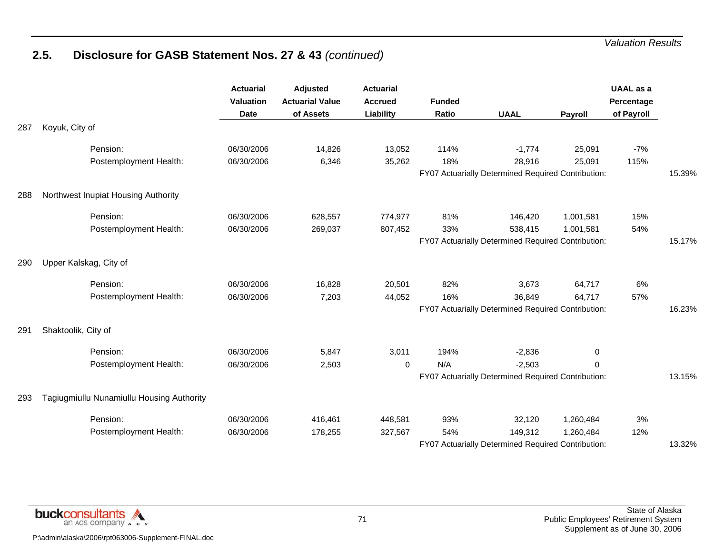|     |                                           | <b>Actuarial</b><br>Valuation<br><b>Date</b> | <b>Adjusted</b><br><b>Actuarial Value</b><br>of Assets | <b>Actuarial</b><br><b>Accrued</b><br>Liability | <b>Funded</b><br>Ratio | <b>UAAL</b>                                        | <b>Payroll</b>                                     | <b>UAAL</b> as a<br>Percentage<br>of Payroll |        |
|-----|-------------------------------------------|----------------------------------------------|--------------------------------------------------------|-------------------------------------------------|------------------------|----------------------------------------------------|----------------------------------------------------|----------------------------------------------|--------|
| 287 | Koyuk, City of                            |                                              |                                                        |                                                 |                        |                                                    |                                                    |                                              |        |
|     | Pension:                                  | 06/30/2006                                   | 14,826                                                 | 13,052                                          | 114%                   | $-1,774$                                           | 25,091                                             | $-7%$                                        |        |
|     | Postemployment Health:                    | 06/30/2006                                   | 6,346                                                  | 35,262                                          | 18%                    | 28,916                                             | 25,091                                             | 115%                                         |        |
|     |                                           |                                              |                                                        |                                                 |                        | FY07 Actuarially Determined Required Contribution: |                                                    | 15.39%                                       |        |
| 288 | Northwest Inupiat Housing Authority       |                                              |                                                        |                                                 |                        |                                                    |                                                    |                                              |        |
|     | Pension:                                  | 06/30/2006                                   | 628,557                                                | 774,977                                         | 81%                    | 146,420                                            | 1,001,581                                          | 15%                                          |        |
|     | Postemployment Health:                    | 06/30/2006                                   | 269,037                                                | 807,452                                         | 33%                    | 538,415                                            | 1,001,581                                          | 54%                                          |        |
|     |                                           |                                              |                                                        |                                                 |                        | FY07 Actuarially Determined Required Contribution: |                                                    |                                              | 15.17% |
| 290 | Upper Kalskag, City of                    |                                              |                                                        |                                                 |                        |                                                    |                                                    |                                              |        |
|     | Pension:                                  | 06/30/2006                                   | 16,828                                                 | 20,501                                          | 82%                    | 3,673                                              | 64,717                                             | 6%                                           |        |
|     | Postemployment Health:                    | 06/30/2006                                   | 7,203                                                  | 44,052                                          | 16%                    | 36,849                                             | 64,717                                             | 57%                                          |        |
|     |                                           |                                              |                                                        |                                                 |                        |                                                    | FY07 Actuarially Determined Required Contribution: |                                              |        |
| 291 | Shaktoolik, City of                       |                                              |                                                        |                                                 |                        |                                                    |                                                    |                                              |        |
|     | Pension:                                  | 06/30/2006                                   | 5,847                                                  | 3,011                                           | 194%                   | $-2,836$                                           | 0                                                  |                                              |        |
|     | Postemployment Health:                    | 06/30/2006                                   | 2,503                                                  | $\mathbf 0$                                     | N/A                    | $-2,503$                                           | 0                                                  |                                              |        |
|     |                                           |                                              |                                                        |                                                 |                        | FY07 Actuarially Determined Required Contribution: |                                                    |                                              | 13.15% |
| 293 | Tagiugmiullu Nunamiullu Housing Authority |                                              |                                                        |                                                 |                        |                                                    |                                                    |                                              |        |
|     | Pension:                                  | 06/30/2006                                   | 416,461                                                | 448,581                                         | 93%                    | 32,120                                             | 1,260,484                                          | 3%                                           |        |
|     | Postemployment Health:                    | 06/30/2006                                   | 178,255                                                | 327,567                                         | 54%                    | 149,312                                            | 1,260,484                                          | 12%                                          |        |
|     |                                           |                                              |                                                        |                                                 |                        | FY07 Actuarially Determined Required Contribution: |                                                    |                                              | 13.32% |